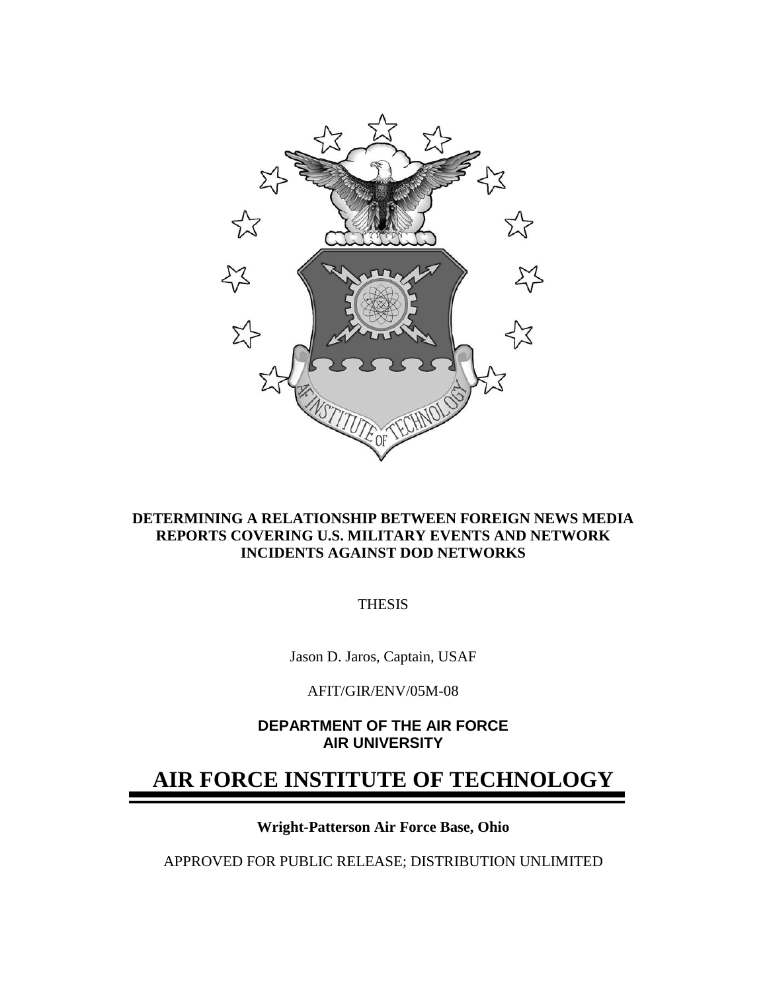

#### **DETERMINING A RELATIONSHIP BETWEEN FOREIGN NEWS MEDIA REPORTS COVERING U.S. MILITARY EVENTS AND NETWORK INCIDENTS AGAINST DOD NETWORKS**

THESIS

Jason D. Jaros, Captain, USAF

AFIT/GIR/ENV/05M-08

**DEPARTMENT OF THE AIR FORCE AIR UNIVERSITY** 

## **AIR FORCE INSTITUTE OF TECHNOLOGY**

**Wright-Patterson Air Force Base, Ohio** 

APPROVED FOR PUBLIC RELEASE; DISTRIBUTION UNLIMITED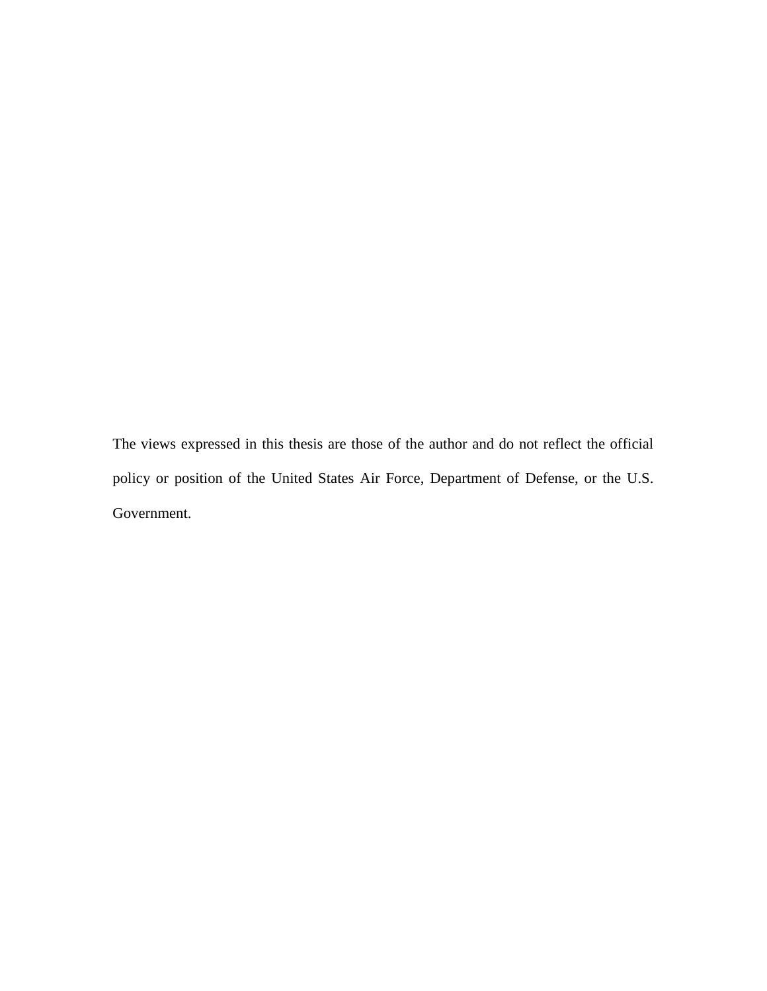The views expressed in this thesis are those of the author and do not reflect the official policy or position of the United States Air Force, Department of Defense, or the U.S. Government.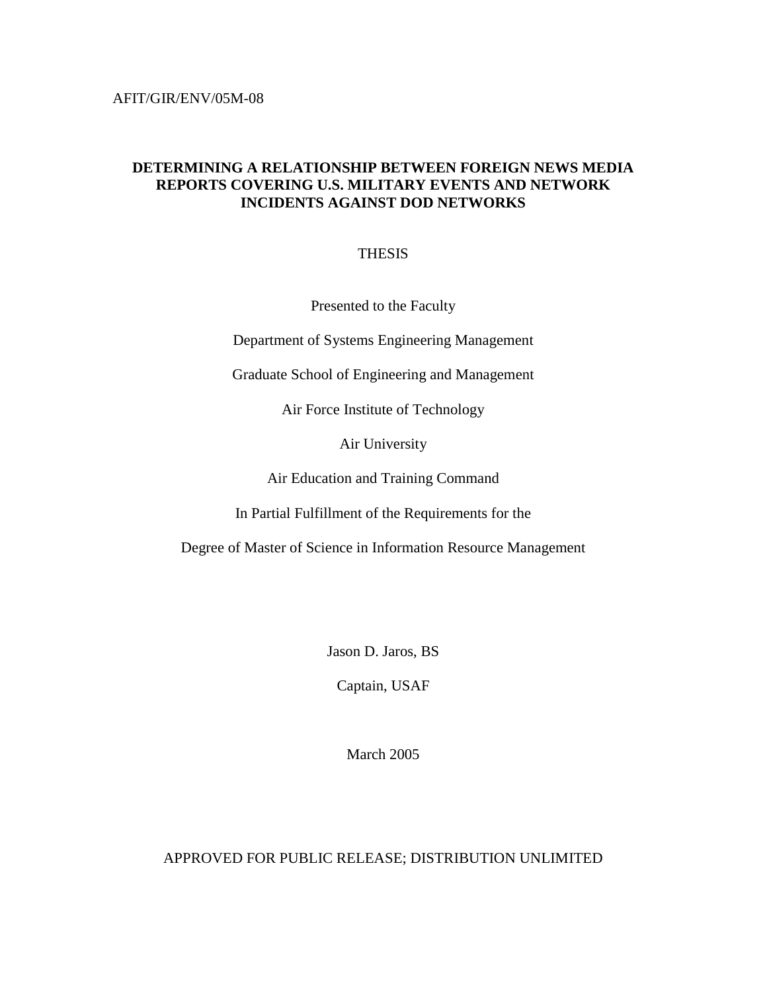#### **DETERMINING A RELATIONSHIP BETWEEN FOREIGN NEWS MEDIA REPORTS COVERING U.S. MILITARY EVENTS AND NETWORK INCIDENTS AGAINST DOD NETWORKS**

#### THESIS

Presented to the Faculty

Department of Systems Engineering Management

Graduate School of Engineering and Management

Air Force Institute of Technology

Air University

Air Education and Training Command

In Partial Fulfillment of the Requirements for the

Degree of Master of Science in Information Resource Management

Jason D. Jaros, BS

Captain, USAF

March 2005

APPROVED FOR PUBLIC RELEASE; DISTRIBUTION UNLIMITED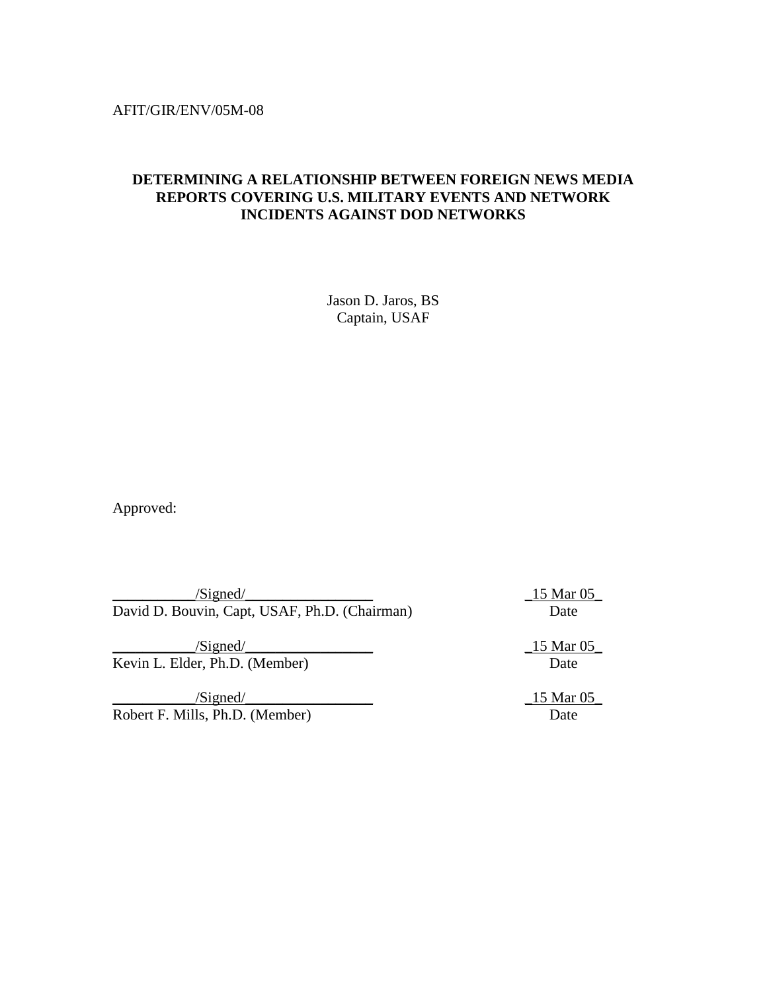#### AFIT/GIR/ENV/05M-08

#### **DETERMINING A RELATIONSHIP BETWEEN FOREIGN NEWS MEDIA REPORTS COVERING U.S. MILITARY EVENTS AND NETWORK INCIDENTS AGAINST DOD NETWORKS**

Jason D. Jaros, BS Captain, USAF

Approved:

 $\frac{15 \text{ Mar } 05}{\text{Mar } 05}$ David D. Bouvin, Capt, USAF, Ph.D. (Chairman) Date

 $\frac{15 \text{ M} \cdot 05}{2}$ Kevin L. Elder, Ph.D. (Member) Date

 $\frac{15 \text{ Mar } 05}{\text{m}^2}$ Robert F. Mills, Ph.D. (Member) Date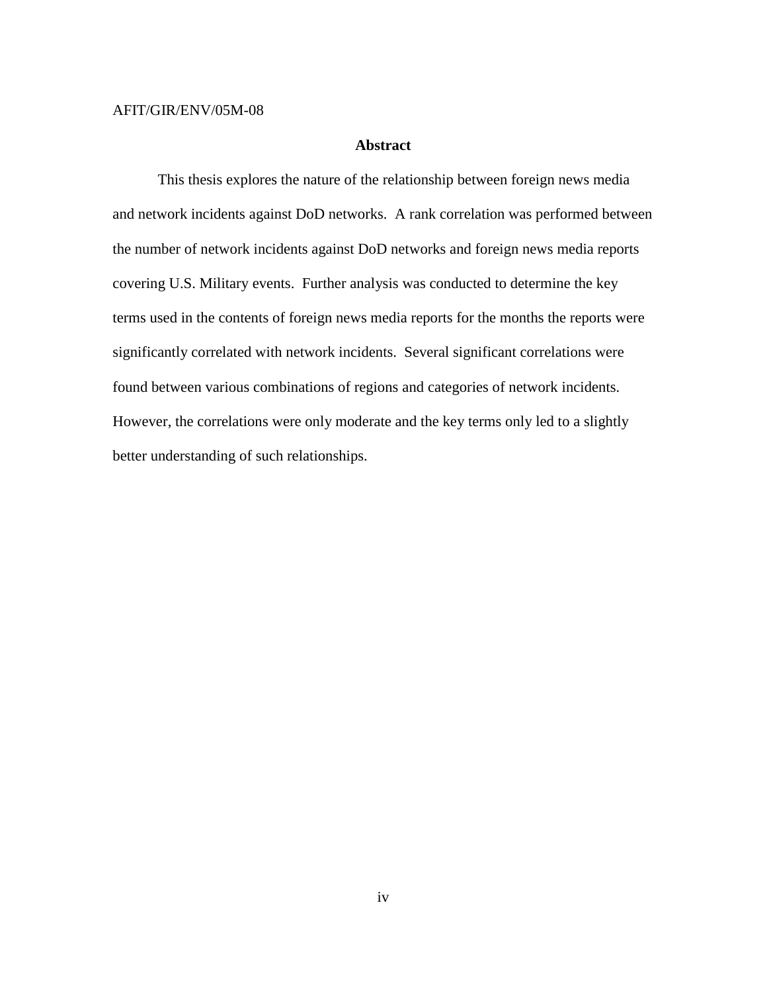#### AFIT/GIR/ENV/05M-08

#### **Abstract**

 This thesis explores the nature of the relationship between foreign news media and network incidents against DoD networks. A rank correlation was performed between the number of network incidents against DoD networks and foreign news media reports covering U.S. Military events. Further analysis was conducted to determine the key terms used in the contents of foreign news media reports for the months the reports were significantly correlated with network incidents. Several significant correlations were found between various combinations of regions and categories of network incidents. However, the correlations were only moderate and the key terms only led to a slightly better understanding of such relationships.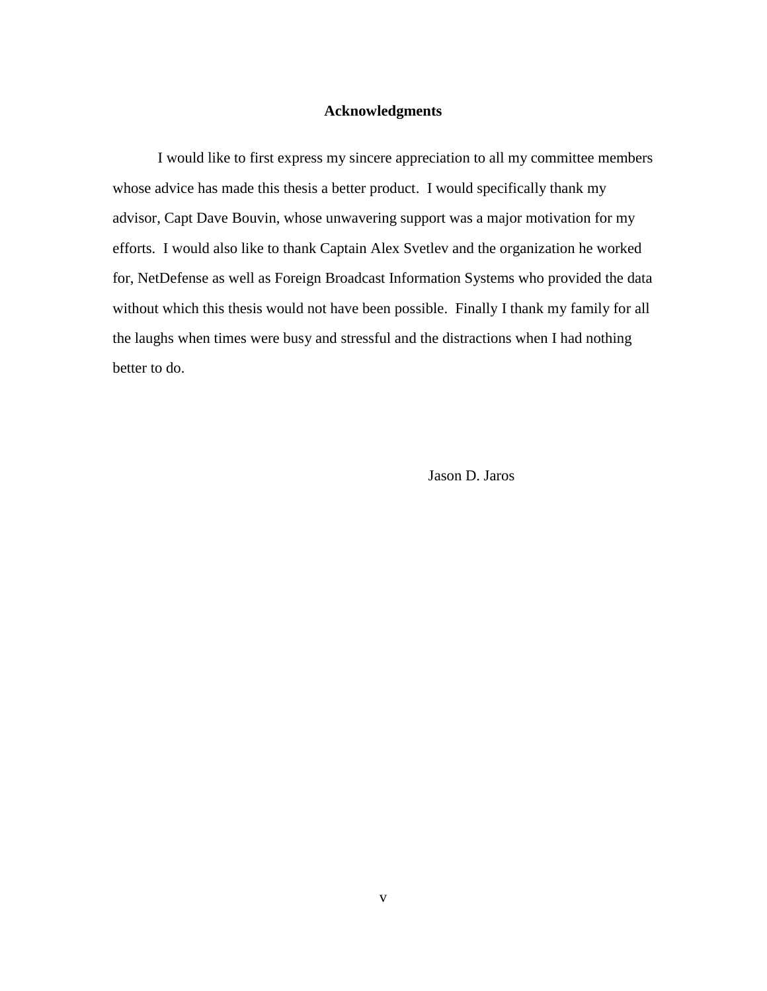#### **Acknowledgments**

 I would like to first express my sincere appreciation to all my committee members whose advice has made this thesis a better product. I would specifically thank my advisor, Capt Dave Bouvin, whose unwavering support was a major motivation for my efforts. I would also like to thank Captain Alex Svetlev and the organization he worked for, NetDefense as well as Foreign Broadcast Information Systems who provided the data without which this thesis would not have been possible. Finally I thank my family for all the laughs when times were busy and stressful and the distractions when I had nothing better to do.

Jason D. Jaros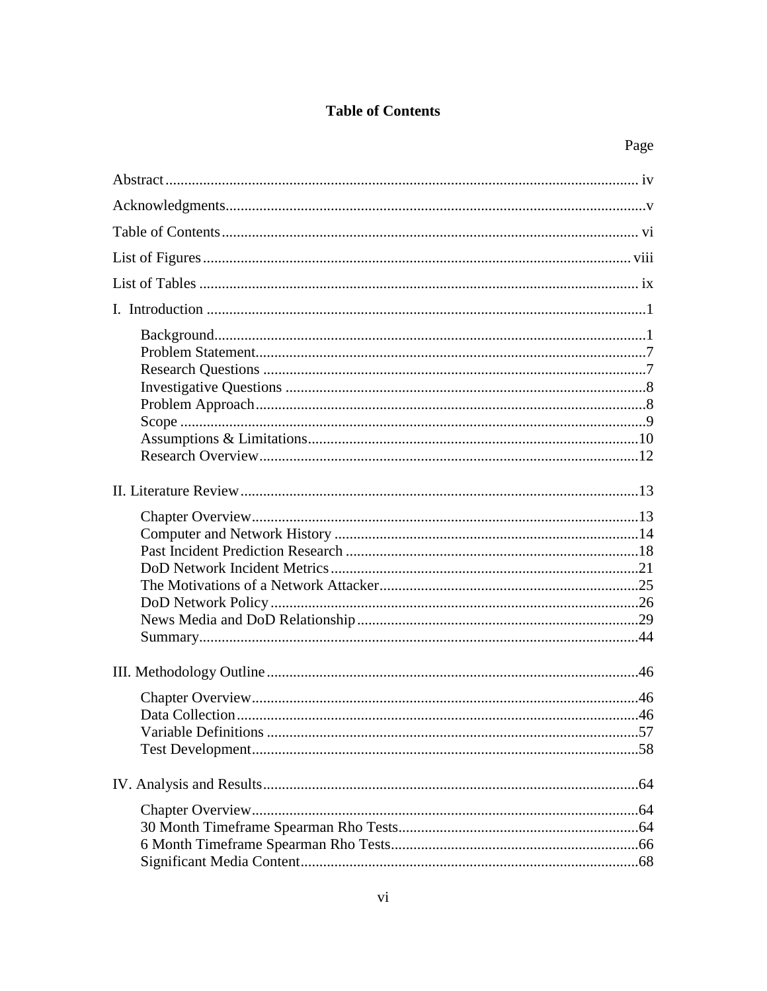### **Table of Contents**

| Page |
|------|
|      |
|      |
|      |
|      |
|      |
|      |
|      |
|      |
|      |
|      |
|      |
|      |
|      |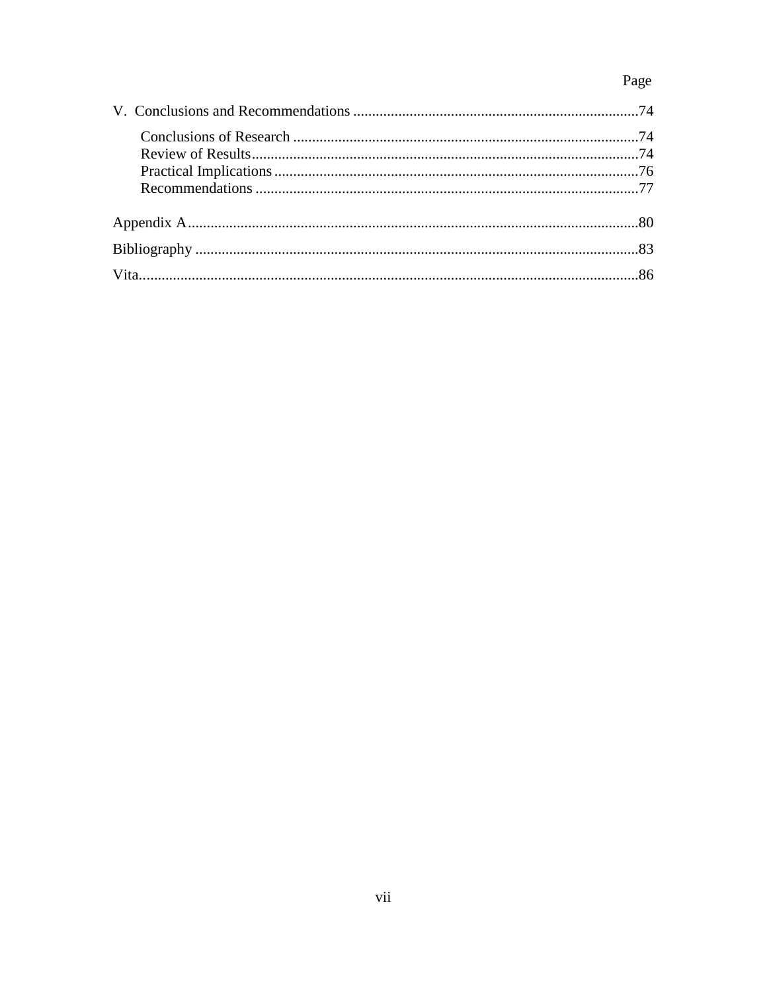## Page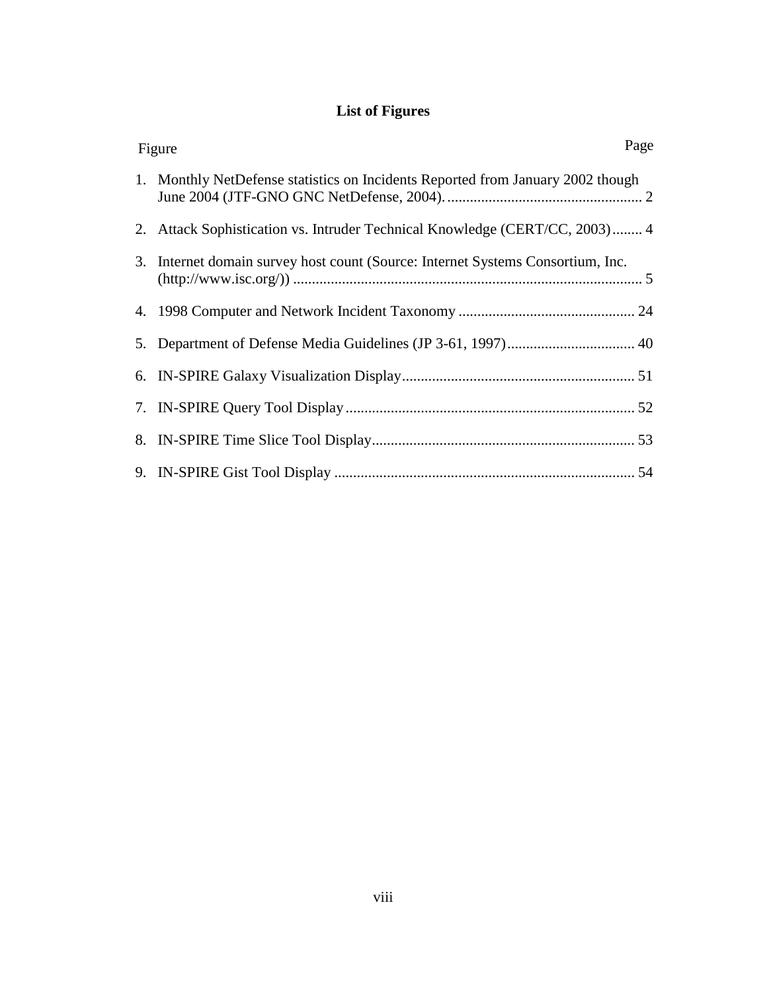## **List of Figures**

| Page<br>Figure                                                                  |
|---------------------------------------------------------------------------------|
| 1. Monthly NetDefense statistics on Incidents Reported from January 2002 though |
| 2. Attack Sophistication vs. Intruder Technical Knowledge (CERT/CC, 2003) 4     |
| 3. Internet domain survey host count (Source: Internet Systems Consortium, Inc. |
|                                                                                 |
|                                                                                 |
|                                                                                 |
|                                                                                 |
|                                                                                 |
|                                                                                 |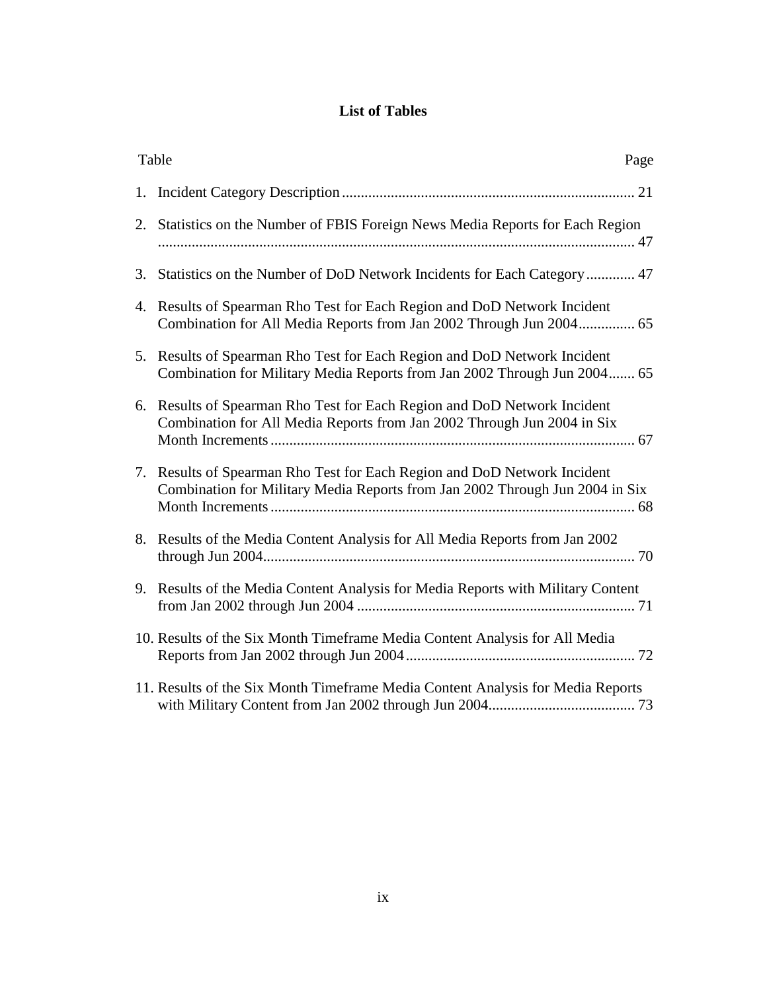#### **List of Tables**

|    | Table<br>Page                                                                                                                                            |
|----|----------------------------------------------------------------------------------------------------------------------------------------------------------|
| 1. |                                                                                                                                                          |
|    | 2. Statistics on the Number of FBIS Foreign News Media Reports for Each Region                                                                           |
| 3. | Statistics on the Number of DoD Network Incidents for Each Category 47                                                                                   |
|    | 4. Results of Spearman Rho Test for Each Region and DoD Network Incident<br>Combination for All Media Reports from Jan 2002 Through Jun 2004 65          |
|    | 5. Results of Spearman Rho Test for Each Region and DoD Network Incident<br>Combination for Military Media Reports from Jan 2002 Through Jun 2004 65     |
| 6. | Results of Spearman Rho Test for Each Region and DoD Network Incident<br>Combination for All Media Reports from Jan 2002 Through Jun 2004 in Six         |
|    | 7. Results of Spearman Rho Test for Each Region and DoD Network Incident<br>Combination for Military Media Reports from Jan 2002 Through Jun 2004 in Six |
|    | 8. Results of the Media Content Analysis for All Media Reports from Jan 2002                                                                             |
|    | 9. Results of the Media Content Analysis for Media Reports with Military Content                                                                         |
|    | 10. Results of the Six Month Timeframe Media Content Analysis for All Media                                                                              |
|    | 11. Results of the Six Month Timeframe Media Content Analysis for Media Reports                                                                          |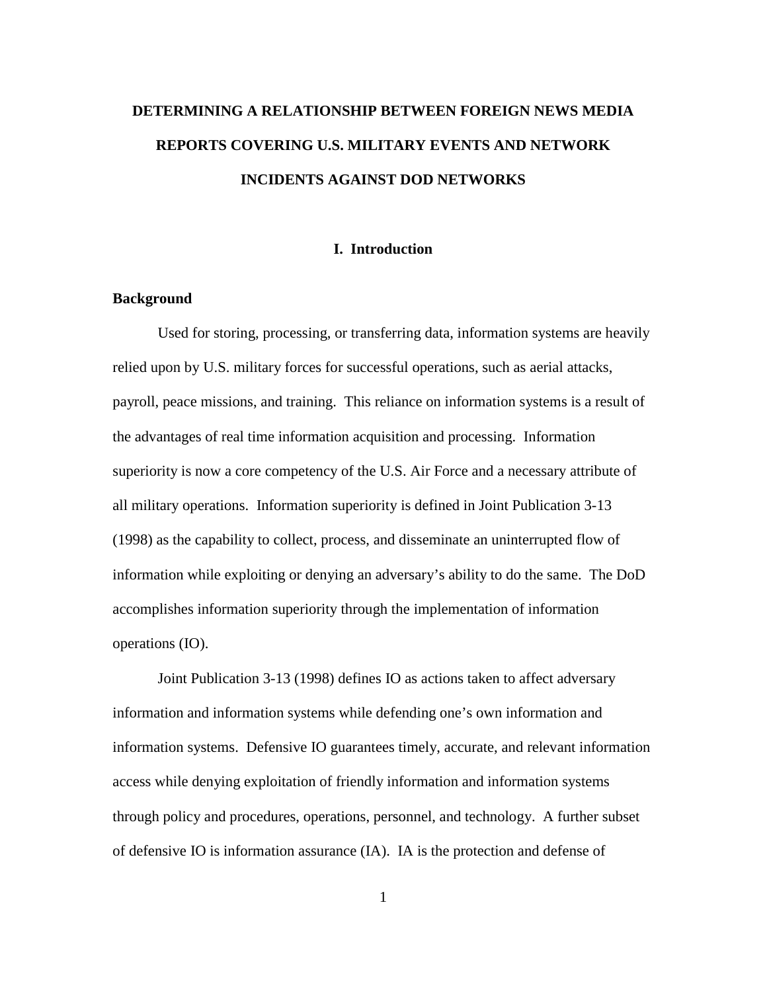# **DETERMINING A RELATIONSHIP BETWEEN FOREIGN NEWS MEDIA REPORTS COVERING U.S. MILITARY EVENTS AND NETWORK INCIDENTS AGAINST DOD NETWORKS**

#### **I. Introduction**

#### **Background**

 Used for storing, processing, or transferring data, information systems are heavily relied upon by U.S. military forces for successful operations, such as aerial attacks, payroll, peace missions, and training. This reliance on information systems is a result of the advantages of real time information acquisition and processing. Information superiority is now a core competency of the U.S. Air Force and a necessary attribute of all military operations. Information superiority is defined in Joint Publication 3-13 (1998) as the capability to collect, process, and disseminate an uninterrupted flow of information while exploiting or denying an adversary's ability to do the same. The DoD accomplishes information superiority through the implementation of information operations (IO).

Joint Publication 3-13 (1998) defines IO as actions taken to affect adversary information and information systems while defending one's own information and information systems. Defensive IO guarantees timely, accurate, and relevant information access while denying exploitation of friendly information and information systems through policy and procedures, operations, personnel, and technology. A further subset of defensive IO is information assurance (IA). IA is the protection and defense of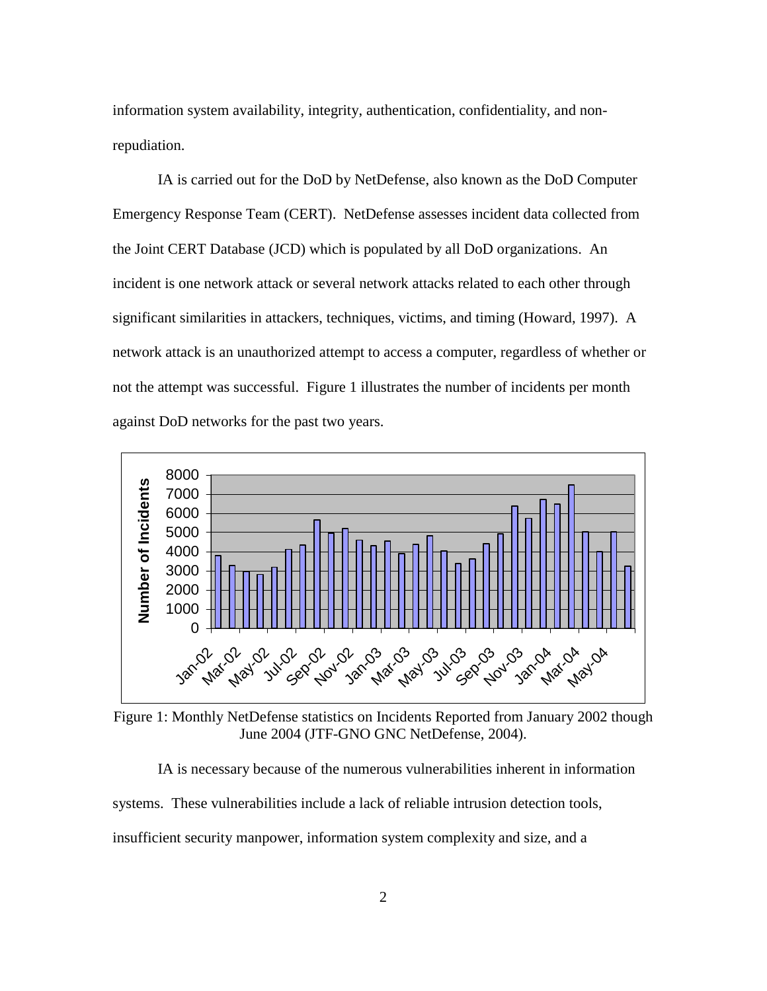information system availability, integrity, authentication, confidentiality, and nonrepudiation.

IA is carried out for the DoD by NetDefense, also known as the DoD Computer Emergency Response Team (CERT). NetDefense assesses incident data collected from the Joint CERT Database (JCD) which is populated by all DoD organizations. An incident is one network attack or several network attacks related to each other through significant similarities in attackers, techniques, victims, and timing (Howard, 1997). A network attack is an unauthorized attempt to access a computer, regardless of whether or not the attempt was successful. Figure 1 illustrates the number of incidents per month against DoD networks for the past two years.



Figure 1: Monthly NetDefense statistics on Incidents Reported from January 2002 though June 2004 (JTF-GNO GNC NetDefense, 2004).

IA is necessary because of the numerous vulnerabilities inherent in information

systems. These vulnerabilities include a lack of reliable intrusion detection tools,

insufficient security manpower, information system complexity and size, and a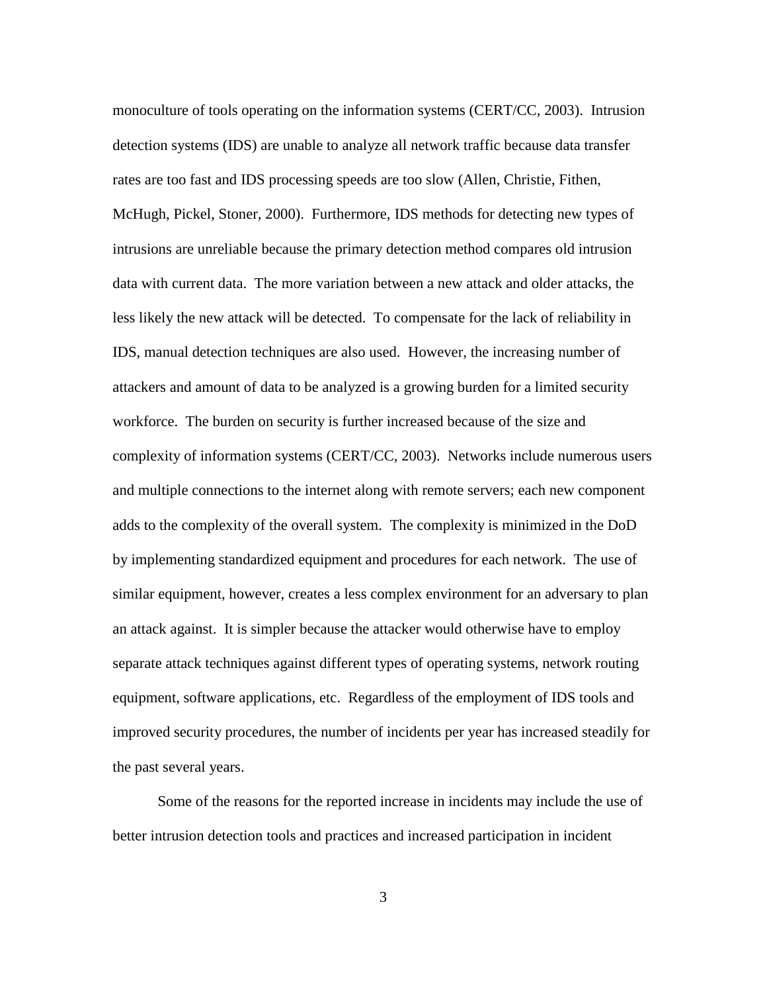monoculture of tools operating on the information systems (CERT/CC, 2003). Intrusion detection systems (IDS) are unable to analyze all network traffic because data transfer rates are too fast and IDS processing speeds are too slow (Allen, Christie, Fithen, McHugh, Pickel, Stoner, 2000). Furthermore, IDS methods for detecting new types of intrusions are unreliable because the primary detection method compares old intrusion data with current data. The more variation between a new attack and older attacks, the less likely the new attack will be detected. To compensate for the lack of reliability in IDS, manual detection techniques are also used. However, the increasing number of attackers and amount of data to be analyzed is a growing burden for a limited security workforce. The burden on security is further increased because of the size and complexity of information systems (CERT/CC, 2003). Networks include numerous users and multiple connections to the internet along with remote servers; each new component adds to the complexity of the overall system. The complexity is minimized in the DoD by implementing standardized equipment and procedures for each network. The use of similar equipment, however, creates a less complex environment for an adversary to plan an attack against. It is simpler because the attacker would otherwise have to employ separate attack techniques against different types of operating systems, network routing equipment, software applications, etc. Regardless of the employment of IDS tools and improved security procedures, the number of incidents per year has increased steadily for the past several years.

Some of the reasons for the reported increase in incidents may include the use of better intrusion detection tools and practices and increased participation in incident

3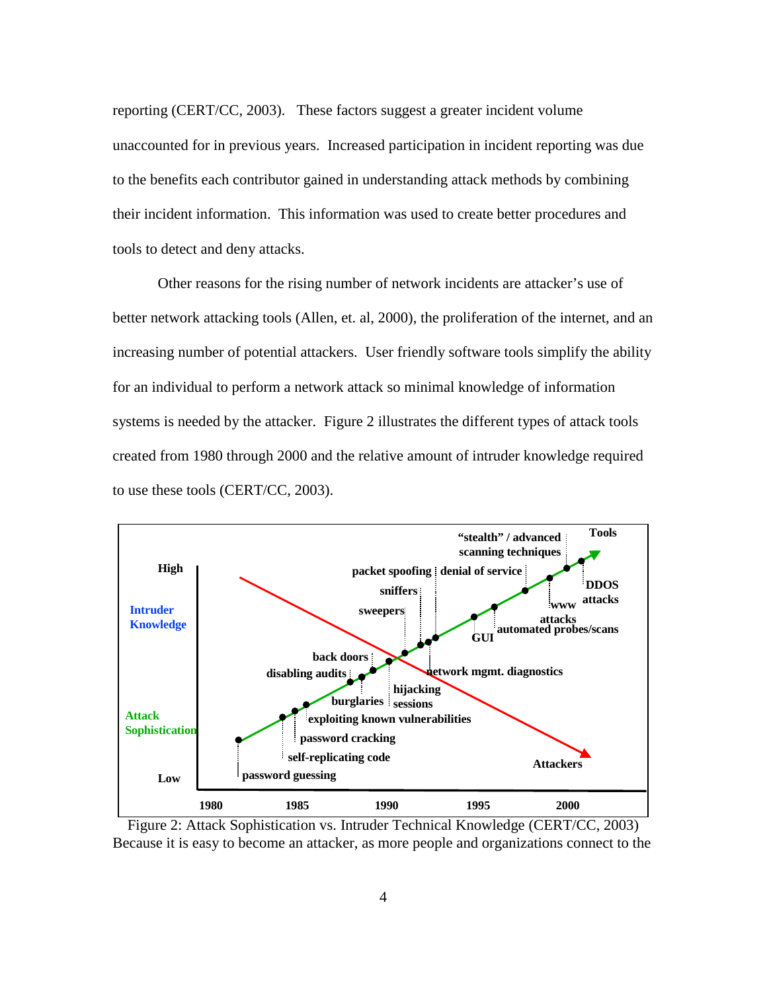reporting (CERT/CC, 2003). These factors suggest a greater incident volume unaccounted for in previous years. Increased participation in incident reporting was due to the benefits each contributor gained in understanding attack methods by combining their incident information. This information was used to create better procedures and tools to detect and deny attacks.

Other reasons for the rising number of network incidents are attacker's use of better network attacking tools (Allen, et. al, 2000), the proliferation of the internet, and an increasing number of potential attackers. User friendly software tools simplify the ability for an individual to perform a network attack so minimal knowledge of information systems is needed by the attacker. Figure 2 illustrates the different types of attack tools created from 1980 through 2000 and the relative amount of intruder knowledge required to use these tools (CERT/CC, 2003).



Figure 2: Attack Sophistication vs. Intruder Technical Knowledge (CERT/CC, 2003) Because it is easy to become an attacker, as more people and organizations connect to the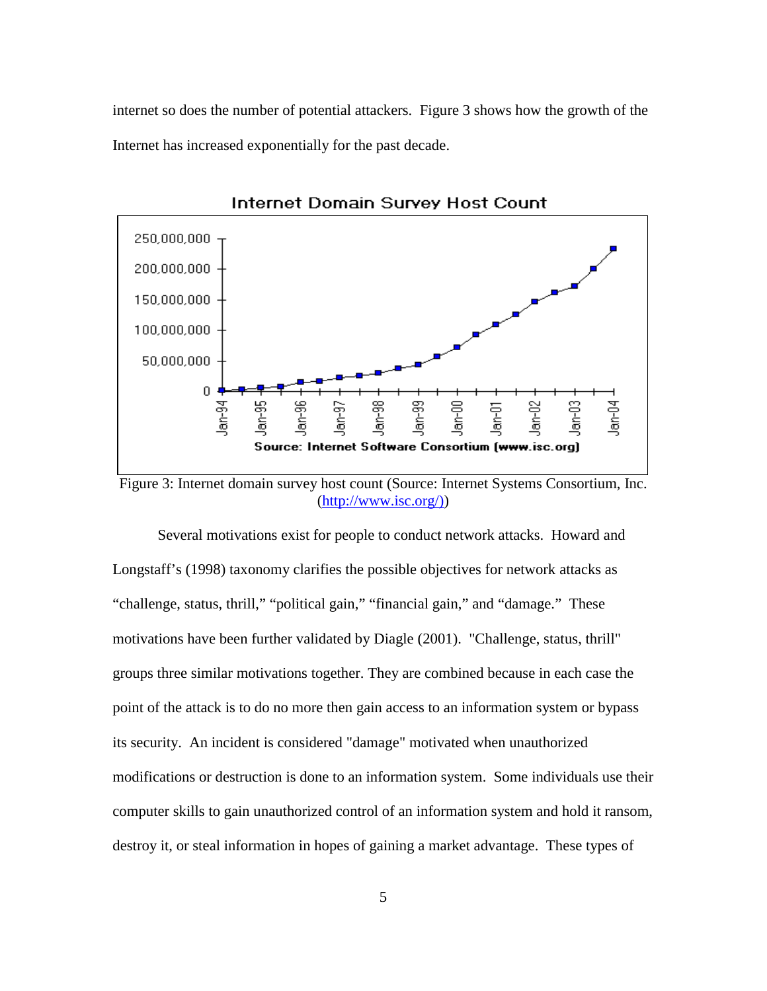internet so does the number of potential attackers. Figure 3 shows how the growth of the Internet has increased exponentially for the past decade.



Internet Domain Survey Host Count

Figure 3: Internet domain survey host count (Source: Internet Systems Consortium, Inc. (http://www.isc.org/))

Several motivations exist for people to conduct network attacks. Howard and Longstaff's (1998) taxonomy clarifies the possible objectives for network attacks as "challenge, status, thrill," "political gain," "financial gain," and "damage." These motivations have been further validated by Diagle (2001). "Challenge, status, thrill" groups three similar motivations together. They are combined because in each case the point of the attack is to do no more then gain access to an information system or bypass its security. An incident is considered "damage" motivated when unauthorized modifications or destruction is done to an information system. Some individuals use their computer skills to gain unauthorized control of an information system and hold it ransom, destroy it, or steal information in hopes of gaining a market advantage. These types of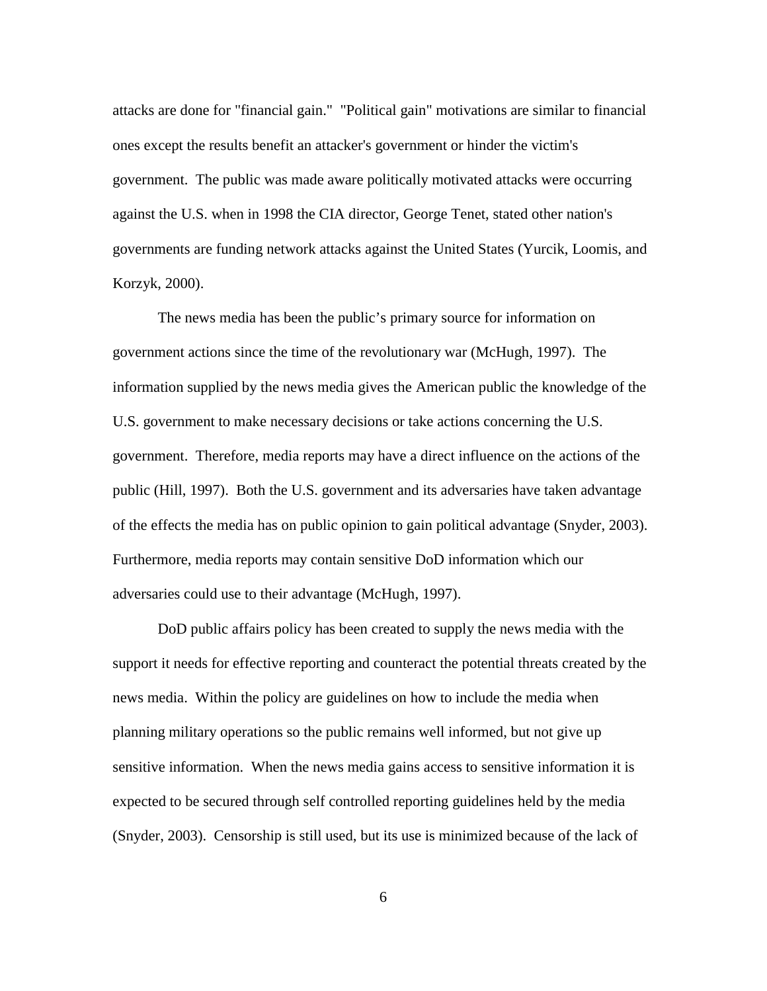attacks are done for "financial gain." "Political gain" motivations are similar to financial ones except the results benefit an attacker's government or hinder the victim's government. The public was made aware politically motivated attacks were occurring against the U.S. when in 1998 the CIA director, George Tenet, stated other nation's governments are funding network attacks against the United States (Yurcik, Loomis, and Korzyk, 2000).

The news media has been the public's primary source for information on government actions since the time of the revolutionary war (McHugh, 1997). The information supplied by the news media gives the American public the knowledge of the U.S. government to make necessary decisions or take actions concerning the U.S. government. Therefore, media reports may have a direct influence on the actions of the public (Hill, 1997). Both the U.S. government and its adversaries have taken advantage of the effects the media has on public opinion to gain political advantage (Snyder, 2003). Furthermore, media reports may contain sensitive DoD information which our adversaries could use to their advantage (McHugh, 1997).

DoD public affairs policy has been created to supply the news media with the support it needs for effective reporting and counteract the potential threats created by the news media. Within the policy are guidelines on how to include the media when planning military operations so the public remains well informed, but not give up sensitive information. When the news media gains access to sensitive information it is expected to be secured through self controlled reporting guidelines held by the media (Snyder, 2003). Censorship is still used, but its use is minimized because of the lack of

6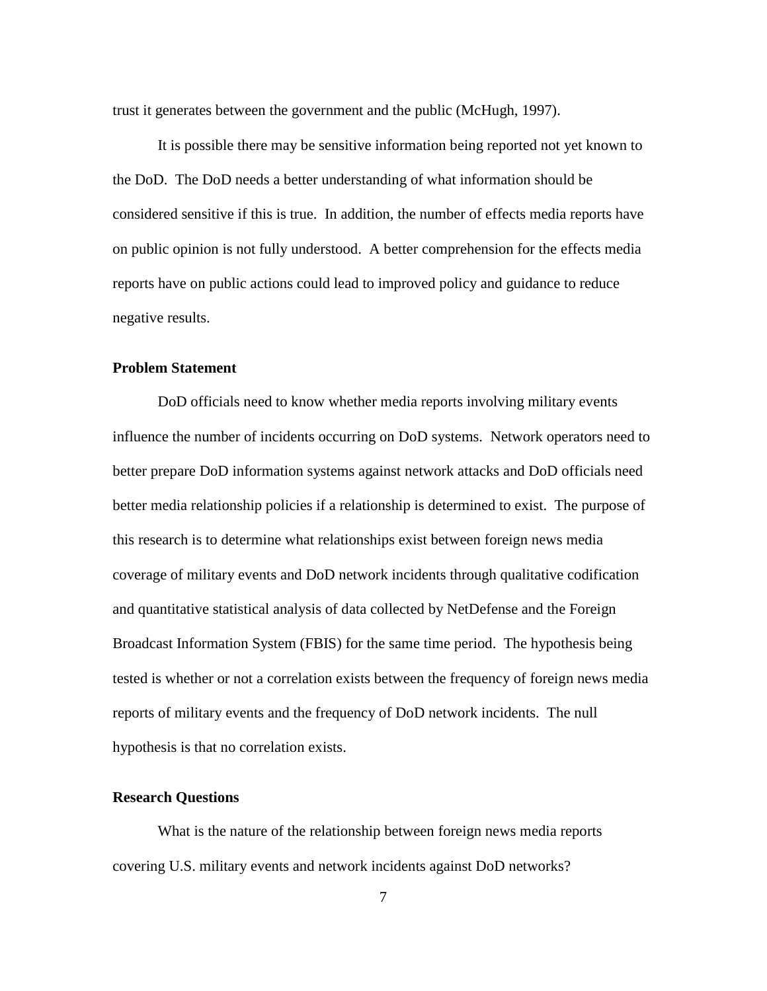trust it generates between the government and the public (McHugh, 1997).

It is possible there may be sensitive information being reported not yet known to the DoD. The DoD needs a better understanding of what information should be considered sensitive if this is true. In addition, the number of effects media reports have on public opinion is not fully understood. A better comprehension for the effects media reports have on public actions could lead to improved policy and guidance to reduce negative results.

#### **Problem Statement**

 DoD officials need to know whether media reports involving military events influence the number of incidents occurring on DoD systems. Network operators need to better prepare DoD information systems against network attacks and DoD officials need better media relationship policies if a relationship is determined to exist. The purpose of this research is to determine what relationships exist between foreign news media coverage of military events and DoD network incidents through qualitative codification and quantitative statistical analysis of data collected by NetDefense and the Foreign Broadcast Information System (FBIS) for the same time period. The hypothesis being tested is whether or not a correlation exists between the frequency of foreign news media reports of military events and the frequency of DoD network incidents. The null hypothesis is that no correlation exists.

#### **Research Questions**

 What is the nature of the relationship between foreign news media reports covering U.S. military events and network incidents against DoD networks?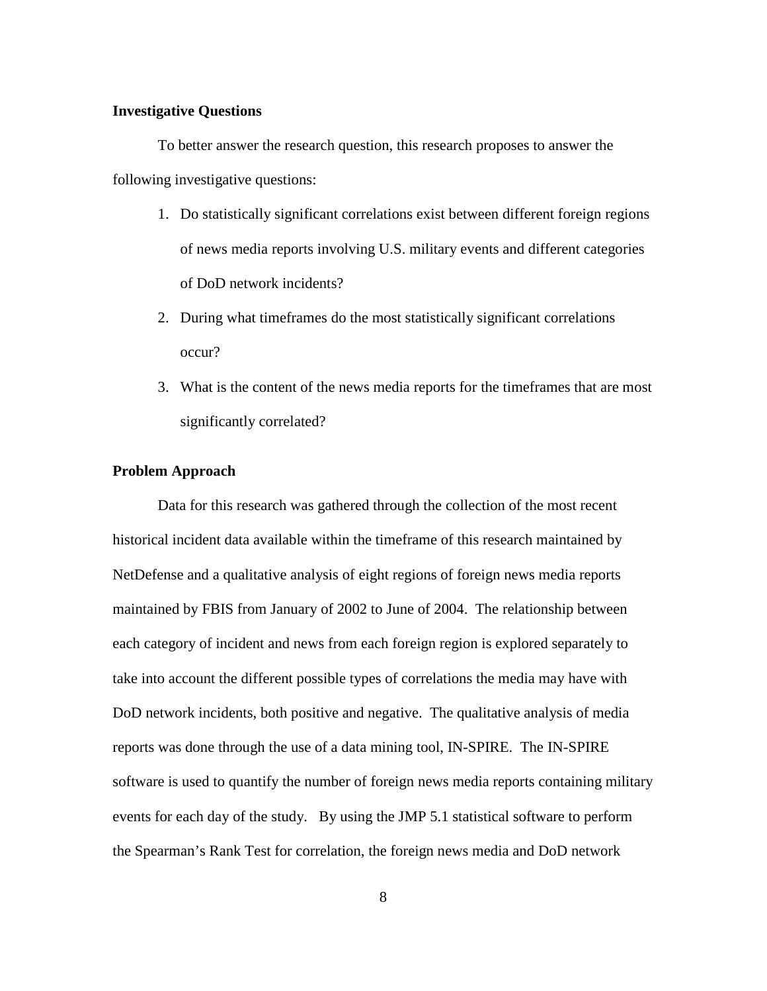#### **Investigative Questions**

 To better answer the research question, this research proposes to answer the following investigative questions:

- 1. Do statistically significant correlations exist between different foreign regions of news media reports involving U.S. military events and different categories of DoD network incidents?
- 2. During what timeframes do the most statistically significant correlations occur?
- 3. What is the content of the news media reports for the timeframes that are most significantly correlated?

#### **Problem Approach**

 Data for this research was gathered through the collection of the most recent historical incident data available within the timeframe of this research maintained by NetDefense and a qualitative analysis of eight regions of foreign news media reports maintained by FBIS from January of 2002 to June of 2004. The relationship between each category of incident and news from each foreign region is explored separately to take into account the different possible types of correlations the media may have with DoD network incidents, both positive and negative. The qualitative analysis of media reports was done through the use of a data mining tool, IN-SPIRE. The IN-SPIRE software is used to quantify the number of foreign news media reports containing military events for each day of the study. By using the JMP 5.1 statistical software to perform the Spearman's Rank Test for correlation, the foreign news media and DoD network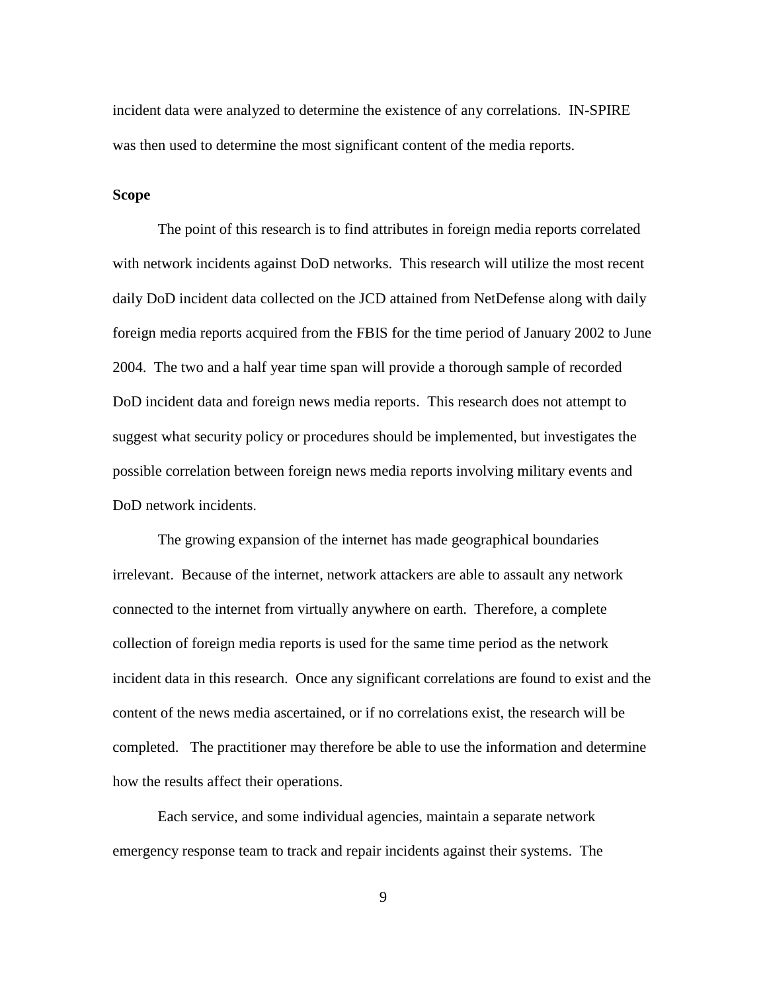incident data were analyzed to determine the existence of any correlations. IN-SPIRE was then used to determine the most significant content of the media reports.

#### **Scope**

The point of this research is to find attributes in foreign media reports correlated with network incidents against DoD networks. This research will utilize the most recent daily DoD incident data collected on the JCD attained from NetDefense along with daily foreign media reports acquired from the FBIS for the time period of January 2002 to June 2004. The two and a half year time span will provide a thorough sample of recorded DoD incident data and foreign news media reports. This research does not attempt to suggest what security policy or procedures should be implemented, but investigates the possible correlation between foreign news media reports involving military events and DoD network incidents.

The growing expansion of the internet has made geographical boundaries irrelevant. Because of the internet, network attackers are able to assault any network connected to the internet from virtually anywhere on earth. Therefore, a complete collection of foreign media reports is used for the same time period as the network incident data in this research. Once any significant correlations are found to exist and the content of the news media ascertained, or if no correlations exist, the research will be completed. The practitioner may therefore be able to use the information and determine how the results affect their operations.

Each service, and some individual agencies, maintain a separate network emergency response team to track and repair incidents against their systems. The

9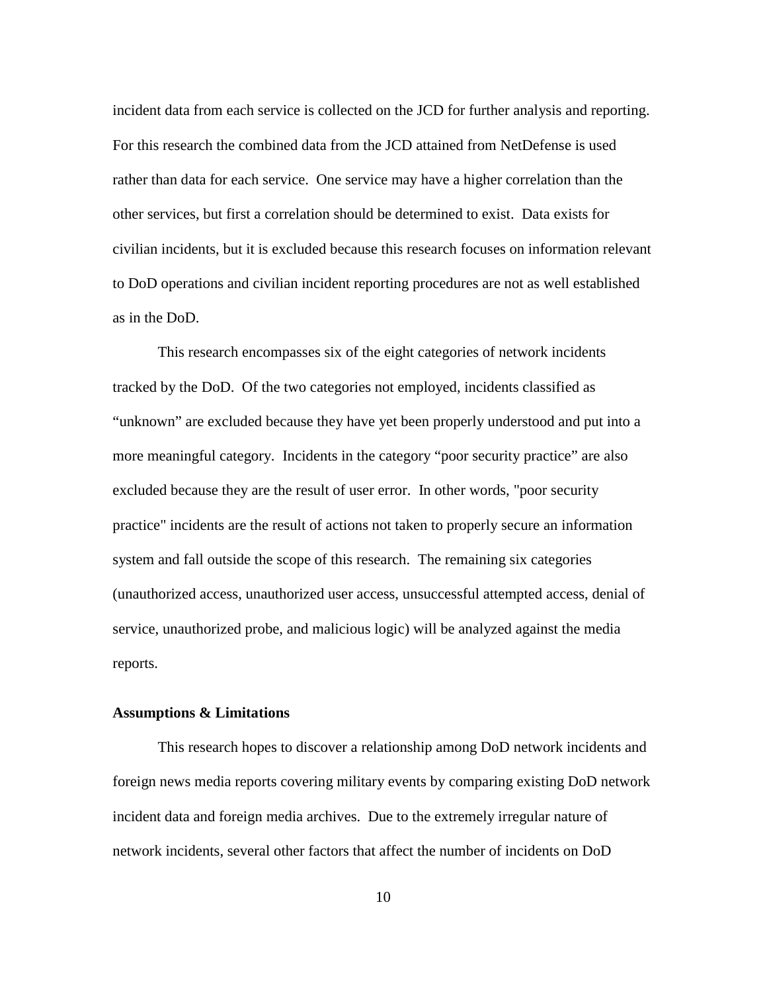incident data from each service is collected on the JCD for further analysis and reporting. For this research the combined data from the JCD attained from NetDefense is used rather than data for each service. One service may have a higher correlation than the other services, but first a correlation should be determined to exist. Data exists for civilian incidents, but it is excluded because this research focuses on information relevant to DoD operations and civilian incident reporting procedures are not as well established as in the DoD.

This research encompasses six of the eight categories of network incidents tracked by the DoD. Of the two categories not employed, incidents classified as "unknown" are excluded because they have yet been properly understood and put into a more meaningful category. Incidents in the category "poor security practice" are also excluded because they are the result of user error. In other words, "poor security practice" incidents are the result of actions not taken to properly secure an information system and fall outside the scope of this research. The remaining six categories (unauthorized access, unauthorized user access, unsuccessful attempted access, denial of service, unauthorized probe, and malicious logic) will be analyzed against the media reports.

#### **Assumptions & Limitations**

This research hopes to discover a relationship among DoD network incidents and foreign news media reports covering military events by comparing existing DoD network incident data and foreign media archives. Due to the extremely irregular nature of network incidents, several other factors that affect the number of incidents on DoD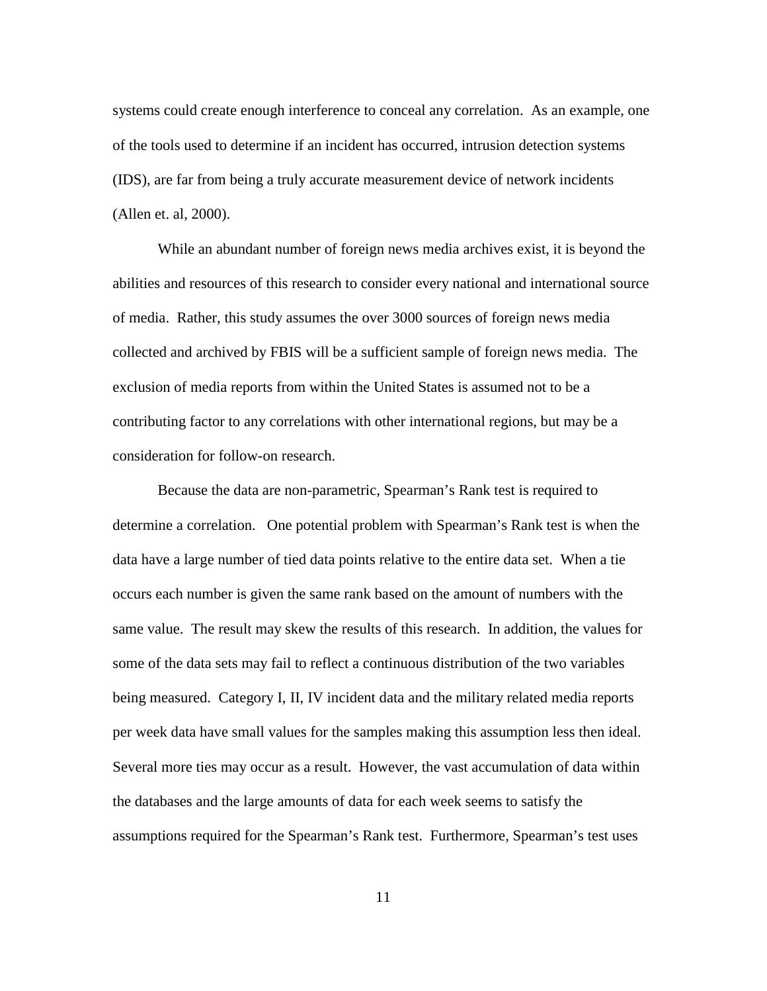systems could create enough interference to conceal any correlation. As an example, one of the tools used to determine if an incident has occurred, intrusion detection systems (IDS), are far from being a truly accurate measurement device of network incidents (Allen et. al, 2000).

While an abundant number of foreign news media archives exist, it is beyond the abilities and resources of this research to consider every national and international source of media. Rather, this study assumes the over 3000 sources of foreign news media collected and archived by FBIS will be a sufficient sample of foreign news media. The exclusion of media reports from within the United States is assumed not to be a contributing factor to any correlations with other international regions, but may be a consideration for follow-on research.

Because the data are non-parametric, Spearman's Rank test is required to determine a correlation. One potential problem with Spearman's Rank test is when the data have a large number of tied data points relative to the entire data set. When a tie occurs each number is given the same rank based on the amount of numbers with the same value. The result may skew the results of this research. In addition, the values for some of the data sets may fail to reflect a continuous distribution of the two variables being measured. Category I, II, IV incident data and the military related media reports per week data have small values for the samples making this assumption less then ideal. Several more ties may occur as a result. However, the vast accumulation of data within the databases and the large amounts of data for each week seems to satisfy the assumptions required for the Spearman's Rank test. Furthermore, Spearman's test uses

11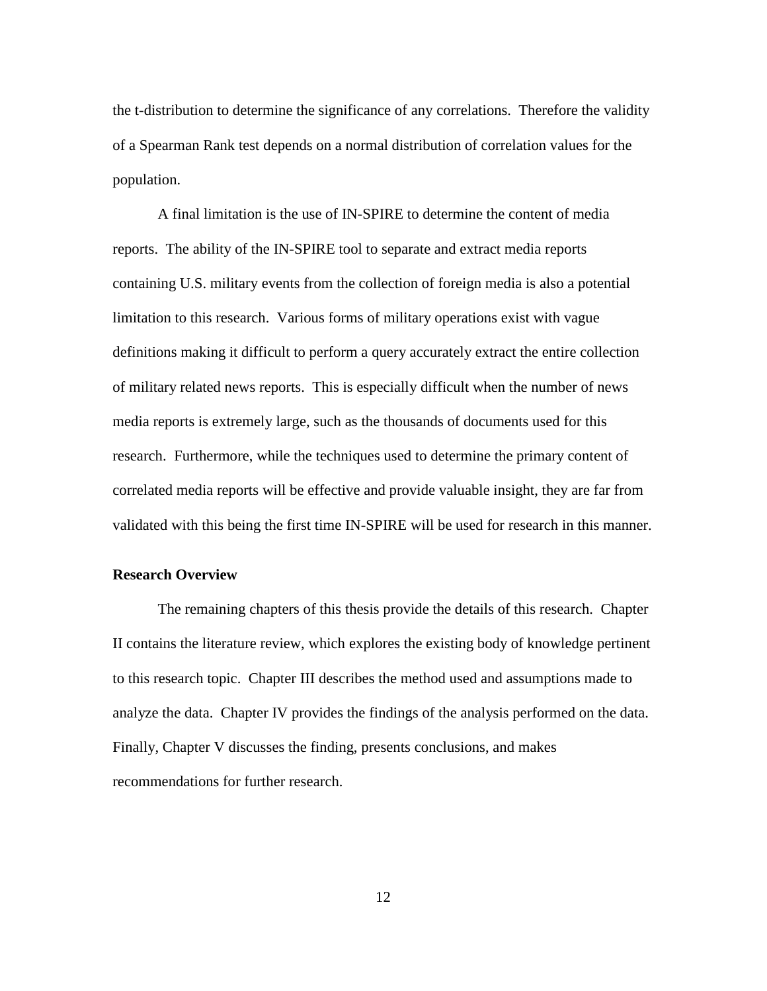the t-distribution to determine the significance of any correlations. Therefore the validity of a Spearman Rank test depends on a normal distribution of correlation values for the population.

A final limitation is the use of IN-SPIRE to determine the content of media reports. The ability of the IN-SPIRE tool to separate and extract media reports containing U.S. military events from the collection of foreign media is also a potential limitation to this research. Various forms of military operations exist with vague definitions making it difficult to perform a query accurately extract the entire collection of military related news reports. This is especially difficult when the number of news media reports is extremely large, such as the thousands of documents used for this research. Furthermore, while the techniques used to determine the primary content of correlated media reports will be effective and provide valuable insight, they are far from validated with this being the first time IN-SPIRE will be used for research in this manner.

#### **Research Overview**

The remaining chapters of this thesis provide the details of this research. Chapter II contains the literature review, which explores the existing body of knowledge pertinent to this research topic. Chapter III describes the method used and assumptions made to analyze the data. Chapter IV provides the findings of the analysis performed on the data. Finally, Chapter V discusses the finding, presents conclusions, and makes recommendations for further research.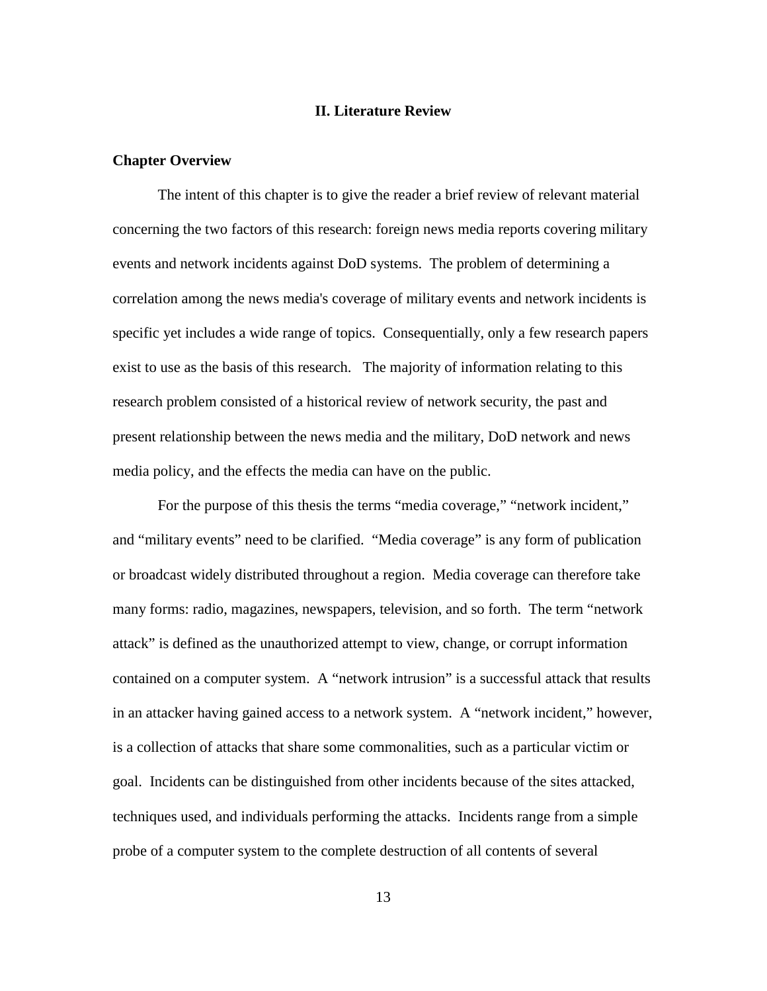#### **II. Literature Review**

#### **Chapter Overview**

The intent of this chapter is to give the reader a brief review of relevant material concerning the two factors of this research: foreign news media reports covering military events and network incidents against DoD systems. The problem of determining a correlation among the news media's coverage of military events and network incidents is specific yet includes a wide range of topics. Consequentially, only a few research papers exist to use as the basis of this research. The majority of information relating to this research problem consisted of a historical review of network security, the past and present relationship between the news media and the military, DoD network and news media policy, and the effects the media can have on the public.

 For the purpose of this thesis the terms "media coverage," "network incident," and "military events" need to be clarified. "Media coverage" is any form of publication or broadcast widely distributed throughout a region. Media coverage can therefore take many forms: radio, magazines, newspapers, television, and so forth. The term "network attack" is defined as the unauthorized attempt to view, change, or corrupt information contained on a computer system. A "network intrusion" is a successful attack that results in an attacker having gained access to a network system. A "network incident," however, is a collection of attacks that share some commonalities, such as a particular victim or goal. Incidents can be distinguished from other incidents because of the sites attacked, techniques used, and individuals performing the attacks. Incidents range from a simple probe of a computer system to the complete destruction of all contents of several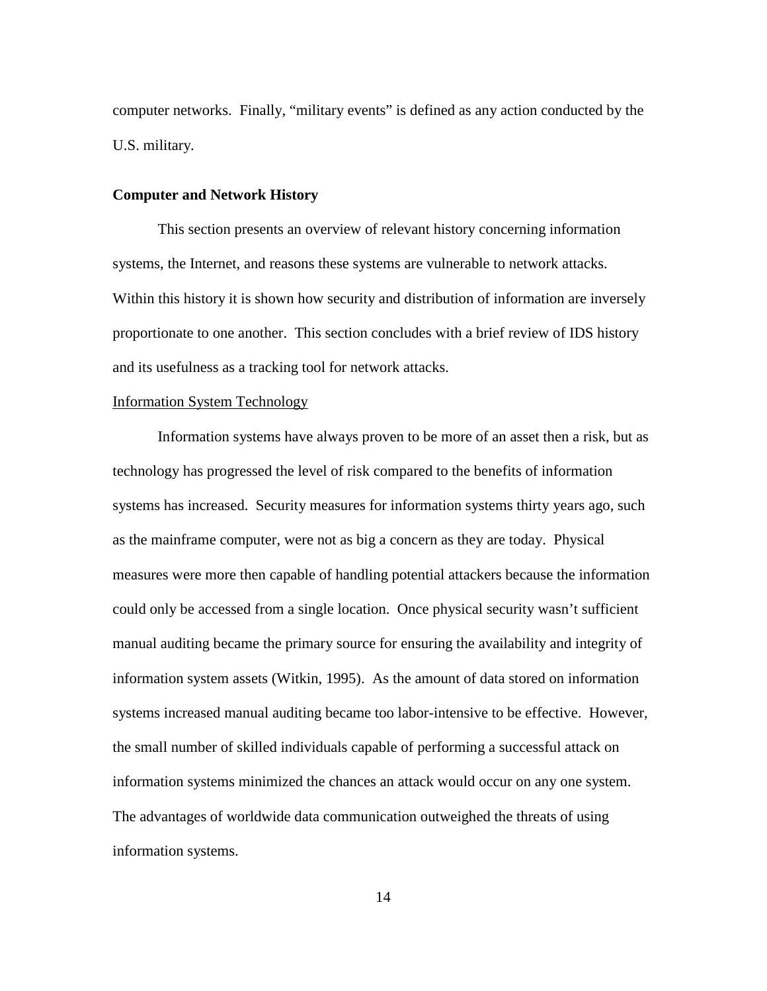computer networks. Finally, "military events" is defined as any action conducted by the U.S. military.

#### **Computer and Network History**

 This section presents an overview of relevant history concerning information systems, the Internet, and reasons these systems are vulnerable to network attacks. Within this history it is shown how security and distribution of information are inversely proportionate to one another. This section concludes with a brief review of IDS history and its usefulness as a tracking tool for network attacks.

#### Information System Technology

Information systems have always proven to be more of an asset then a risk, but as technology has progressed the level of risk compared to the benefits of information systems has increased. Security measures for information systems thirty years ago, such as the mainframe computer, were not as big a concern as they are today. Physical measures were more then capable of handling potential attackers because the information could only be accessed from a single location. Once physical security wasn't sufficient manual auditing became the primary source for ensuring the availability and integrity of information system assets (Witkin, 1995). As the amount of data stored on information systems increased manual auditing became too labor-intensive to be effective. However, the small number of skilled individuals capable of performing a successful attack on information systems minimized the chances an attack would occur on any one system. The advantages of worldwide data communication outweighed the threats of using information systems.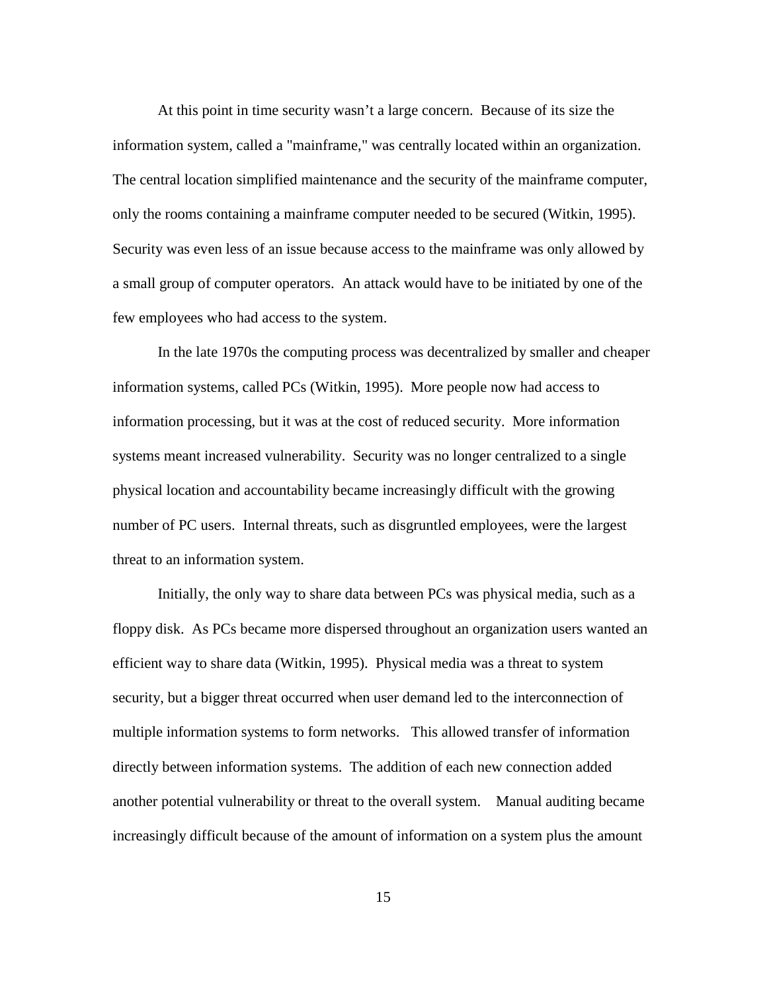At this point in time security wasn't a large concern. Because of its size the information system, called a "mainframe," was centrally located within an organization. The central location simplified maintenance and the security of the mainframe computer, only the rooms containing a mainframe computer needed to be secured (Witkin, 1995). Security was even less of an issue because access to the mainframe was only allowed by a small group of computer operators. An attack would have to be initiated by one of the few employees who had access to the system.

 In the late 1970s the computing process was decentralized by smaller and cheaper information systems, called PCs (Witkin, 1995). More people now had access to information processing, but it was at the cost of reduced security. More information systems meant increased vulnerability. Security was no longer centralized to a single physical location and accountability became increasingly difficult with the growing number of PC users. Internal threats, such as disgruntled employees, were the largest threat to an information system.

Initially, the only way to share data between PCs was physical media, such as a floppy disk. As PCs became more dispersed throughout an organization users wanted an efficient way to share data (Witkin, 1995). Physical media was a threat to system security, but a bigger threat occurred when user demand led to the interconnection of multiple information systems to form networks. This allowed transfer of information directly between information systems. The addition of each new connection added another potential vulnerability or threat to the overall system. Manual auditing became increasingly difficult because of the amount of information on a system plus the amount

15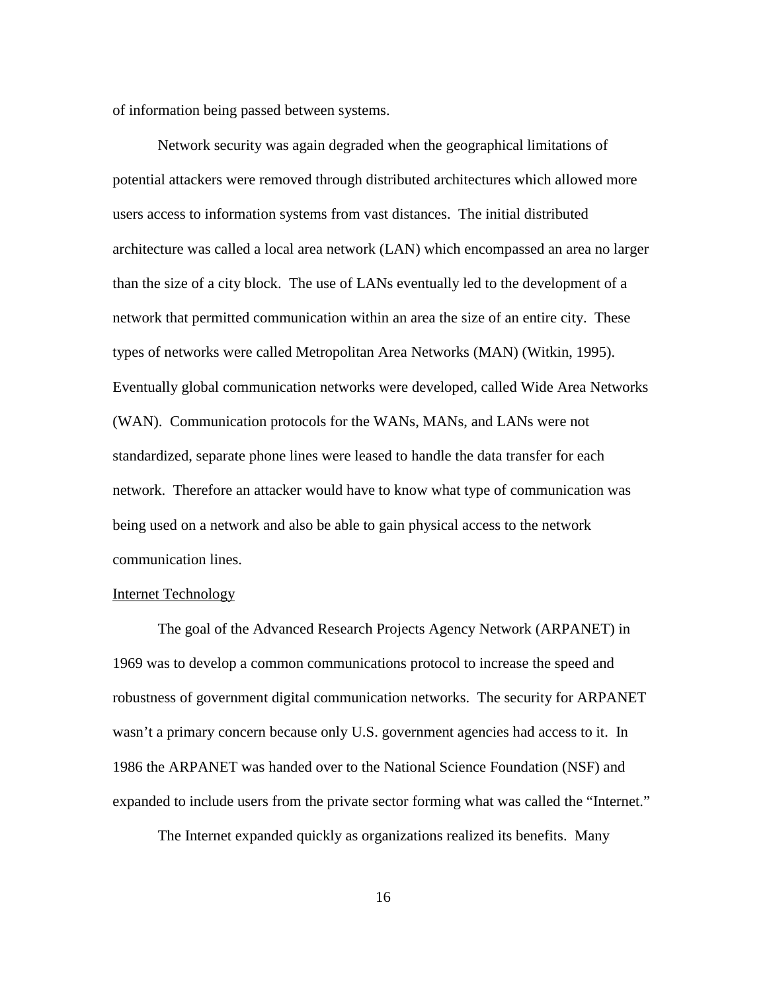of information being passed between systems.

 Network security was again degraded when the geographical limitations of potential attackers were removed through distributed architectures which allowed more users access to information systems from vast distances. The initial distributed architecture was called a local area network (LAN) which encompassed an area no larger than the size of a city block. The use of LANs eventually led to the development of a network that permitted communication within an area the size of an entire city. These types of networks were called Metropolitan Area Networks (MAN) (Witkin, 1995). Eventually global communication networks were developed, called Wide Area Networks (WAN). Communication protocols for the WANs, MANs, and LANs were not standardized, separate phone lines were leased to handle the data transfer for each network. Therefore an attacker would have to know what type of communication was being used on a network and also be able to gain physical access to the network communication lines.

#### Internet Technology

The goal of the Advanced Research Projects Agency Network (ARPANET) in 1969 was to develop a common communications protocol to increase the speed and robustness of government digital communication networks. The security for ARPANET wasn't a primary concern because only U.S. government agencies had access to it. In 1986 the ARPANET was handed over to the National Science Foundation (NSF) and expanded to include users from the private sector forming what was called the "Internet."

The Internet expanded quickly as organizations realized its benefits. Many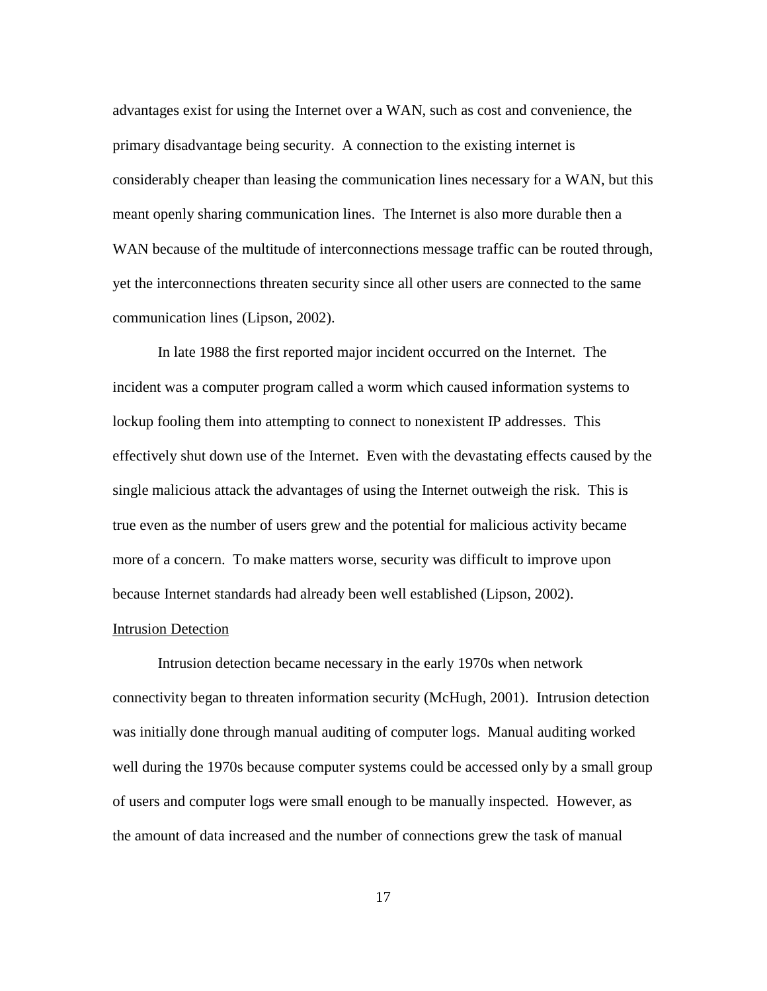advantages exist for using the Internet over a WAN, such as cost and convenience, the primary disadvantage being security. A connection to the existing internet is considerably cheaper than leasing the communication lines necessary for a WAN, but this meant openly sharing communication lines. The Internet is also more durable then a WAN because of the multitude of interconnections message traffic can be routed through, yet the interconnections threaten security since all other users are connected to the same communication lines (Lipson, 2002).

In late 1988 the first reported major incident occurred on the Internet. The incident was a computer program called a worm which caused information systems to lockup fooling them into attempting to connect to nonexistent IP addresses. This effectively shut down use of the Internet. Even with the devastating effects caused by the single malicious attack the advantages of using the Internet outweigh the risk. This is true even as the number of users grew and the potential for malicious activity became more of a concern. To make matters worse, security was difficult to improve upon because Internet standards had already been well established (Lipson, 2002).

#### Intrusion Detection

 Intrusion detection became necessary in the early 1970s when network connectivity began to threaten information security (McHugh, 2001). Intrusion detection was initially done through manual auditing of computer logs. Manual auditing worked well during the 1970s because computer systems could be accessed only by a small group of users and computer logs were small enough to be manually inspected. However, as the amount of data increased and the number of connections grew the task of manual

17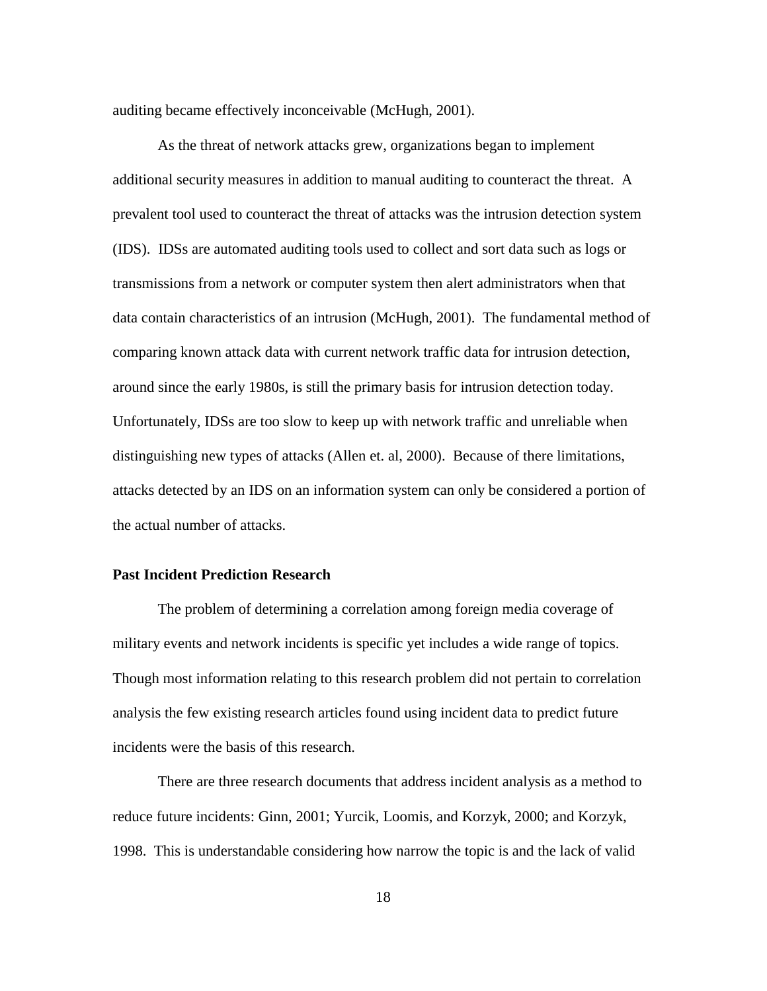auditing became effectively inconceivable (McHugh, 2001).

As the threat of network attacks grew, organizations began to implement additional security measures in addition to manual auditing to counteract the threat. A prevalent tool used to counteract the threat of attacks was the intrusion detection system (IDS). IDSs are automated auditing tools used to collect and sort data such as logs or transmissions from a network or computer system then alert administrators when that data contain characteristics of an intrusion (McHugh, 2001). The fundamental method of comparing known attack data with current network traffic data for intrusion detection, around since the early 1980s, is still the primary basis for intrusion detection today. Unfortunately, IDSs are too slow to keep up with network traffic and unreliable when distinguishing new types of attacks (Allen et. al, 2000). Because of there limitations, attacks detected by an IDS on an information system can only be considered a portion of the actual number of attacks.

#### **Past Incident Prediction Research**

The problem of determining a correlation among foreign media coverage of military events and network incidents is specific yet includes a wide range of topics. Though most information relating to this research problem did not pertain to correlation analysis the few existing research articles found using incident data to predict future incidents were the basis of this research.

There are three research documents that address incident analysis as a method to reduce future incidents: Ginn, 2001; Yurcik, Loomis, and Korzyk, 2000; and Korzyk, 1998. This is understandable considering how narrow the topic is and the lack of valid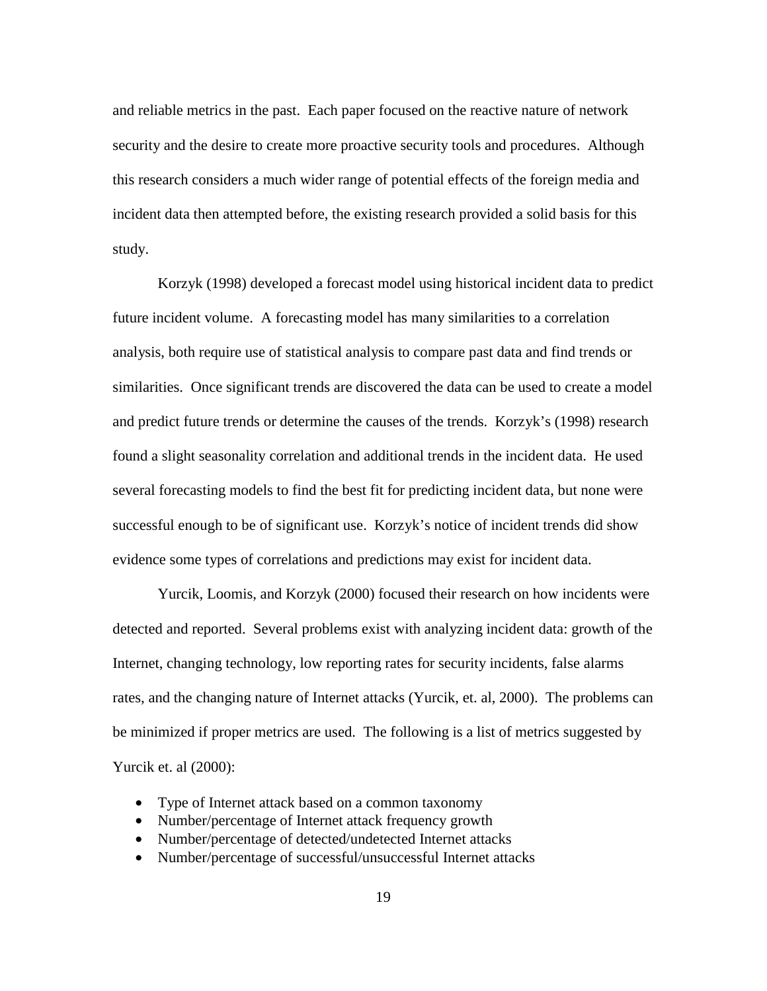and reliable metrics in the past. Each paper focused on the reactive nature of network security and the desire to create more proactive security tools and procedures. Although this research considers a much wider range of potential effects of the foreign media and incident data then attempted before, the existing research provided a solid basis for this study.

Korzyk (1998) developed a forecast model using historical incident data to predict future incident volume. A forecasting model has many similarities to a correlation analysis, both require use of statistical analysis to compare past data and find trends or similarities. Once significant trends are discovered the data can be used to create a model and predict future trends or determine the causes of the trends. Korzyk's (1998) research found a slight seasonality correlation and additional trends in the incident data. He used several forecasting models to find the best fit for predicting incident data, but none were successful enough to be of significant use. Korzyk's notice of incident trends did show evidence some types of correlations and predictions may exist for incident data.

Yurcik, Loomis, and Korzyk (2000) focused their research on how incidents were detected and reported. Several problems exist with analyzing incident data: growth of the Internet, changing technology, low reporting rates for security incidents, false alarms rates, and the changing nature of Internet attacks (Yurcik, et. al, 2000). The problems can be minimized if proper metrics are used. The following is a list of metrics suggested by Yurcik et. al (2000):

- Type of Internet attack based on a common taxonomy
- Number/percentage of Internet attack frequency growth
- Number/percentage of detected/undetected Internet attacks
- Number/percentage of successful/unsuccessful Internet attacks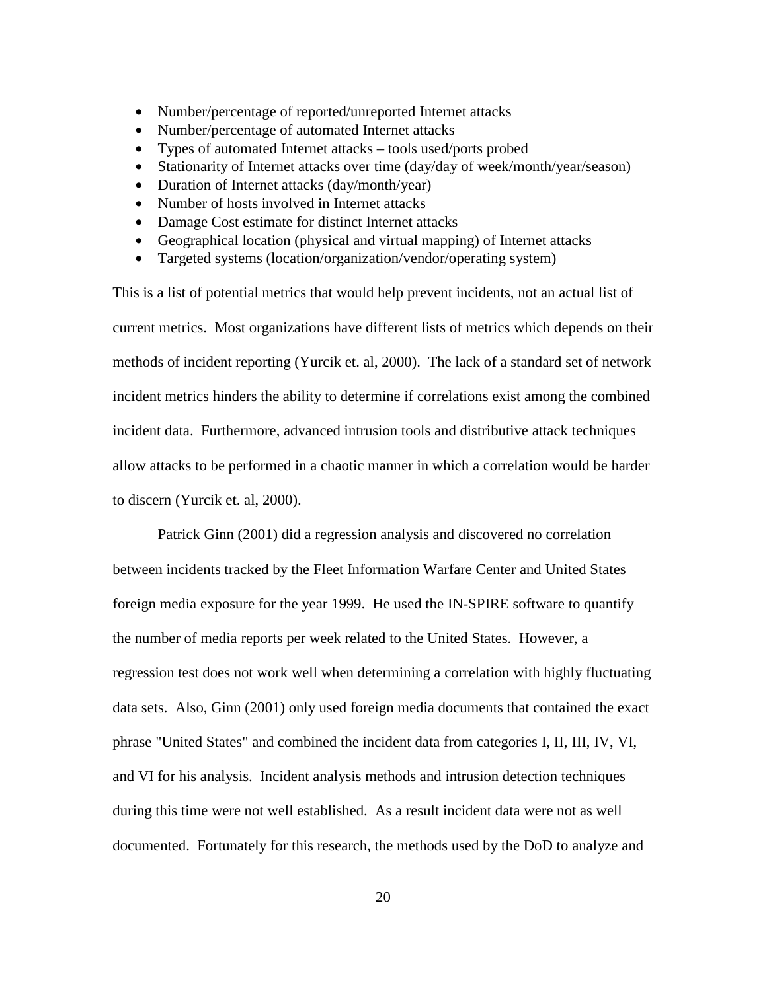- Number/percentage of reported/unreported Internet attacks
- Number/percentage of automated Internet attacks
- Types of automated Internet attacks tools used/ports probed
- Stationarity of Internet attacks over time (day/day of week/month/year/season)
- Duration of Internet attacks (day/month/year)
- Number of hosts involved in Internet attacks
- Damage Cost estimate for distinct Internet attacks
- Geographical location (physical and virtual mapping) of Internet attacks
- Targeted systems (location/organization/vendor/operating system)

This is a list of potential metrics that would help prevent incidents, not an actual list of current metrics. Most organizations have different lists of metrics which depends on their methods of incident reporting (Yurcik et. al, 2000). The lack of a standard set of network incident metrics hinders the ability to determine if correlations exist among the combined incident data. Furthermore, advanced intrusion tools and distributive attack techniques allow attacks to be performed in a chaotic manner in which a correlation would be harder to discern (Yurcik et. al, 2000).

Patrick Ginn (2001) did a regression analysis and discovered no correlation between incidents tracked by the Fleet Information Warfare Center and United States foreign media exposure for the year 1999. He used the IN-SPIRE software to quantify the number of media reports per week related to the United States. However, a regression test does not work well when determining a correlation with highly fluctuating data sets. Also, Ginn (2001) only used foreign media documents that contained the exact phrase "United States" and combined the incident data from categories I, II, III, IV, VI, and VI for his analysis. Incident analysis methods and intrusion detection techniques during this time were not well established. As a result incident data were not as well documented. Fortunately for this research, the methods used by the DoD to analyze and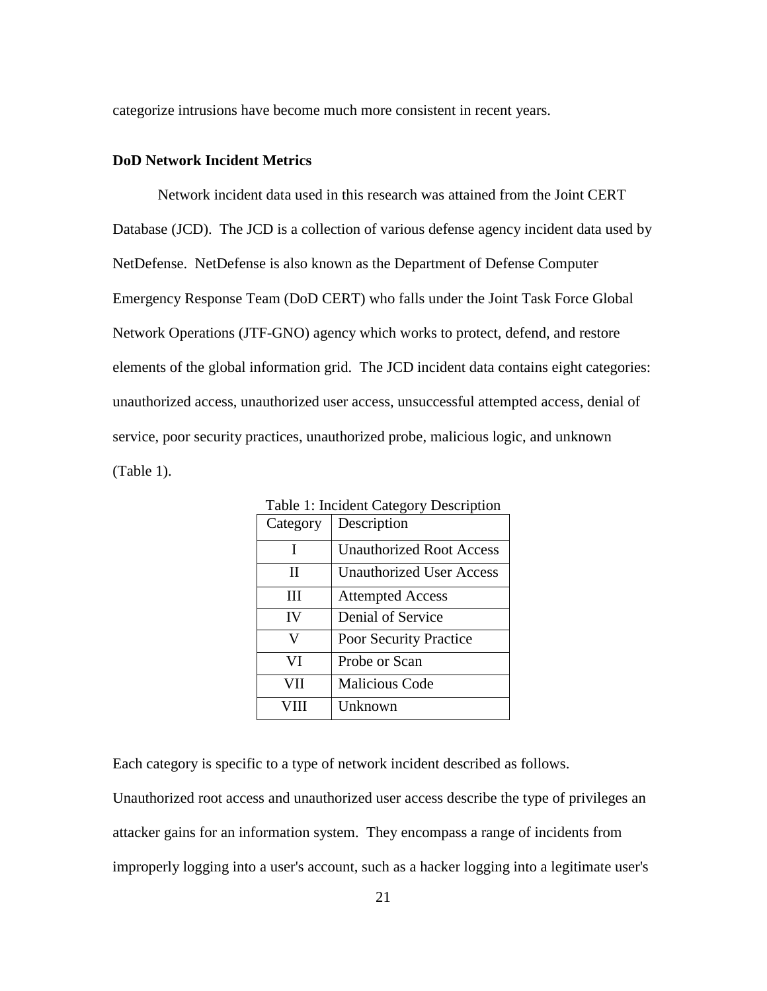categorize intrusions have become much more consistent in recent years.

#### **DoD Network Incident Metrics**

 Network incident data used in this research was attained from the Joint CERT Database (JCD). The JCD is a collection of various defense agency incident data used by NetDefense. NetDefense is also known as the Department of Defense Computer Emergency Response Team (DoD CERT) who falls under the Joint Task Force Global Network Operations (JTF-GNO) agency which works to protect, defend, and restore elements of the global information grid. The JCD incident data contains eight categories: unauthorized access, unauthorized user access, unsuccessful attempted access, denial of service, poor security practices, unauthorized probe, malicious logic, and unknown (Table 1).

| Table 1: Incluent Category Description |                                 |  |  |
|----------------------------------------|---------------------------------|--|--|
| Category                               | Description                     |  |  |
| T                                      | <b>Unauthorized Root Access</b> |  |  |
| Н                                      | <b>Unauthorized User Access</b> |  |  |
| Ш                                      | <b>Attempted Access</b>         |  |  |
| IV                                     | Denial of Service               |  |  |
| V                                      | Poor Security Practice          |  |  |
| VI                                     | Probe or Scan                   |  |  |
| VII                                    | <b>Malicious Code</b>           |  |  |
|                                        | Unknown                         |  |  |

Table 1: Incident Category Description

Each category is specific to a type of network incident described as follows.

Unauthorized root access and unauthorized user access describe the type of privileges an attacker gains for an information system. They encompass a range of incidents from improperly logging into a user's account, such as a hacker logging into a legitimate user's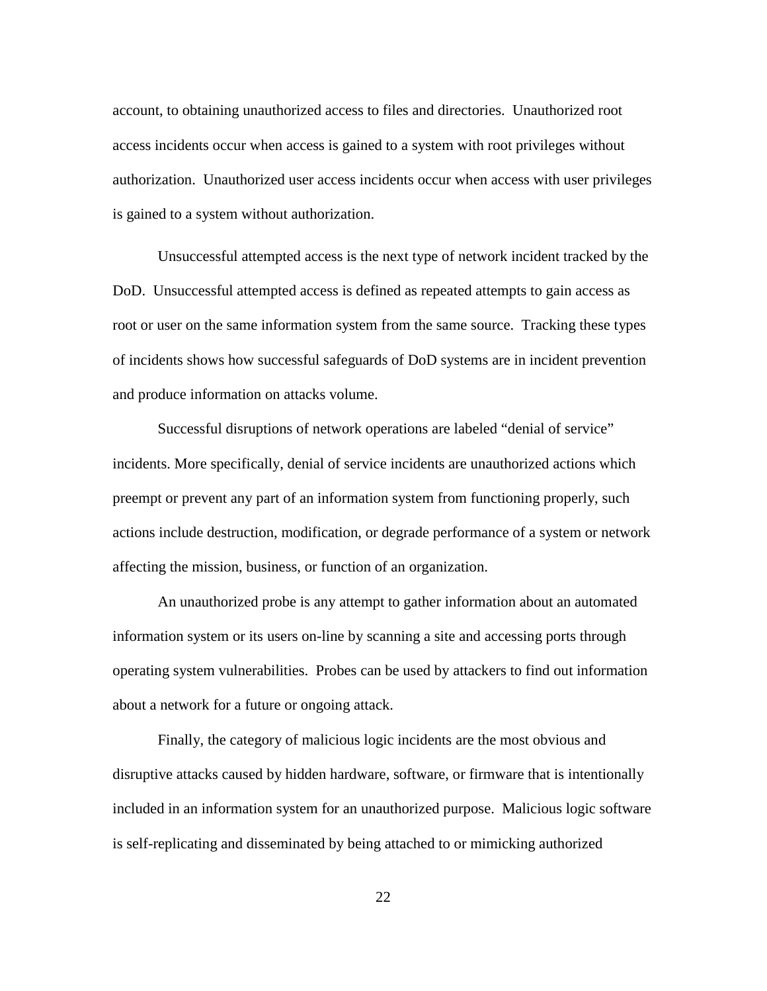account, to obtaining unauthorized access to files and directories. Unauthorized root access incidents occur when access is gained to a system with root privileges without authorization. Unauthorized user access incidents occur when access with user privileges is gained to a system without authorization.

 Unsuccessful attempted access is the next type of network incident tracked by the DoD. Unsuccessful attempted access is defined as repeated attempts to gain access as root or user on the same information system from the same source. Tracking these types of incidents shows how successful safeguards of DoD systems are in incident prevention and produce information on attacks volume.

 Successful disruptions of network operations are labeled "denial of service" incidents. More specifically, denial of service incidents are unauthorized actions which preempt or prevent any part of an information system from functioning properly, such actions include destruction, modification, or degrade performance of a system or network affecting the mission, business, or function of an organization.

 An unauthorized probe is any attempt to gather information about an automated information system or its users on-line by scanning a site and accessing ports through operating system vulnerabilities. Probes can be used by attackers to find out information about a network for a future or ongoing attack.

 Finally, the category of malicious logic incidents are the most obvious and disruptive attacks caused by hidden hardware, software, or firmware that is intentionally included in an information system for an unauthorized purpose. Malicious logic software is self-replicating and disseminated by being attached to or mimicking authorized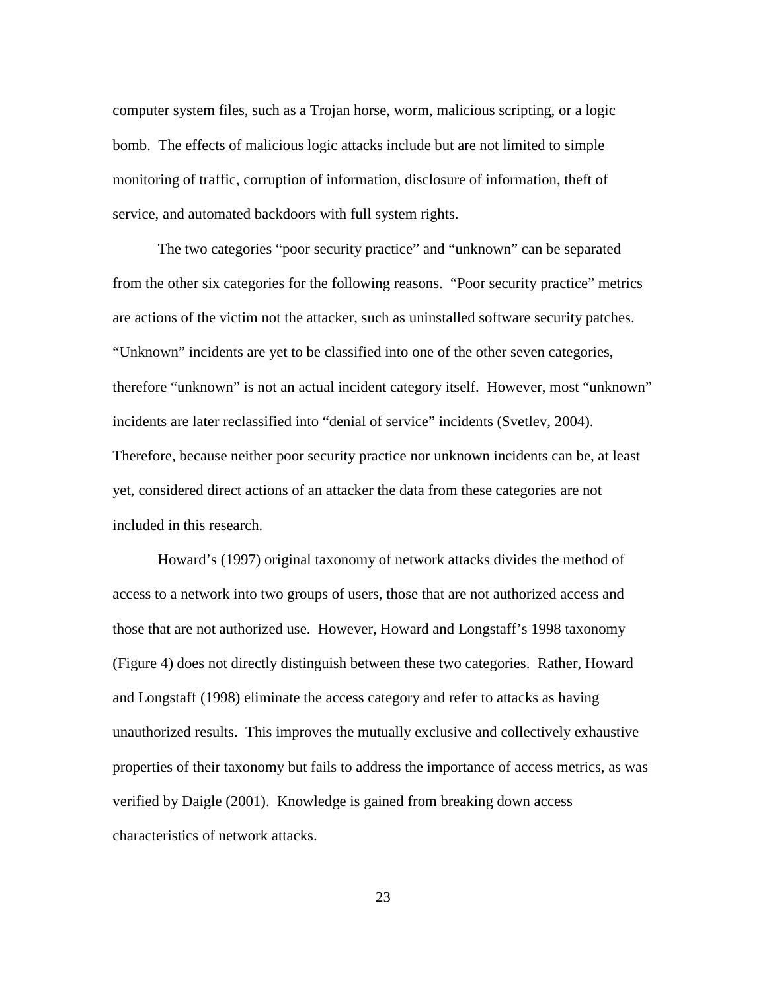computer system files, such as a Trojan horse, worm, malicious scripting, or a logic bomb. The effects of malicious logic attacks include but are not limited to simple monitoring of traffic, corruption of information, disclosure of information, theft of service, and automated backdoors with full system rights.

 The two categories "poor security practice" and "unknown" can be separated from the other six categories for the following reasons. "Poor security practice" metrics are actions of the victim not the attacker, such as uninstalled software security patches. "Unknown" incidents are yet to be classified into one of the other seven categories, therefore "unknown" is not an actual incident category itself. However, most "unknown" incidents are later reclassified into "denial of service" incidents (Svetlev, 2004). Therefore, because neither poor security practice nor unknown incidents can be, at least yet, considered direct actions of an attacker the data from these categories are not included in this research.

 Howard's (1997) original taxonomy of network attacks divides the method of access to a network into two groups of users, those that are not authorized access and those that are not authorized use. However, Howard and Longstaff's 1998 taxonomy (Figure 4) does not directly distinguish between these two categories. Rather, Howard and Longstaff (1998) eliminate the access category and refer to attacks as having unauthorized results. This improves the mutually exclusive and collectively exhaustive properties of their taxonomy but fails to address the importance of access metrics, as was verified by Daigle (2001). Knowledge is gained from breaking down access characteristics of network attacks.

23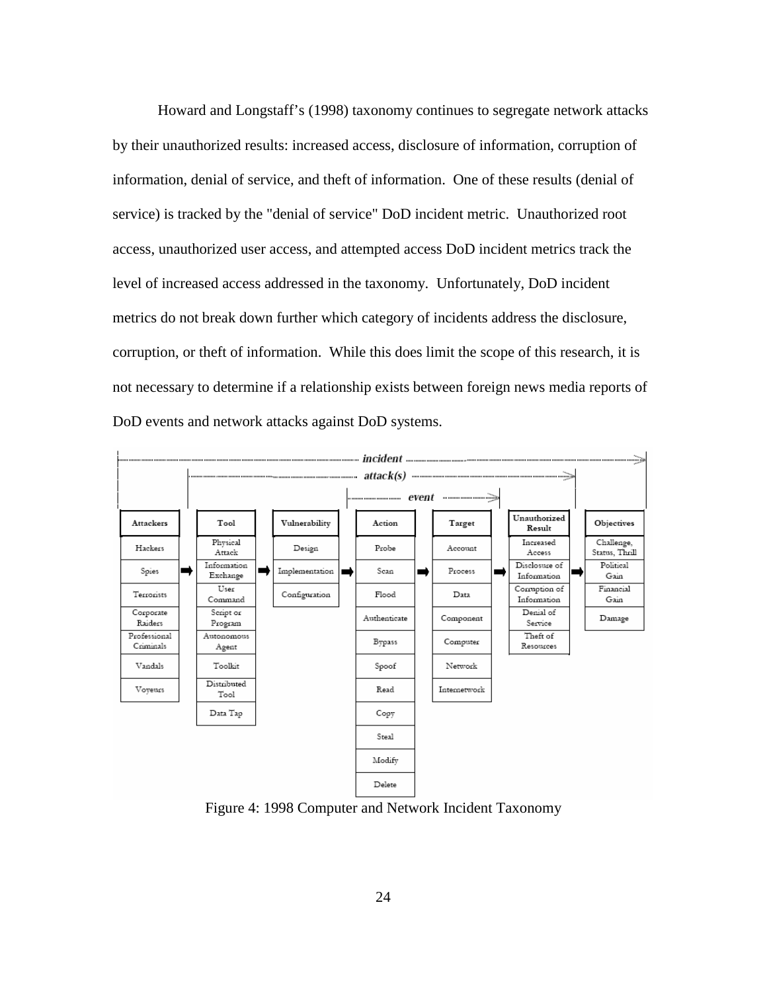Howard and Longstaff's (1998) taxonomy continues to segregate network attacks by their unauthorized results: increased access, disclosure of information, corruption of information, denial of service, and theft of information. One of these results (denial of service) is tracked by the "denial of service" DoD incident metric. Unauthorized root access, unauthorized user access, and attempted access DoD incident metrics track the level of increased access addressed in the taxonomy. Unfortunately, DoD incident metrics do not break down further which category of incidents address the disclosure, corruption, or theft of information. While this does limit the scope of this research, it is not necessary to determine if a relationship exists between foreign news media reports of DoD events and network attacks against DoD systems.



Figure 4: 1998 Computer and Network Incident Taxonomy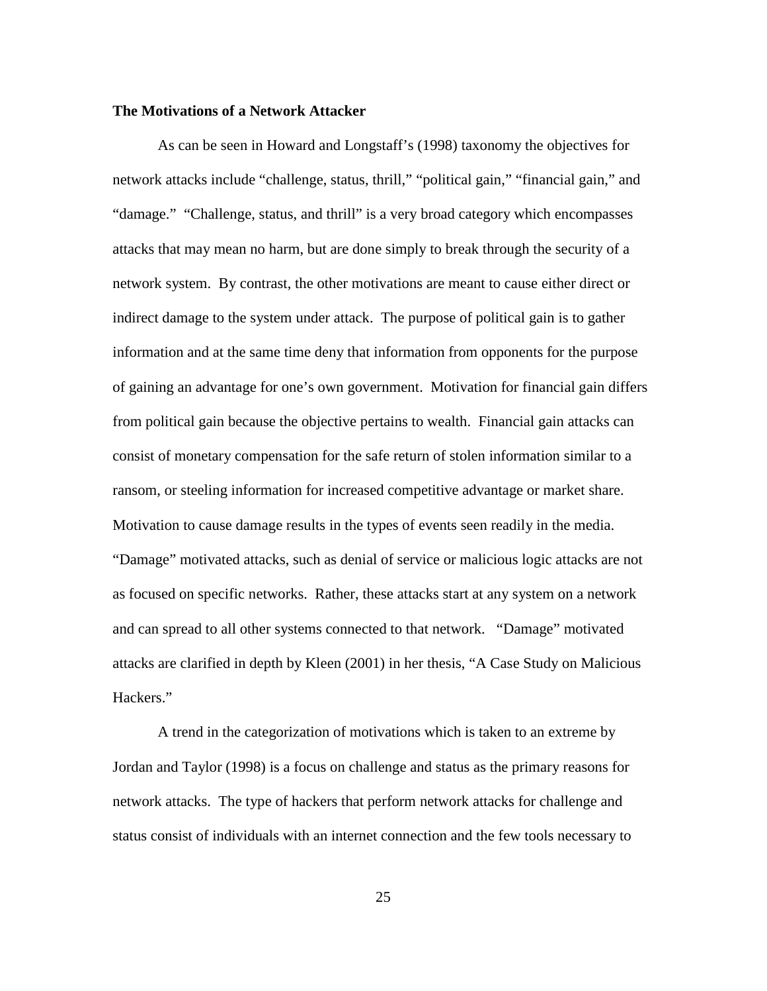#### **The Motivations of a Network Attacker**

 As can be seen in Howard and Longstaff's (1998) taxonomy the objectives for network attacks include "challenge, status, thrill," "political gain," "financial gain," and "damage." "Challenge, status, and thrill" is a very broad category which encompasses attacks that may mean no harm, but are done simply to break through the security of a network system. By contrast, the other motivations are meant to cause either direct or indirect damage to the system under attack. The purpose of political gain is to gather information and at the same time deny that information from opponents for the purpose of gaining an advantage for one's own government. Motivation for financial gain differs from political gain because the objective pertains to wealth. Financial gain attacks can consist of monetary compensation for the safe return of stolen information similar to a ransom, or steeling information for increased competitive advantage or market share. Motivation to cause damage results in the types of events seen readily in the media. "Damage" motivated attacks, such as denial of service or malicious logic attacks are not as focused on specific networks. Rather, these attacks start at any system on a network and can spread to all other systems connected to that network. "Damage" motivated attacks are clarified in depth by Kleen (2001) in her thesis, "A Case Study on Malicious Hackers."

A trend in the categorization of motivations which is taken to an extreme by Jordan and Taylor (1998) is a focus on challenge and status as the primary reasons for network attacks. The type of hackers that perform network attacks for challenge and status consist of individuals with an internet connection and the few tools necessary to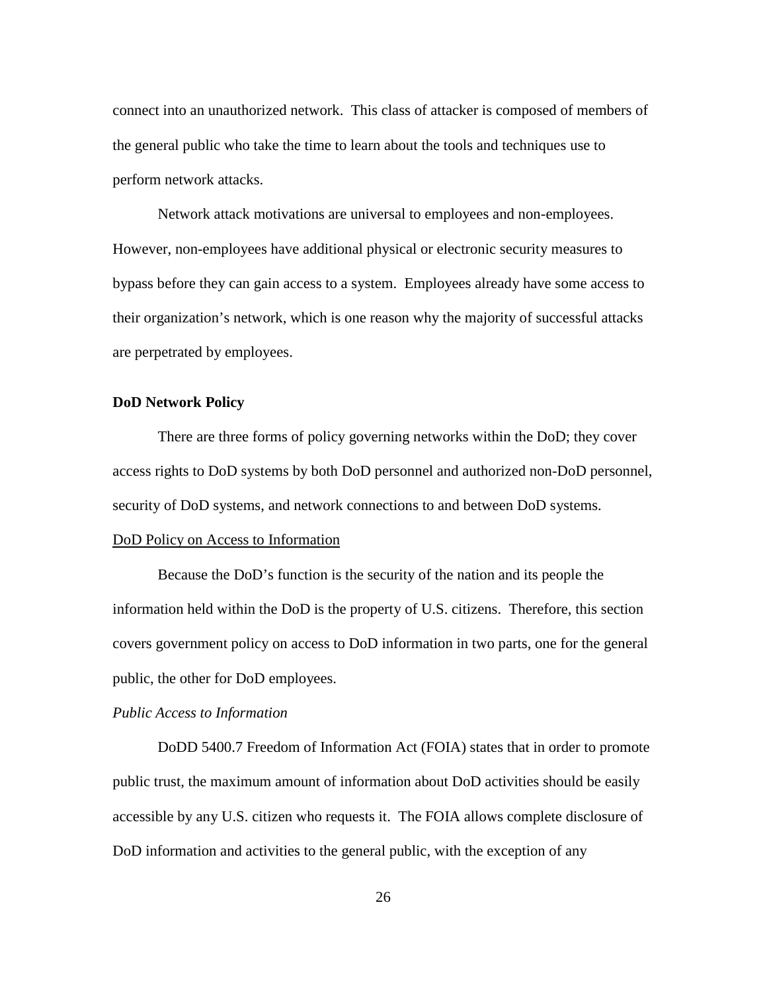connect into an unauthorized network. This class of attacker is composed of members of the general public who take the time to learn about the tools and techniques use to perform network attacks.

Network attack motivations are universal to employees and non-employees. However, non-employees have additional physical or electronic security measures to bypass before they can gain access to a system. Employees already have some access to their organization's network, which is one reason why the majority of successful attacks are perpetrated by employees.

#### **DoD Network Policy**

 There are three forms of policy governing networks within the DoD; they cover access rights to DoD systems by both DoD personnel and authorized non-DoD personnel, security of DoD systems, and network connections to and between DoD systems.

#### DoD Policy on Access to Information

 Because the DoD's function is the security of the nation and its people the information held within the DoD is the property of U.S. citizens. Therefore, this section covers government policy on access to DoD information in two parts, one for the general public, the other for DoD employees.

#### *Public Access to Information*

DoDD 5400.7 Freedom of Information Act (FOIA) states that in order to promote public trust, the maximum amount of information about DoD activities should be easily accessible by any U.S. citizen who requests it. The FOIA allows complete disclosure of DoD information and activities to the general public, with the exception of any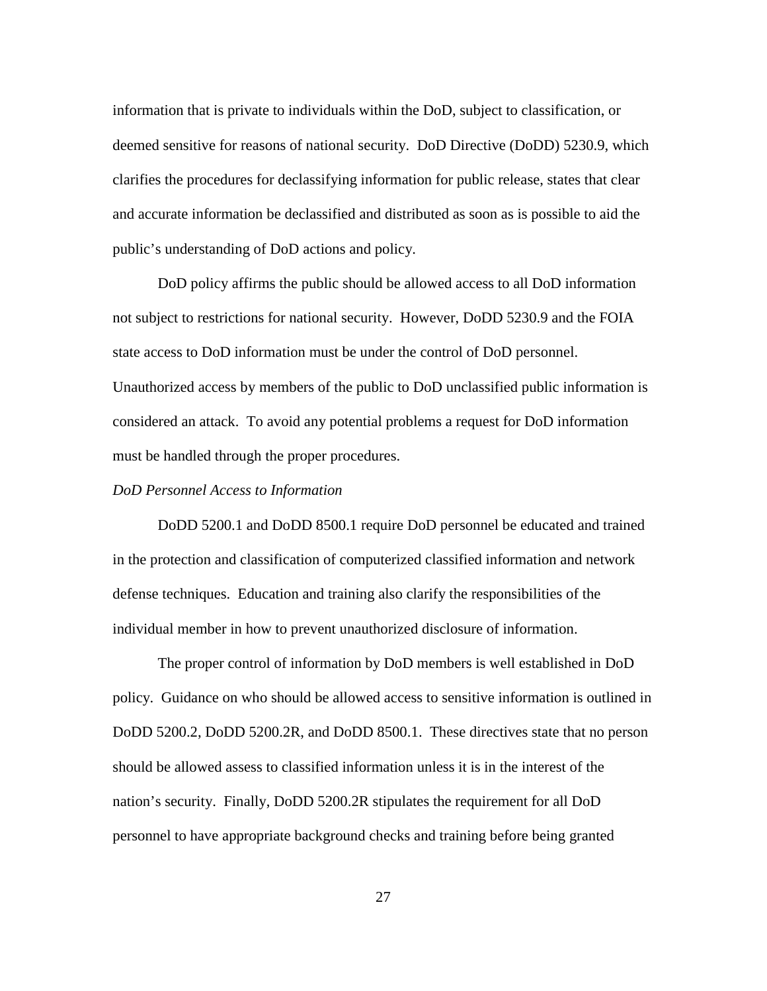information that is private to individuals within the DoD, subject to classification, or deemed sensitive for reasons of national security. DoD Directive (DoDD) 5230.9, which clarifies the procedures for declassifying information for public release, states that clear and accurate information be declassified and distributed as soon as is possible to aid the public's understanding of DoD actions and policy.

DoD policy affirms the public should be allowed access to all DoD information not subject to restrictions for national security. However, DoDD 5230.9 and the FOIA state access to DoD information must be under the control of DoD personnel. Unauthorized access by members of the public to DoD unclassified public information is considered an attack. To avoid any potential problems a request for DoD information must be handled through the proper procedures.

# *DoD Personnel Access to Information*

 DoDD 5200.1 and DoDD 8500.1 require DoD personnel be educated and trained in the protection and classification of computerized classified information and network defense techniques. Education and training also clarify the responsibilities of the individual member in how to prevent unauthorized disclosure of information.

The proper control of information by DoD members is well established in DoD policy. Guidance on who should be allowed access to sensitive information is outlined in DoDD 5200.2, DoDD 5200.2R, and DoDD 8500.1. These directives state that no person should be allowed assess to classified information unless it is in the interest of the nation's security. Finally, DoDD 5200.2R stipulates the requirement for all DoD personnel to have appropriate background checks and training before being granted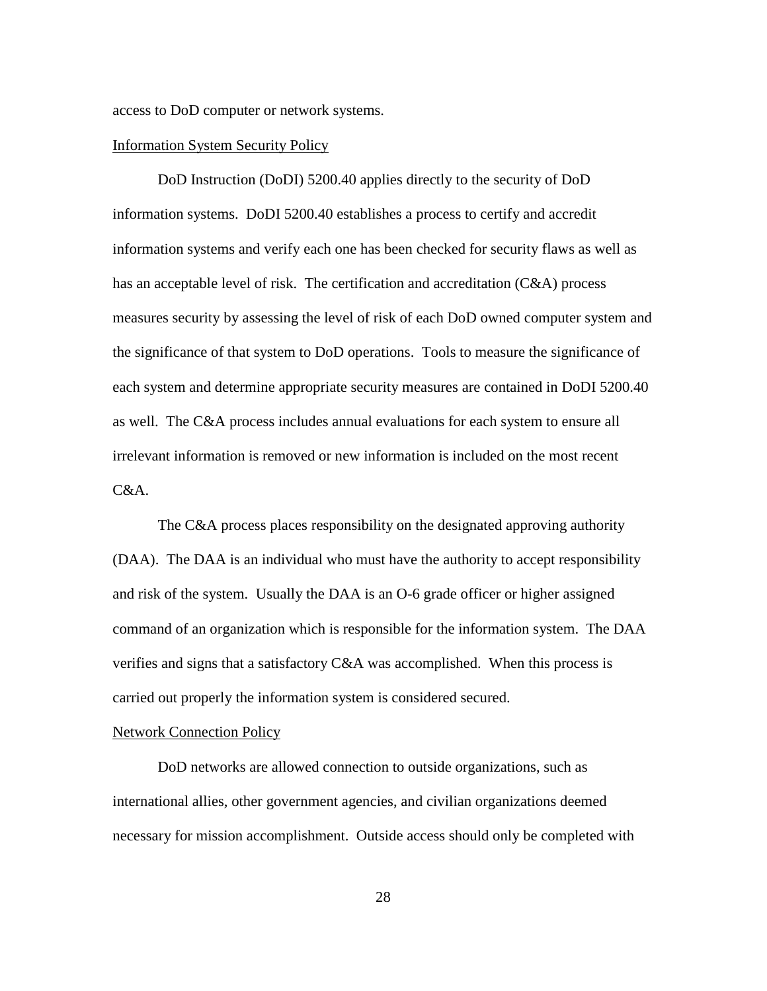access to DoD computer or network systems.

#### Information System Security Policy

DoD Instruction (DoDI) 5200.40 applies directly to the security of DoD information systems. DoDI 5200.40 establishes a process to certify and accredit information systems and verify each one has been checked for security flaws as well as has an acceptable level of risk. The certification and accreditation (C&A) process measures security by assessing the level of risk of each DoD owned computer system and the significance of that system to DoD operations. Tools to measure the significance of each system and determine appropriate security measures are contained in DoDI 5200.40 as well. The C&A process includes annual evaluations for each system to ensure all irrelevant information is removed or new information is included on the most recent C&A.

The C&A process places responsibility on the designated approving authority (DAA). The DAA is an individual who must have the authority to accept responsibility and risk of the system. Usually the DAA is an O-6 grade officer or higher assigned command of an organization which is responsible for the information system. The DAA verifies and signs that a satisfactory C&A was accomplished. When this process is carried out properly the information system is considered secured.

#### Network Connection Policy

DoD networks are allowed connection to outside organizations, such as international allies, other government agencies, and civilian organizations deemed necessary for mission accomplishment. Outside access should only be completed with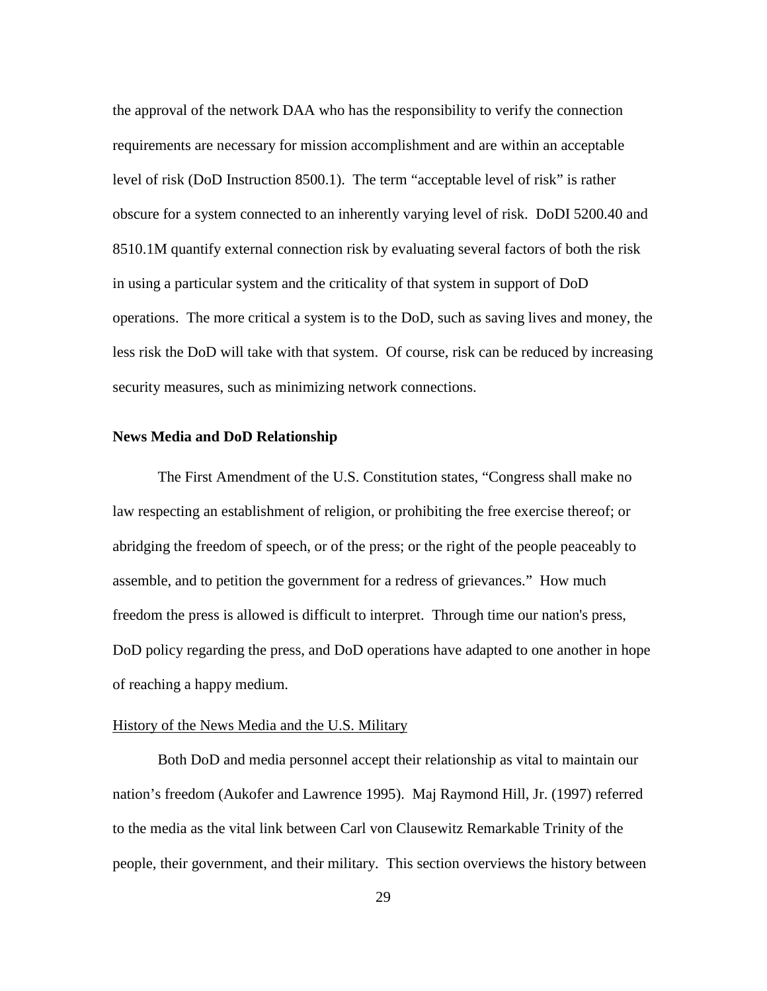the approval of the network DAA who has the responsibility to verify the connection requirements are necessary for mission accomplishment and are within an acceptable level of risk (DoD Instruction 8500.1). The term "acceptable level of risk" is rather obscure for a system connected to an inherently varying level of risk. DoDI 5200.40 and 8510.1M quantify external connection risk by evaluating several factors of both the risk in using a particular system and the criticality of that system in support of DoD operations. The more critical a system is to the DoD, such as saving lives and money, the less risk the DoD will take with that system. Of course, risk can be reduced by increasing security measures, such as minimizing network connections.

## **News Media and DoD Relationship**

 The First Amendment of the U.S. Constitution states, "Congress shall make no law respecting an establishment of religion, or prohibiting the free exercise thereof; or abridging the freedom of speech, or of the press; or the right of the people peaceably to assemble, and to petition the government for a redress of grievances." How much freedom the press is allowed is difficult to interpret. Through time our nation's press, DoD policy regarding the press, and DoD operations have adapted to one another in hope of reaching a happy medium.

#### History of the News Media and the U.S. Military

 Both DoD and media personnel accept their relationship as vital to maintain our nation's freedom (Aukofer and Lawrence 1995). Maj Raymond Hill, Jr. (1997) referred to the media as the vital link between Carl von Clausewitz Remarkable Trinity of the people, their government, and their military. This section overviews the history between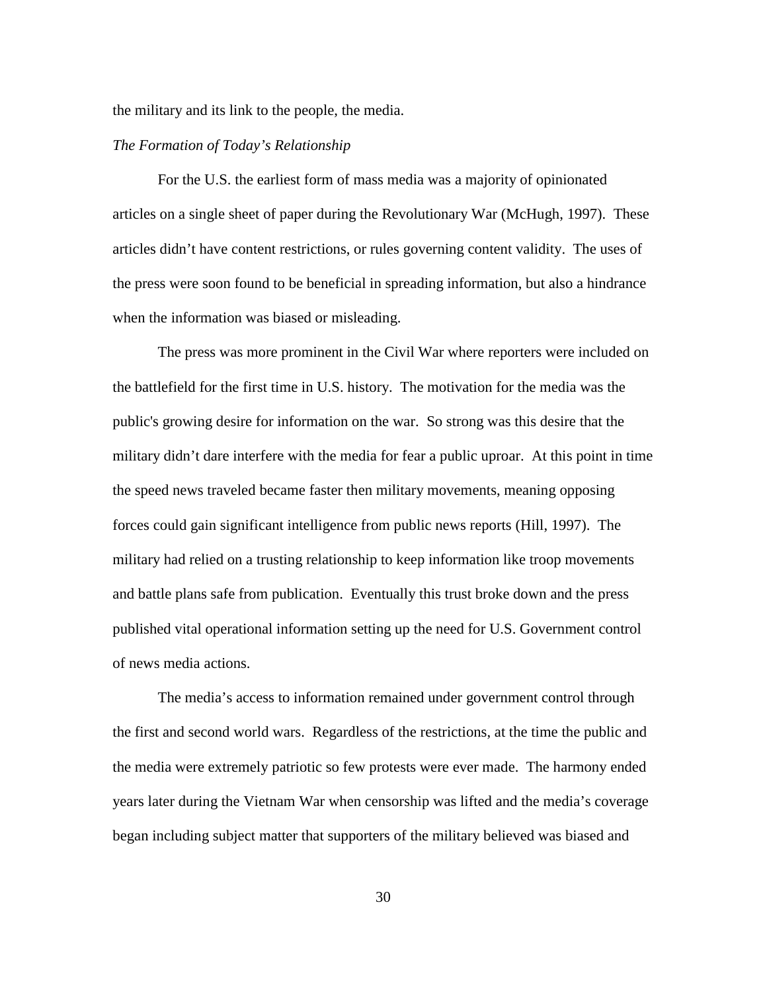the military and its link to the people, the media.

# *The Formation of Today's Relationship*

 For the U.S. the earliest form of mass media was a majority of opinionated articles on a single sheet of paper during the Revolutionary War (McHugh, 1997). These articles didn't have content restrictions, or rules governing content validity. The uses of the press were soon found to be beneficial in spreading information, but also a hindrance when the information was biased or misleading.

 The press was more prominent in the Civil War where reporters were included on the battlefield for the first time in U.S. history. The motivation for the media was the public's growing desire for information on the war. So strong was this desire that the military didn't dare interfere with the media for fear a public uproar. At this point in time the speed news traveled became faster then military movements, meaning opposing forces could gain significant intelligence from public news reports (Hill, 1997). The military had relied on a trusting relationship to keep information like troop movements and battle plans safe from publication. Eventually this trust broke down and the press published vital operational information setting up the need for U.S. Government control of news media actions.

 The media's access to information remained under government control through the first and second world wars. Regardless of the restrictions, at the time the public and the media were extremely patriotic so few protests were ever made. The harmony ended years later during the Vietnam War when censorship was lifted and the media's coverage began including subject matter that supporters of the military believed was biased and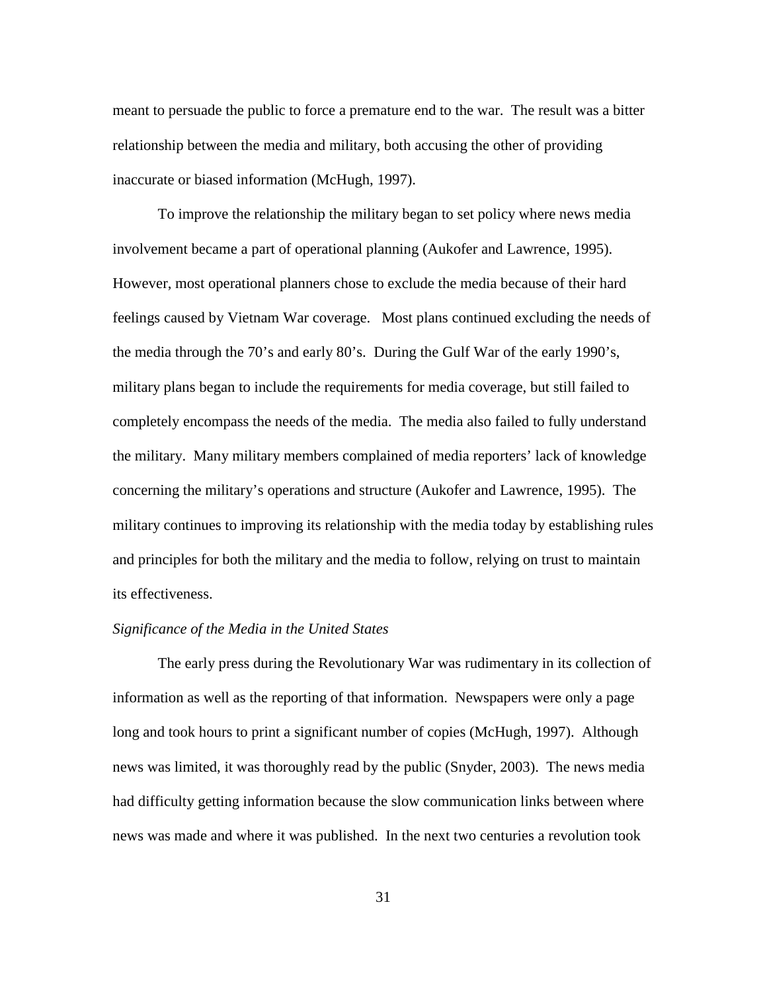meant to persuade the public to force a premature end to the war. The result was a bitter relationship between the media and military, both accusing the other of providing inaccurate or biased information (McHugh, 1997).

 To improve the relationship the military began to set policy where news media involvement became a part of operational planning (Aukofer and Lawrence, 1995). However, most operational planners chose to exclude the media because of their hard feelings caused by Vietnam War coverage. Most plans continued excluding the needs of the media through the 70's and early 80's. During the Gulf War of the early 1990's, military plans began to include the requirements for media coverage, but still failed to completely encompass the needs of the media. The media also failed to fully understand the military. Many military members complained of media reporters' lack of knowledge concerning the military's operations and structure (Aukofer and Lawrence, 1995). The military continues to improving its relationship with the media today by establishing rules and principles for both the military and the media to follow, relying on trust to maintain its effectiveness.

# *Significance of the Media in the United States*

 The early press during the Revolutionary War was rudimentary in its collection of information as well as the reporting of that information. Newspapers were only a page long and took hours to print a significant number of copies (McHugh, 1997). Although news was limited, it was thoroughly read by the public (Snyder, 2003). The news media had difficulty getting information because the slow communication links between where news was made and where it was published. In the next two centuries a revolution took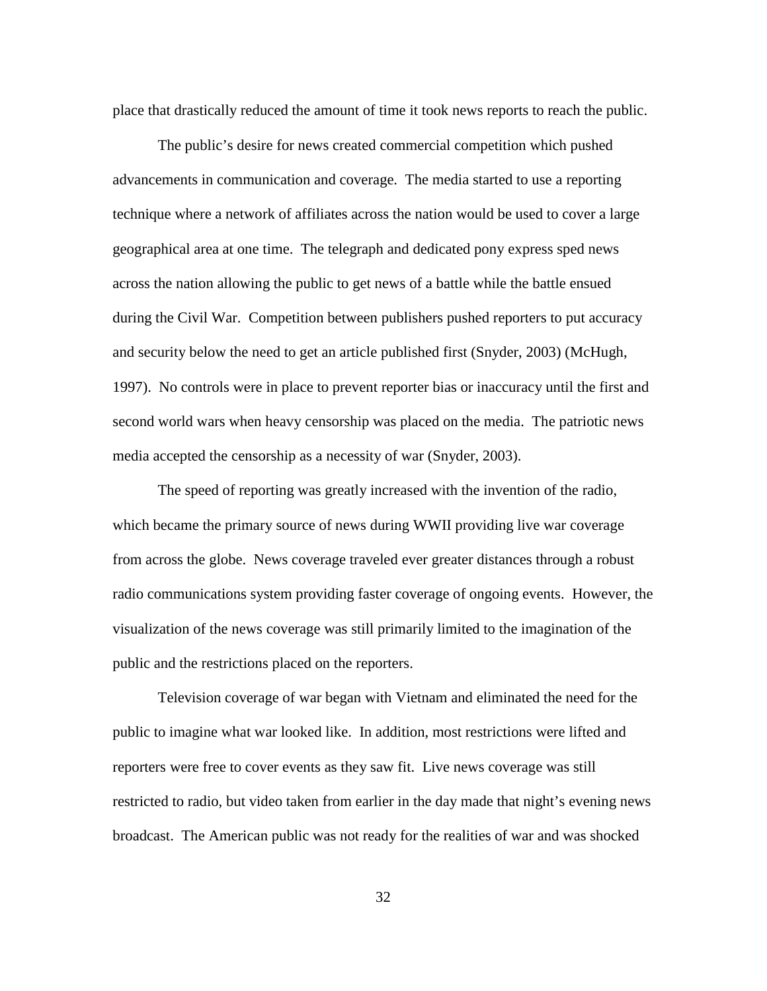place that drastically reduced the amount of time it took news reports to reach the public.

The public's desire for news created commercial competition which pushed advancements in communication and coverage. The media started to use a reporting technique where a network of affiliates across the nation would be used to cover a large geographical area at one time. The telegraph and dedicated pony express sped news across the nation allowing the public to get news of a battle while the battle ensued during the Civil War. Competition between publishers pushed reporters to put accuracy and security below the need to get an article published first (Snyder, 2003) (McHugh, 1997). No controls were in place to prevent reporter bias or inaccuracy until the first and second world wars when heavy censorship was placed on the media. The patriotic news media accepted the censorship as a necessity of war (Snyder, 2003).

The speed of reporting was greatly increased with the invention of the radio, which became the primary source of news during WWII providing live war coverage from across the globe. News coverage traveled ever greater distances through a robust radio communications system providing faster coverage of ongoing events. However, the visualization of the news coverage was still primarily limited to the imagination of the public and the restrictions placed on the reporters.

Television coverage of war began with Vietnam and eliminated the need for the public to imagine what war looked like. In addition, most restrictions were lifted and reporters were free to cover events as they saw fit. Live news coverage was still restricted to radio, but video taken from earlier in the day made that night's evening news broadcast. The American public was not ready for the realities of war and was shocked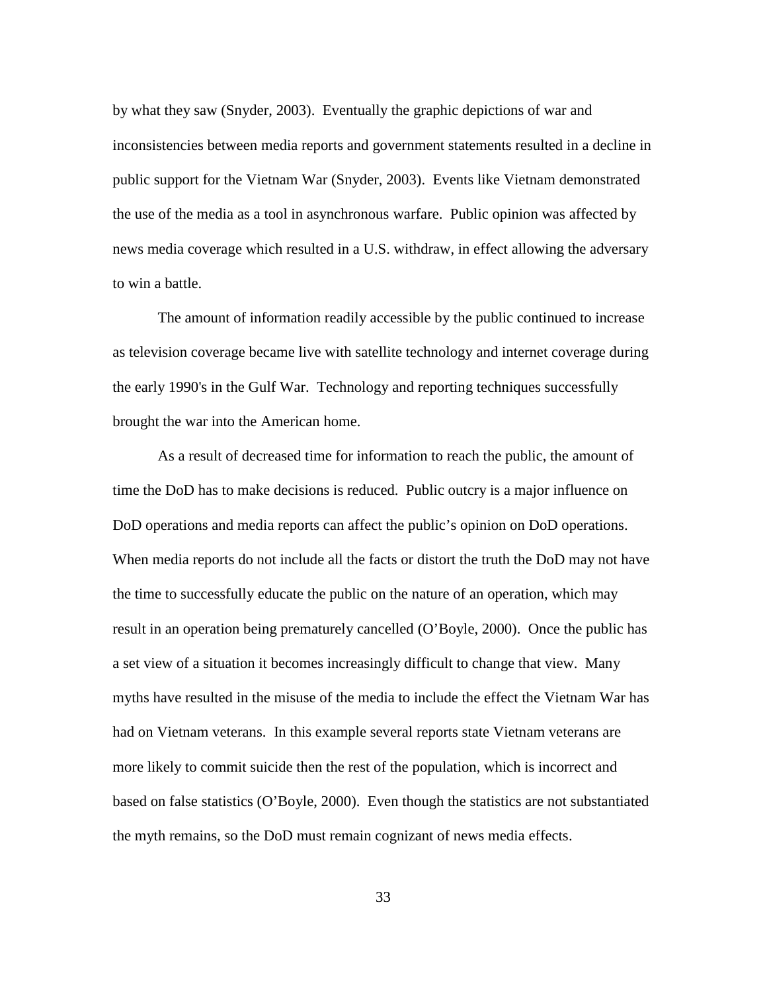by what they saw (Snyder, 2003). Eventually the graphic depictions of war and inconsistencies between media reports and government statements resulted in a decline in public support for the Vietnam War (Snyder, 2003). Events like Vietnam demonstrated the use of the media as a tool in asynchronous warfare. Public opinion was affected by news media coverage which resulted in a U.S. withdraw, in effect allowing the adversary to win a battle.

The amount of information readily accessible by the public continued to increase as television coverage became live with satellite technology and internet coverage during the early 1990's in the Gulf War. Technology and reporting techniques successfully brought the war into the American home.

As a result of decreased time for information to reach the public, the amount of time the DoD has to make decisions is reduced. Public outcry is a major influence on DoD operations and media reports can affect the public's opinion on DoD operations. When media reports do not include all the facts or distort the truth the DoD may not have the time to successfully educate the public on the nature of an operation, which may result in an operation being prematurely cancelled (O'Boyle, 2000). Once the public has a set view of a situation it becomes increasingly difficult to change that view. Many myths have resulted in the misuse of the media to include the effect the Vietnam War has had on Vietnam veterans. In this example several reports state Vietnam veterans are more likely to commit suicide then the rest of the population, which is incorrect and based on false statistics (O'Boyle, 2000). Even though the statistics are not substantiated the myth remains, so the DoD must remain cognizant of news media effects.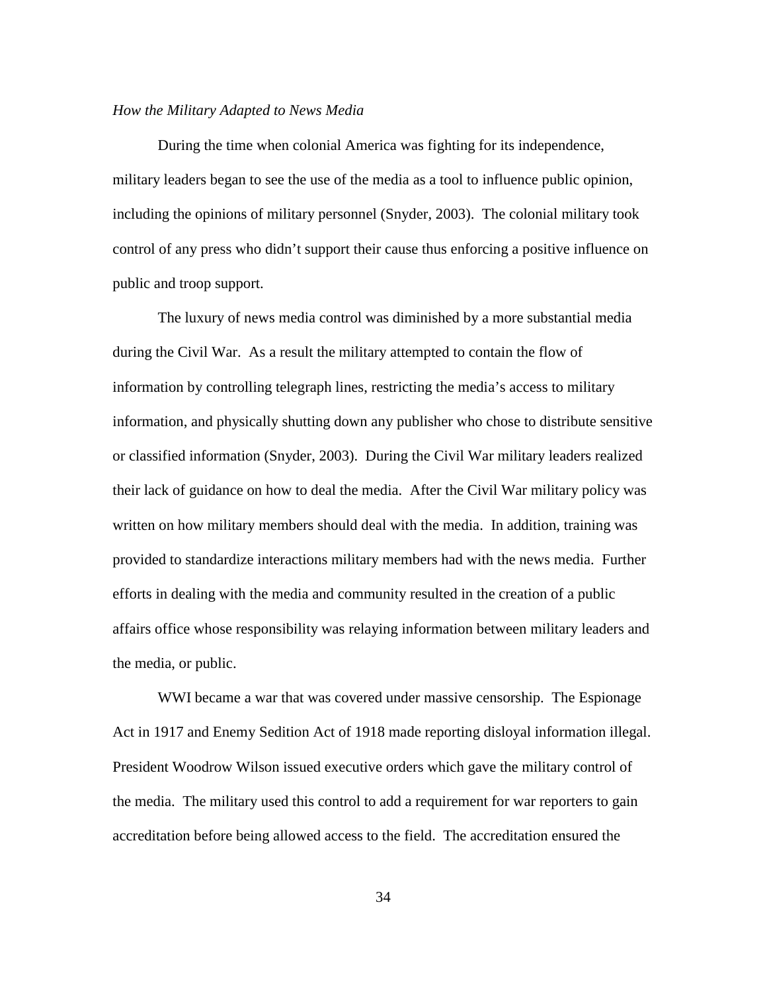## *How the Military Adapted to News Media*

 During the time when colonial America was fighting for its independence, military leaders began to see the use of the media as a tool to influence public opinion, including the opinions of military personnel (Snyder, 2003). The colonial military took control of any press who didn't support their cause thus enforcing a positive influence on public and troop support.

The luxury of news media control was diminished by a more substantial media during the Civil War. As a result the military attempted to contain the flow of information by controlling telegraph lines, restricting the media's access to military information, and physically shutting down any publisher who chose to distribute sensitive or classified information (Snyder, 2003). During the Civil War military leaders realized their lack of guidance on how to deal the media. After the Civil War military policy was written on how military members should deal with the media. In addition, training was provided to standardize interactions military members had with the news media. Further efforts in dealing with the media and community resulted in the creation of a public affairs office whose responsibility was relaying information between military leaders and the media, or public.

WWI became a war that was covered under massive censorship. The Espionage Act in 1917 and Enemy Sedition Act of 1918 made reporting disloyal information illegal. President Woodrow Wilson issued executive orders which gave the military control of the media. The military used this control to add a requirement for war reporters to gain accreditation before being allowed access to the field. The accreditation ensured the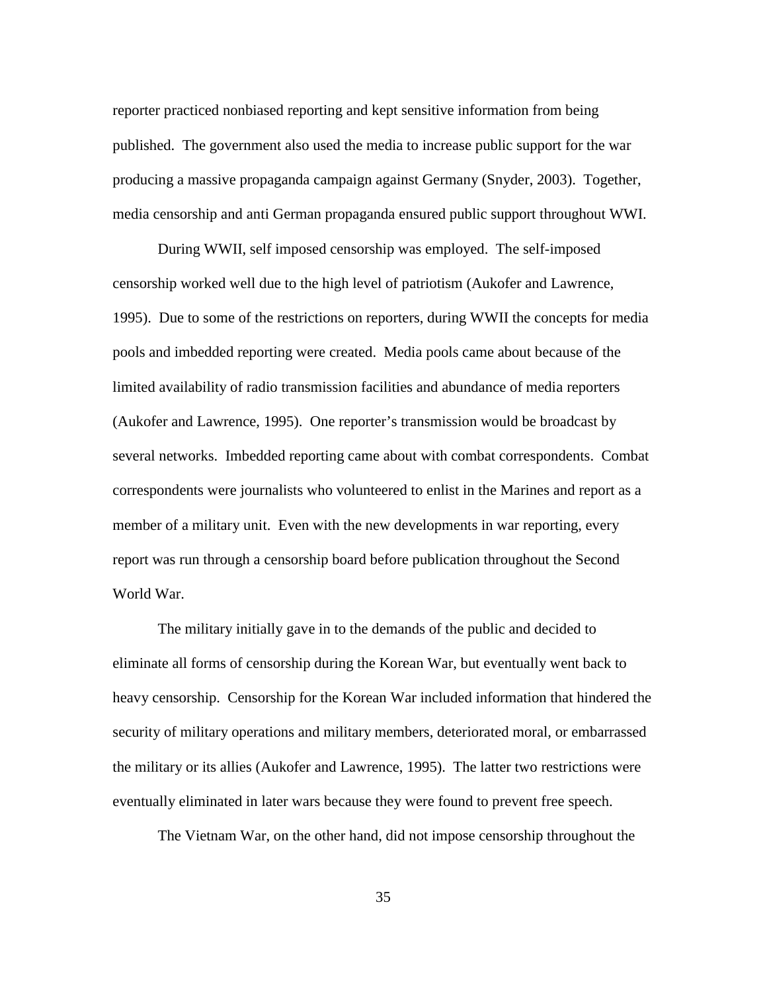reporter practiced nonbiased reporting and kept sensitive information from being published. The government also used the media to increase public support for the war producing a massive propaganda campaign against Germany (Snyder, 2003). Together, media censorship and anti German propaganda ensured public support throughout WWI.

During WWII, self imposed censorship was employed. The self-imposed censorship worked well due to the high level of patriotism (Aukofer and Lawrence, 1995). Due to some of the restrictions on reporters, during WWII the concepts for media pools and imbedded reporting were created. Media pools came about because of the limited availability of radio transmission facilities and abundance of media reporters (Aukofer and Lawrence, 1995). One reporter's transmission would be broadcast by several networks. Imbedded reporting came about with combat correspondents. Combat correspondents were journalists who volunteered to enlist in the Marines and report as a member of a military unit. Even with the new developments in war reporting, every report was run through a censorship board before publication throughout the Second World War.

The military initially gave in to the demands of the public and decided to eliminate all forms of censorship during the Korean War, but eventually went back to heavy censorship. Censorship for the Korean War included information that hindered the security of military operations and military members, deteriorated moral, or embarrassed the military or its allies (Aukofer and Lawrence, 1995). The latter two restrictions were eventually eliminated in later wars because they were found to prevent free speech.

The Vietnam War, on the other hand, did not impose censorship throughout the

35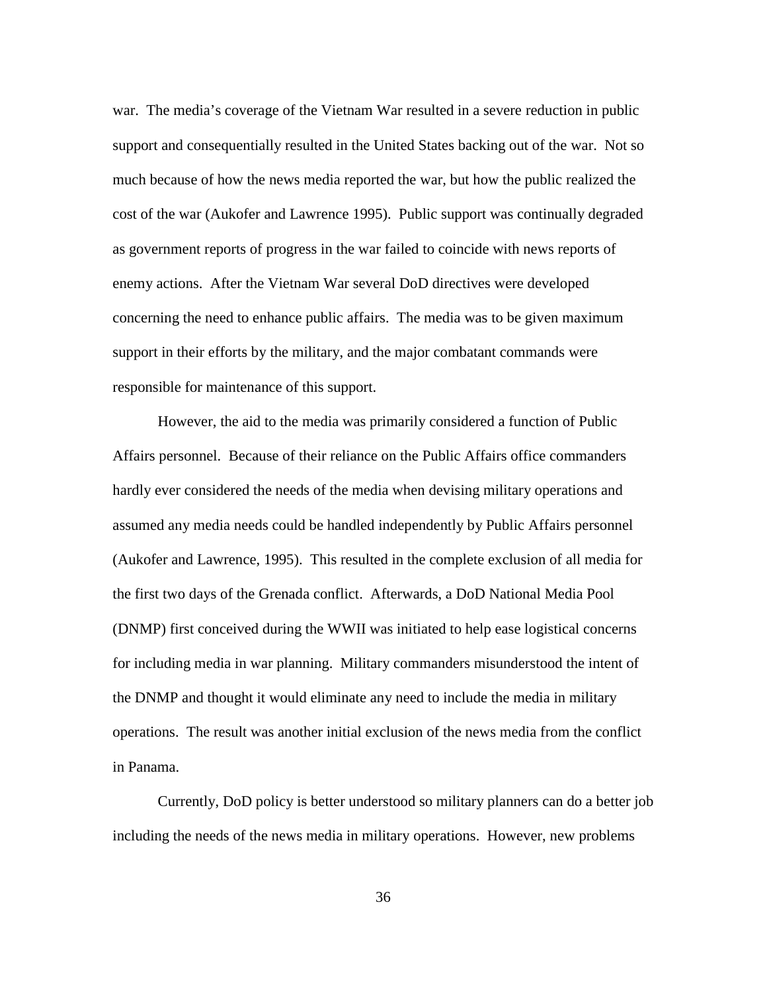war. The media's coverage of the Vietnam War resulted in a severe reduction in public support and consequentially resulted in the United States backing out of the war. Not so much because of how the news media reported the war, but how the public realized the cost of the war (Aukofer and Lawrence 1995). Public support was continually degraded as government reports of progress in the war failed to coincide with news reports of enemy actions. After the Vietnam War several DoD directives were developed concerning the need to enhance public affairs. The media was to be given maximum support in their efforts by the military, and the major combatant commands were responsible for maintenance of this support.

However, the aid to the media was primarily considered a function of Public Affairs personnel. Because of their reliance on the Public Affairs office commanders hardly ever considered the needs of the media when devising military operations and assumed any media needs could be handled independently by Public Affairs personnel (Aukofer and Lawrence, 1995). This resulted in the complete exclusion of all media for the first two days of the Grenada conflict. Afterwards, a DoD National Media Pool (DNMP) first conceived during the WWII was initiated to help ease logistical concerns for including media in war planning. Military commanders misunderstood the intent of the DNMP and thought it would eliminate any need to include the media in military operations. The result was another initial exclusion of the news media from the conflict in Panama.

Currently, DoD policy is better understood so military planners can do a better job including the needs of the news media in military operations. However, new problems

36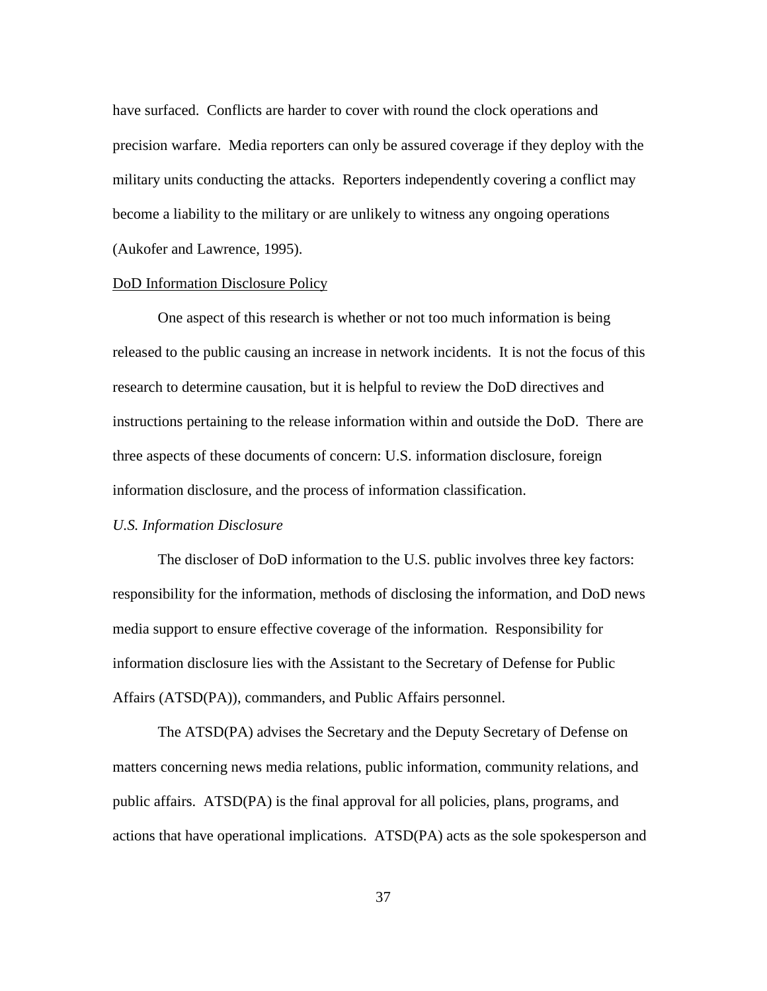have surfaced. Conflicts are harder to cover with round the clock operations and precision warfare. Media reporters can only be assured coverage if they deploy with the military units conducting the attacks. Reporters independently covering a conflict may become a liability to the military or are unlikely to witness any ongoing operations (Aukofer and Lawrence, 1995).

#### DoD Information Disclosure Policy

 One aspect of this research is whether or not too much information is being released to the public causing an increase in network incidents. It is not the focus of this research to determine causation, but it is helpful to review the DoD directives and instructions pertaining to the release information within and outside the DoD. There are three aspects of these documents of concern: U.S. information disclosure, foreign information disclosure, and the process of information classification.

# *U.S. Information Disclosure*

 The discloser of DoD information to the U.S. public involves three key factors: responsibility for the information, methods of disclosing the information, and DoD news media support to ensure effective coverage of the information. Responsibility for information disclosure lies with the Assistant to the Secretary of Defense for Public Affairs (ATSD(PA)), commanders, and Public Affairs personnel.

The ATSD(PA) advises the Secretary and the Deputy Secretary of Defense on matters concerning news media relations, public information, community relations, and public affairs. ATSD(PA) is the final approval for all policies, plans, programs, and actions that have operational implications. ATSD(PA) acts as the sole spokesperson and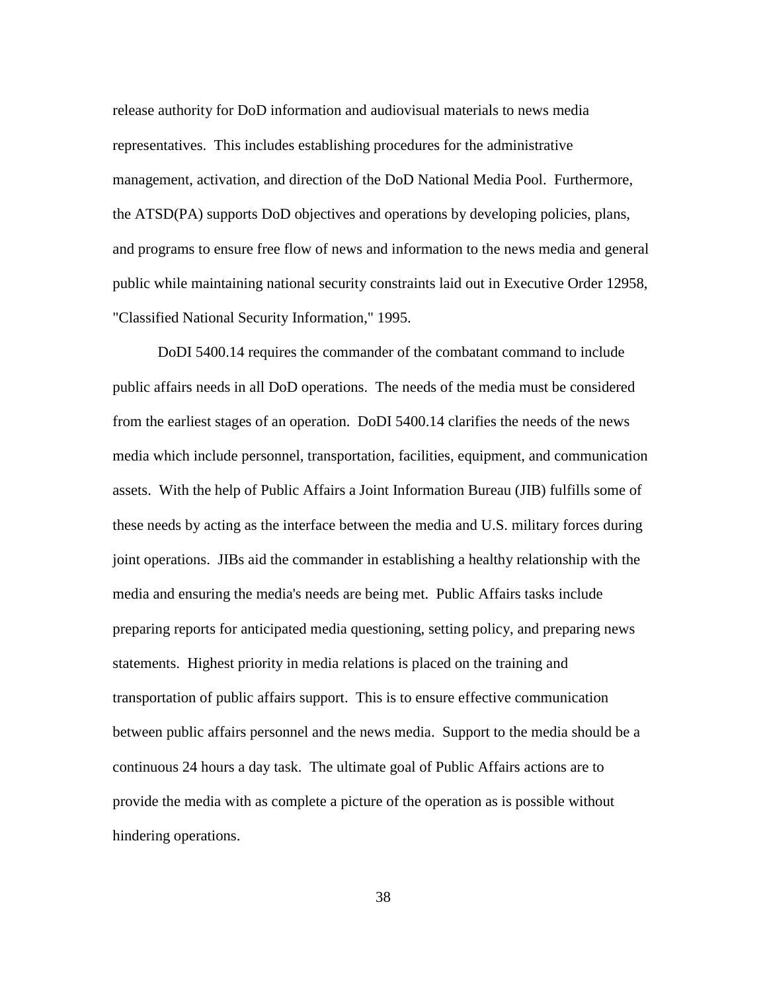release authority for DoD information and audiovisual materials to news media representatives. This includes establishing procedures for the administrative management, activation, and direction of the DoD National Media Pool. Furthermore, the ATSD(PA) supports DoD objectives and operations by developing policies, plans, and programs to ensure free flow of news and information to the news media and general public while maintaining national security constraints laid out in Executive Order 12958, "Classified National Security Information," 1995.

DoDI 5400.14 requires the commander of the combatant command to include public affairs needs in all DoD operations. The needs of the media must be considered from the earliest stages of an operation. DoDI 5400.14 clarifies the needs of the news media which include personnel, transportation, facilities, equipment, and communication assets. With the help of Public Affairs a Joint Information Bureau (JIB) fulfills some of these needs by acting as the interface between the media and U.S. military forces during joint operations. JIBs aid the commander in establishing a healthy relationship with the media and ensuring the media's needs are being met. Public Affairs tasks include preparing reports for anticipated media questioning, setting policy, and preparing news statements. Highest priority in media relations is placed on the training and transportation of public affairs support. This is to ensure effective communication between public affairs personnel and the news media. Support to the media should be a continuous 24 hours a day task. The ultimate goal of Public Affairs actions are to provide the media with as complete a picture of the operation as is possible without hindering operations.

38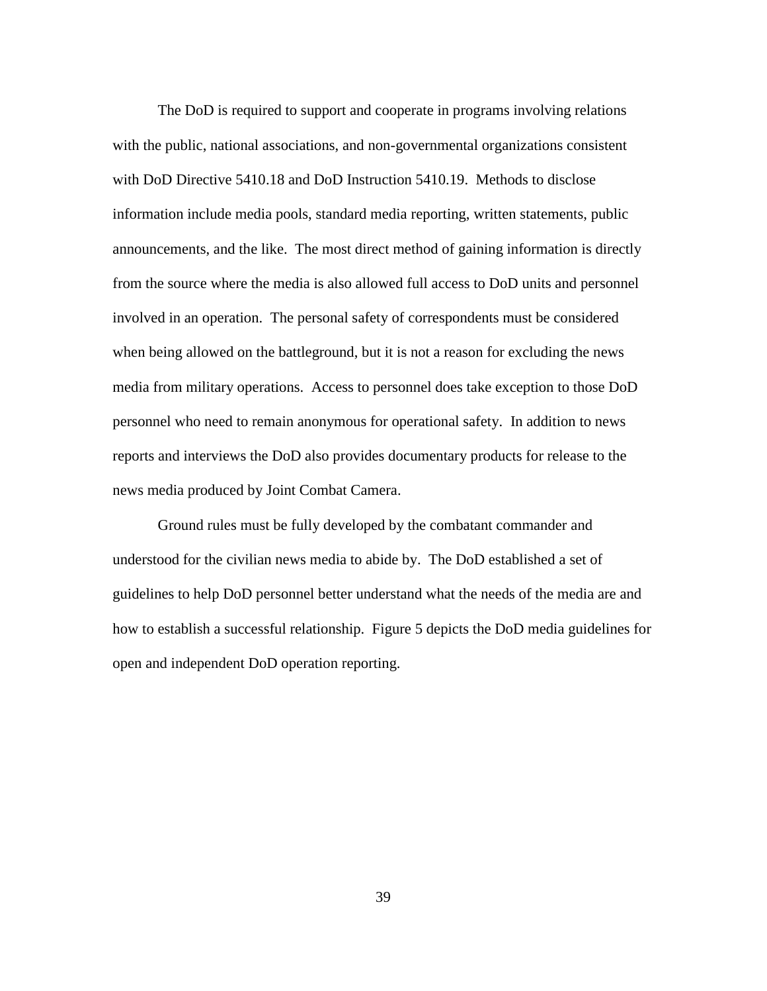The DoD is required to support and cooperate in programs involving relations with the public, national associations, and non-governmental organizations consistent with DoD Directive 5410.18 and DoD Instruction 5410.19. Methods to disclose information include media pools, standard media reporting, written statements, public announcements, and the like. The most direct method of gaining information is directly from the source where the media is also allowed full access to DoD units and personnel involved in an operation. The personal safety of correspondents must be considered when being allowed on the battleground, but it is not a reason for excluding the news media from military operations. Access to personnel does take exception to those DoD personnel who need to remain anonymous for operational safety. In addition to news reports and interviews the DoD also provides documentary products for release to the news media produced by Joint Combat Camera.

Ground rules must be fully developed by the combatant commander and understood for the civilian news media to abide by. The DoD established a set of guidelines to help DoD personnel better understand what the needs of the media are and how to establish a successful relationship. Figure 5 depicts the DoD media guidelines for open and independent DoD operation reporting.

39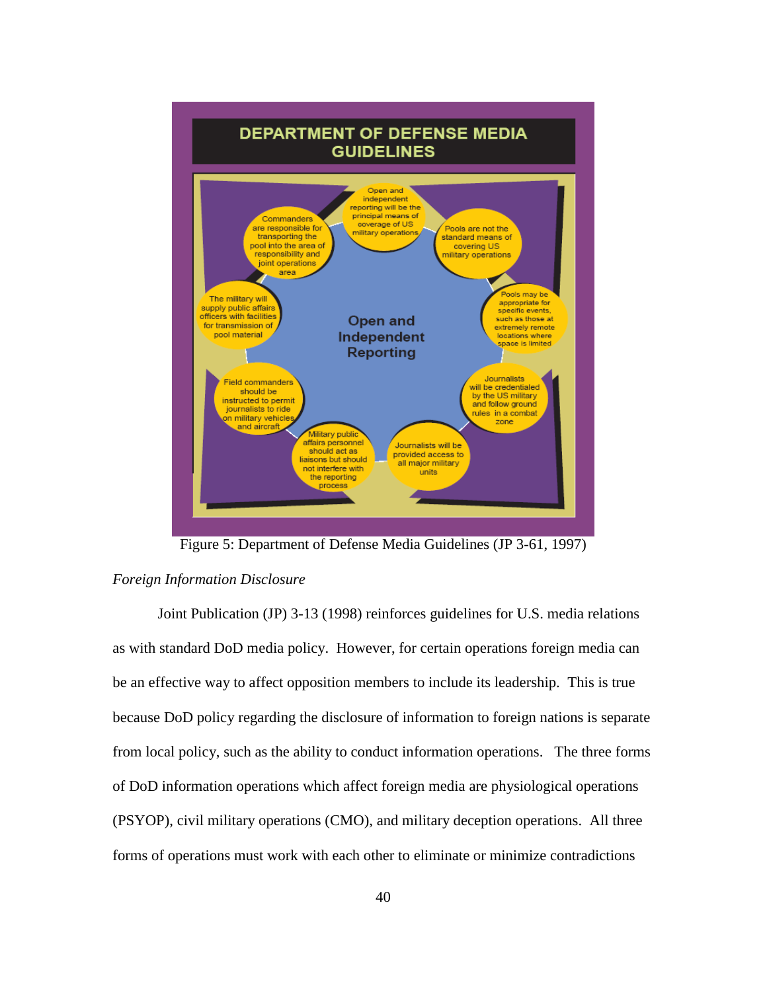

Figure 5: Department of Defense Media Guidelines (JP 3-61, 1997)

# *Foreign Information Disclosure*

 Joint Publication (JP) 3-13 (1998) reinforces guidelines for U.S. media relations as with standard DoD media policy. However, for certain operations foreign media can be an effective way to affect opposition members to include its leadership. This is true because DoD policy regarding the disclosure of information to foreign nations is separate from local policy, such as the ability to conduct information operations. The three forms of DoD information operations which affect foreign media are physiological operations (PSYOP), civil military operations (CMO), and military deception operations. All three forms of operations must work with each other to eliminate or minimize contradictions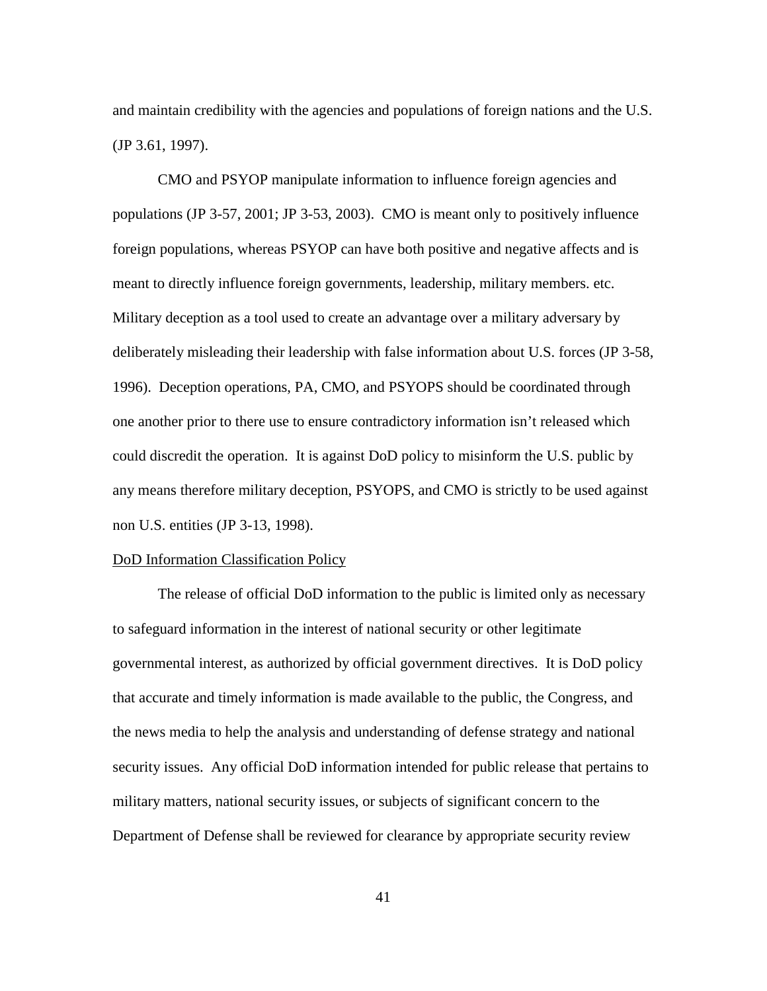and maintain credibility with the agencies and populations of foreign nations and the U.S. (JP 3.61, 1997).

 CMO and PSYOP manipulate information to influence foreign agencies and populations (JP 3-57, 2001; JP 3-53, 2003). CMO is meant only to positively influence foreign populations, whereas PSYOP can have both positive and negative affects and is meant to directly influence foreign governments, leadership, military members. etc. Military deception as a tool used to create an advantage over a military adversary by deliberately misleading their leadership with false information about U.S. forces (JP 3-58, 1996). Deception operations, PA, CMO, and PSYOPS should be coordinated through one another prior to there use to ensure contradictory information isn't released which could discredit the operation. It is against DoD policy to misinform the U.S. public by any means therefore military deception, PSYOPS, and CMO is strictly to be used against non U.S. entities (JP 3-13, 1998).

# DoD Information Classification Policy

The release of official DoD information to the public is limited only as necessary to safeguard information in the interest of national security or other legitimate governmental interest, as authorized by official government directives. It is DoD policy that accurate and timely information is made available to the public, the Congress, and the news media to help the analysis and understanding of defense strategy and national security issues. Any official DoD information intended for public release that pertains to military matters, national security issues, or subjects of significant concern to the Department of Defense shall be reviewed for clearance by appropriate security review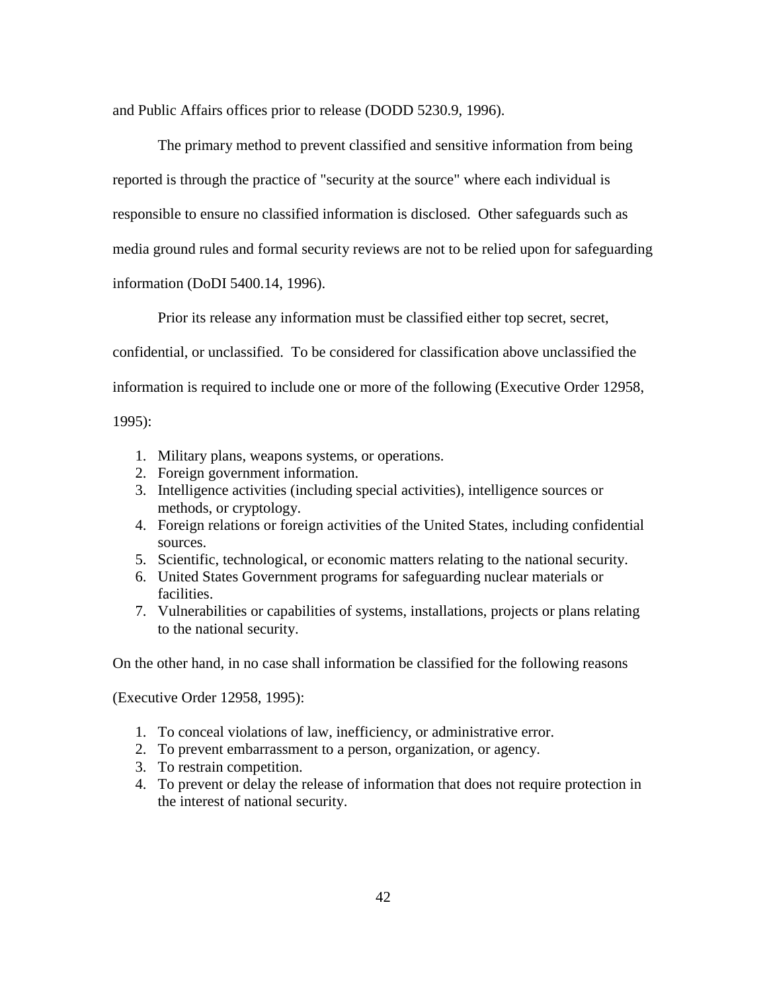and Public Affairs offices prior to release (DODD 5230.9, 1996).

The primary method to prevent classified and sensitive information from being reported is through the practice of "security at the source" where each individual is responsible to ensure no classified information is disclosed. Other safeguards such as media ground rules and formal security reviews are not to be relied upon for safeguarding information (DoDI 5400.14, 1996).

Prior its release any information must be classified either top secret, secret,

confidential, or unclassified. To be considered for classification above unclassified the

information is required to include one or more of the following (Executive Order 12958,

1995):

- 1. Military plans, weapons systems, or operations.
- 2. Foreign government information.
- 3. Intelligence activities (including special activities), intelligence sources or methods, or cryptology.
- 4. Foreign relations or foreign activities of the United States, including confidential sources.
- 5. Scientific, technological, or economic matters relating to the national security.
- 6. United States Government programs for safeguarding nuclear materials or facilities.
- 7. Vulnerabilities or capabilities of systems, installations, projects or plans relating to the national security.

On the other hand, in no case shall information be classified for the following reasons

(Executive Order 12958, 1995):

- 1. To conceal violations of law, inefficiency, or administrative error.
- 2. To prevent embarrassment to a person, organization, or agency.
- 3. To restrain competition.
- 4. To prevent or delay the release of information that does not require protection in the interest of national security.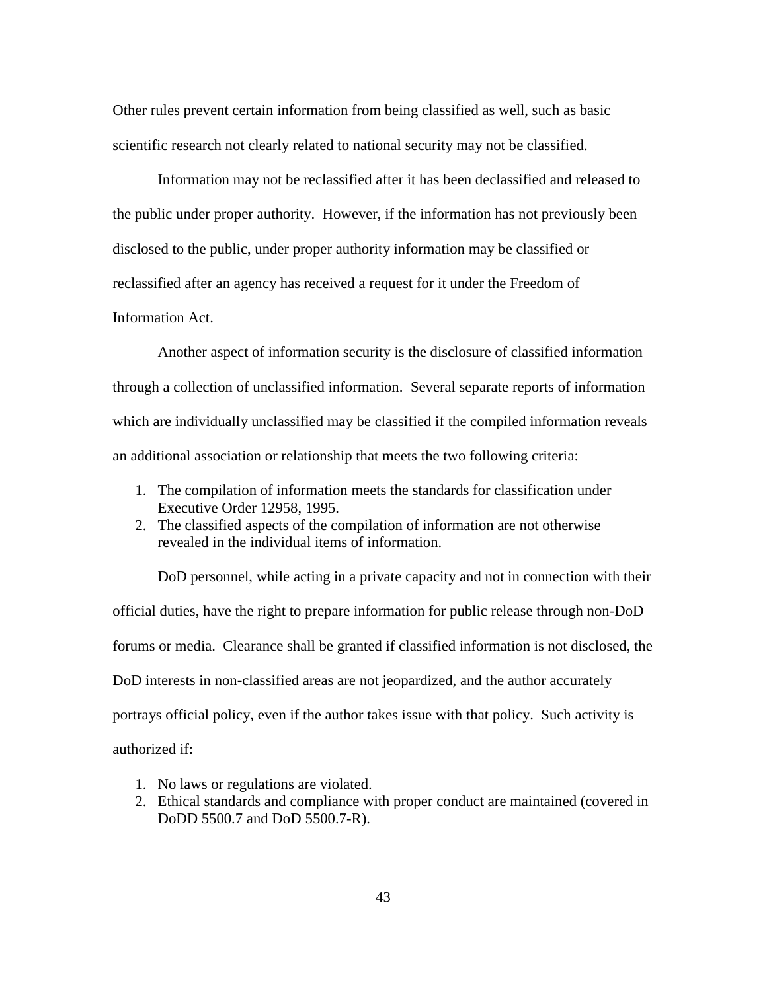Other rules prevent certain information from being classified as well, such as basic scientific research not clearly related to national security may not be classified.

Information may not be reclassified after it has been declassified and released to the public under proper authority. However, if the information has not previously been disclosed to the public, under proper authority information may be classified or reclassified after an agency has received a request for it under the Freedom of Information Act.

 Another aspect of information security is the disclosure of classified information through a collection of unclassified information. Several separate reports of information which are individually unclassified may be classified if the compiled information reveals an additional association or relationship that meets the two following criteria:

- 1. The compilation of information meets the standards for classification under Executive Order 12958, 1995.
- 2. The classified aspects of the compilation of information are not otherwise revealed in the individual items of information.

DoD personnel, while acting in a private capacity and not in connection with their official duties, have the right to prepare information for public release through non-DoD forums or media. Clearance shall be granted if classified information is not disclosed, the DoD interests in non-classified areas are not jeopardized, and the author accurately portrays official policy, even if the author takes issue with that policy. Such activity is authorized if:

- 1. No laws or regulations are violated.
- 2. Ethical standards and compliance with proper conduct are maintained (covered in DoDD 5500.7 and DoD 5500.7-R).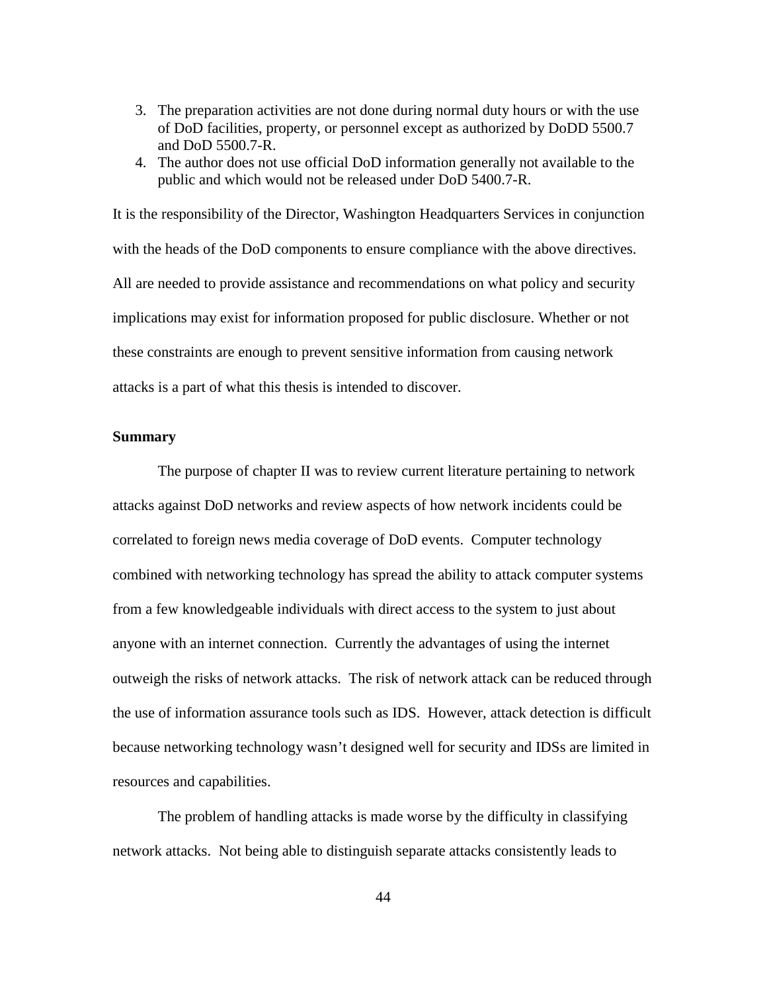- 3. The preparation activities are not done during normal duty hours or with the use of DoD facilities, property, or personnel except as authorized by DoDD 5500.7 and DoD 5500.7-R.
- 4. The author does not use official DoD information generally not available to the public and which would not be released under DoD 5400.7-R.

It is the responsibility of the Director, Washington Headquarters Services in conjunction with the heads of the DoD components to ensure compliance with the above directives. All are needed to provide assistance and recommendations on what policy and security implications may exist for information proposed for public disclosure. Whether or not these constraints are enough to prevent sensitive information from causing network attacks is a part of what this thesis is intended to discover.

# **Summary**

The purpose of chapter II was to review current literature pertaining to network attacks against DoD networks and review aspects of how network incidents could be correlated to foreign news media coverage of DoD events. Computer technology combined with networking technology has spread the ability to attack computer systems from a few knowledgeable individuals with direct access to the system to just about anyone with an internet connection. Currently the advantages of using the internet outweigh the risks of network attacks. The risk of network attack can be reduced through the use of information assurance tools such as IDS. However, attack detection is difficult because networking technology wasn't designed well for security and IDSs are limited in resources and capabilities.

The problem of handling attacks is made worse by the difficulty in classifying network attacks. Not being able to distinguish separate attacks consistently leads to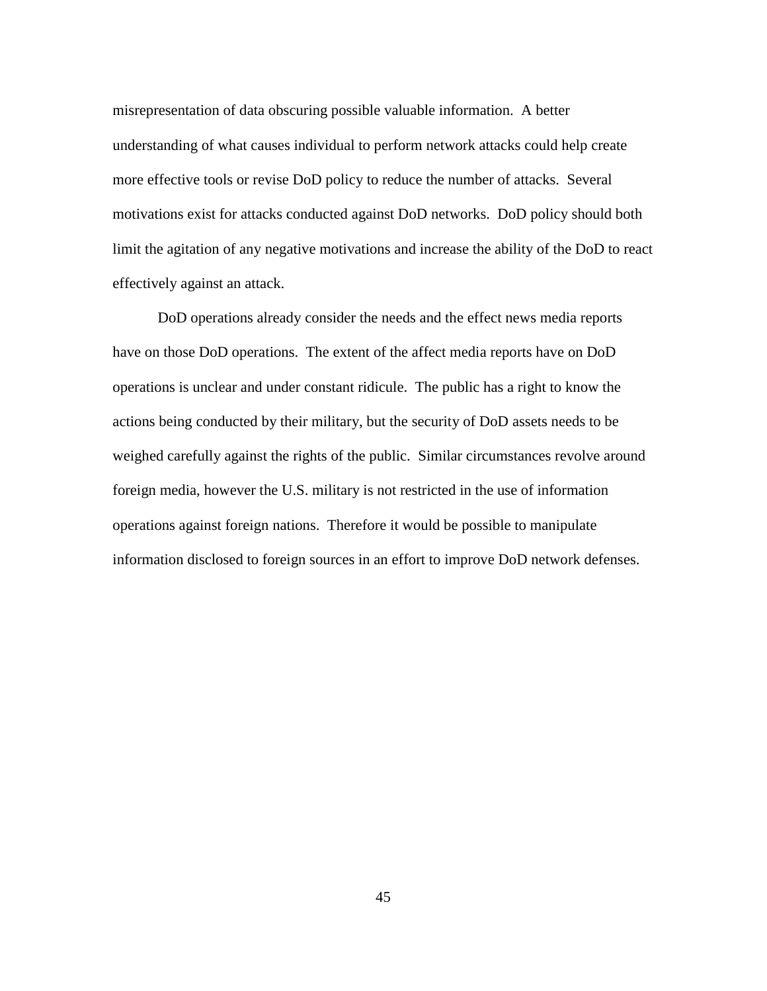misrepresentation of data obscuring possible valuable information. A better understanding of what causes individual to perform network attacks could help create more effective tools or revise DoD policy to reduce the number of attacks. Several motivations exist for attacks conducted against DoD networks. DoD policy should both limit the agitation of any negative motivations and increase the ability of the DoD to react effectively against an attack.

DoD operations already consider the needs and the effect news media reports have on those DoD operations. The extent of the affect media reports have on DoD operations is unclear and under constant ridicule. The public has a right to know the actions being conducted by their military, but the security of DoD assets needs to be weighed carefully against the rights of the public. Similar circumstances revolve around foreign media, however the U.S. military is not restricted in the use of information operations against foreign nations. Therefore it would be possible to manipulate information disclosed to foreign sources in an effort to improve DoD network defenses.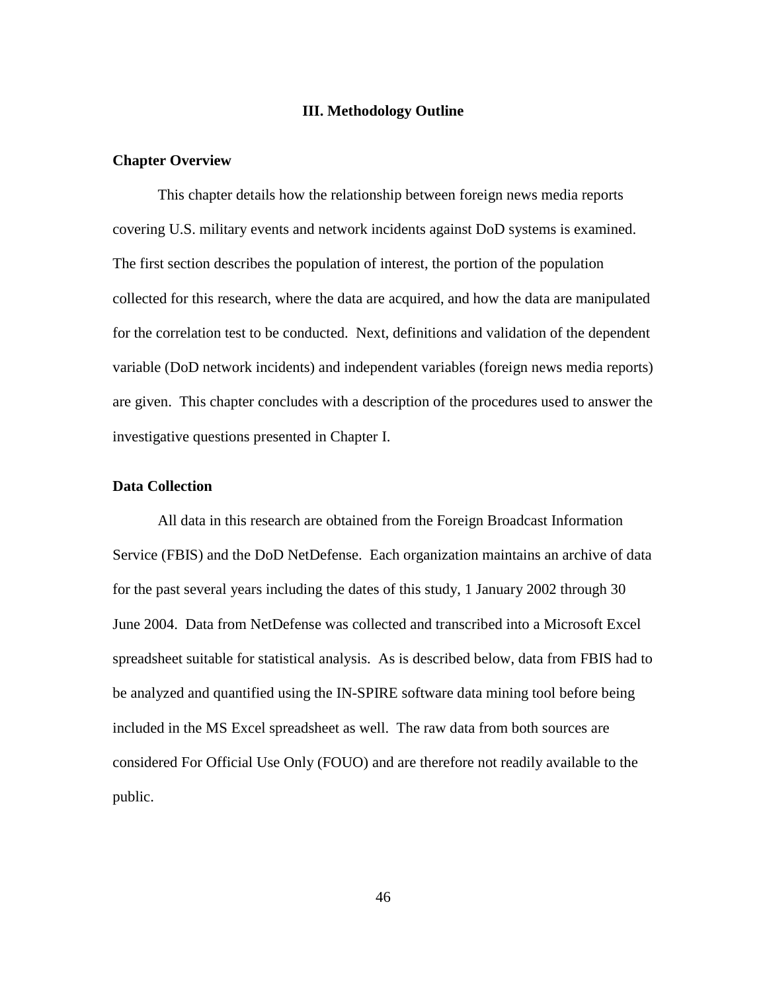# **III. Methodology Outline**

### **Chapter Overview**

This chapter details how the relationship between foreign news media reports covering U.S. military events and network incidents against DoD systems is examined. The first section describes the population of interest, the portion of the population collected for this research, where the data are acquired, and how the data are manipulated for the correlation test to be conducted. Next, definitions and validation of the dependent variable (DoD network incidents) and independent variables (foreign news media reports) are given. This chapter concludes with a description of the procedures used to answer the investigative questions presented in Chapter I.

### **Data Collection**

 All data in this research are obtained from the Foreign Broadcast Information Service (FBIS) and the DoD NetDefense. Each organization maintains an archive of data for the past several years including the dates of this study, 1 January 2002 through 30 June 2004. Data from NetDefense was collected and transcribed into a Microsoft Excel spreadsheet suitable for statistical analysis. As is described below, data from FBIS had to be analyzed and quantified using the IN-SPIRE software data mining tool before being included in the MS Excel spreadsheet as well. The raw data from both sources are considered For Official Use Only (FOUO) and are therefore not readily available to the public.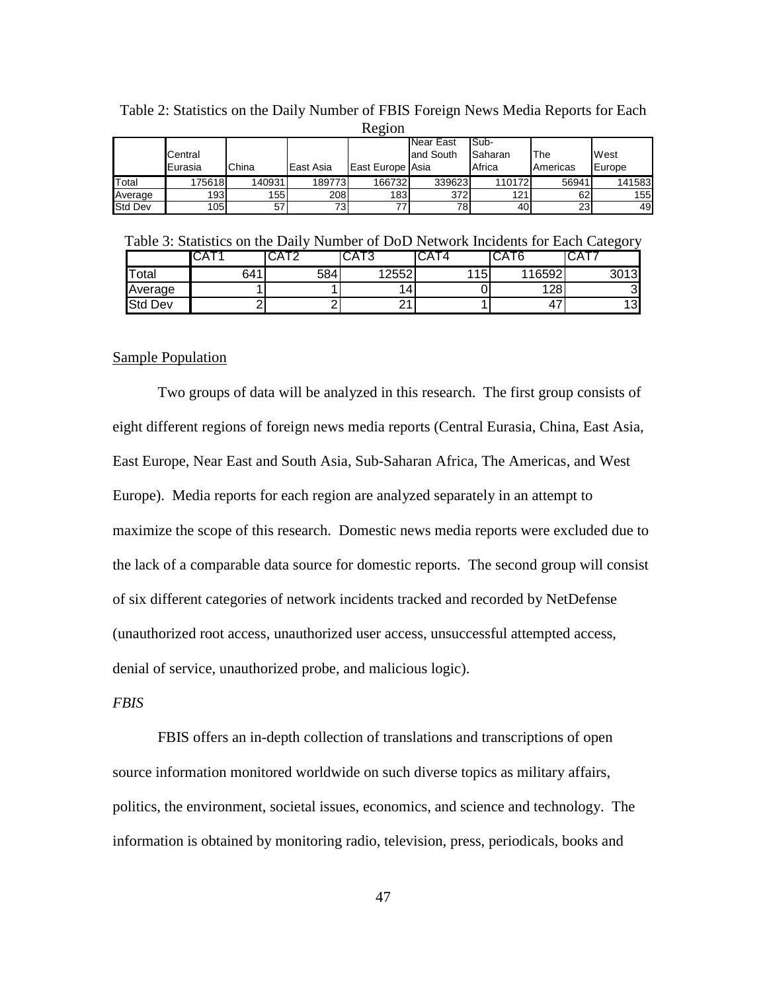| <b>IVALUIT</b> |                    |        |           |                  |                               |                                     |                  |                |  |  |  |  |  |
|----------------|--------------------|--------|-----------|------------------|-------------------------------|-------------------------------------|------------------|----------------|--|--|--|--|--|
|                | Central<br>Eurasia | China  | East Asia | East Europe Asia | <b>Near East</b><br>and South | ISub-<br><b>I</b> Saharan<br>Africa | 'The<br>Americas | West<br>Europe |  |  |  |  |  |
| Total          | 175618             | 140931 | 189773    | 166732           | 339623                        | 1101721                             | 56941            | 141583         |  |  |  |  |  |
| Average        | 1931               | 155    | 208       | 183 <sup>l</sup> | 372                           | 121.                                | 62               | 155            |  |  |  |  |  |
| <b>Std Dev</b> | 105                | 57     | 73.       |                  | 78                            | 401                                 | 23 <sub>l</sub>  | 49             |  |  |  |  |  |

Table 2: Statistics on the Daily Number of FBIS Foreign News Media Reports for Each  $R$ egion

Table 3: Statistics on the Daily Number of DoD Network Incidents for Each Category

|                | `UA | UAIZ | UAIJ                 |     | CA16   | ּוּ A∪ו |
|----------------|-----|------|----------------------|-----|--------|---------|
| Total          | 641 | 584  | 12552                | 115 | 116592 | 3013    |
| Average        |     |      | 14                   |     | 128    | ົ<br>ت  |
| <b>Std Dev</b> |     |      | $\Omega$<br><u>_</u> |     | ∸      | 13      |

## Sample Population

 Two groups of data will be analyzed in this research. The first group consists of eight different regions of foreign news media reports (Central Eurasia, China, East Asia, East Europe, Near East and South Asia, Sub-Saharan Africa, The Americas, and West Europe). Media reports for each region are analyzed separately in an attempt to maximize the scope of this research. Domestic news media reports were excluded due to the lack of a comparable data source for domestic reports. The second group will consist of six different categories of network incidents tracked and recorded by NetDefense (unauthorized root access, unauthorized user access, unsuccessful attempted access, denial of service, unauthorized probe, and malicious logic).

# *FBIS*

 FBIS offers an in-depth collection of translations and transcriptions of open source information monitored worldwide on such diverse topics as military affairs, politics, the environment, societal issues, economics, and science and technology. The information is obtained by monitoring radio, television, press, periodicals, books and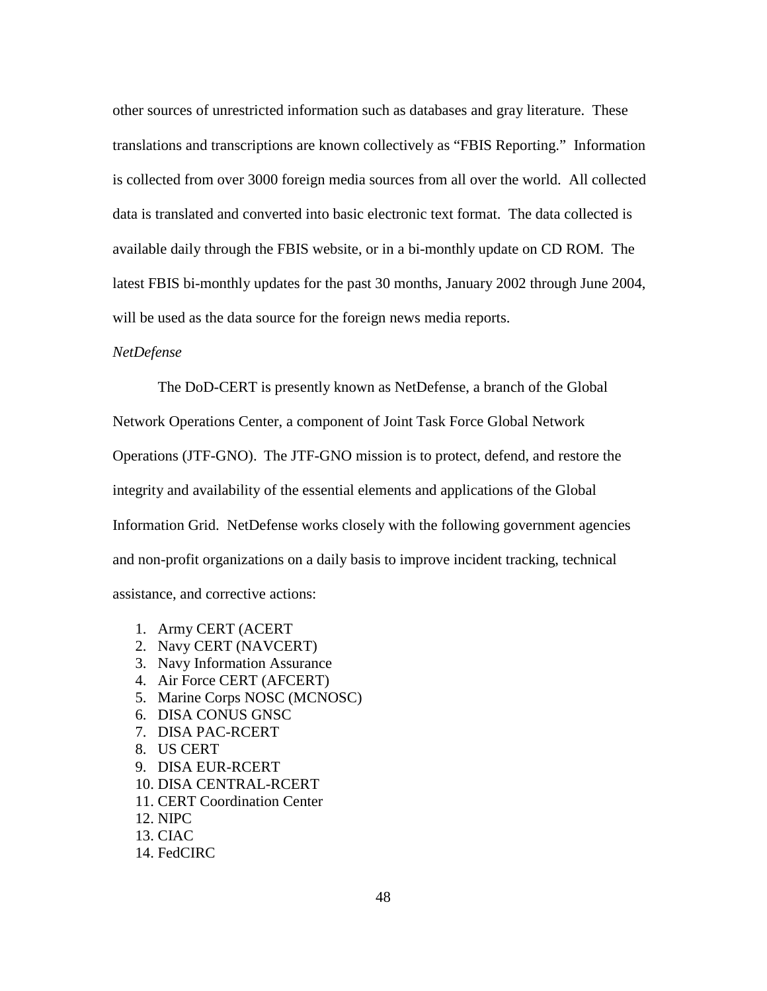other sources of unrestricted information such as databases and gray literature. These translations and transcriptions are known collectively as "FBIS Reporting." Information is collected from over 3000 foreign media sources from all over the world. All collected data is translated and converted into basic electronic text format. The data collected is available daily through the FBIS website, or in a bi-monthly update on CD ROM. The latest FBIS bi-monthly updates for the past 30 months, January 2002 through June 2004, will be used as the data source for the foreign news media reports.

# *NetDefense*

 The DoD-CERT is presently known as NetDefense, a branch of the Global Network Operations Center, a component of Joint Task Force Global Network Operations (JTF-GNO). The JTF-GNO mission is to protect, defend, and restore the integrity and availability of the essential elements and applications of the Global Information Grid. NetDefense works closely with the following government agencies and non-profit organizations on a daily basis to improve incident tracking, technical assistance, and corrective actions:

- 1. Army CERT (ACERT
- 2. Navy CERT (NAVCERT)
- 3. Navy Information Assurance
- 4. Air Force CERT (AFCERT)
- 5. Marine Corps NOSC (MCNOSC)
- 6. DISA CONUS GNSC
- 7. DISA PAC-RCERT
- 8. US CERT
- 9. DISA EUR-RCERT
- 10. DISA CENTRAL-RCERT
- 11. CERT Coordination Center
- 12. NIPC
- 13. CIAC
- 14. FedCIRC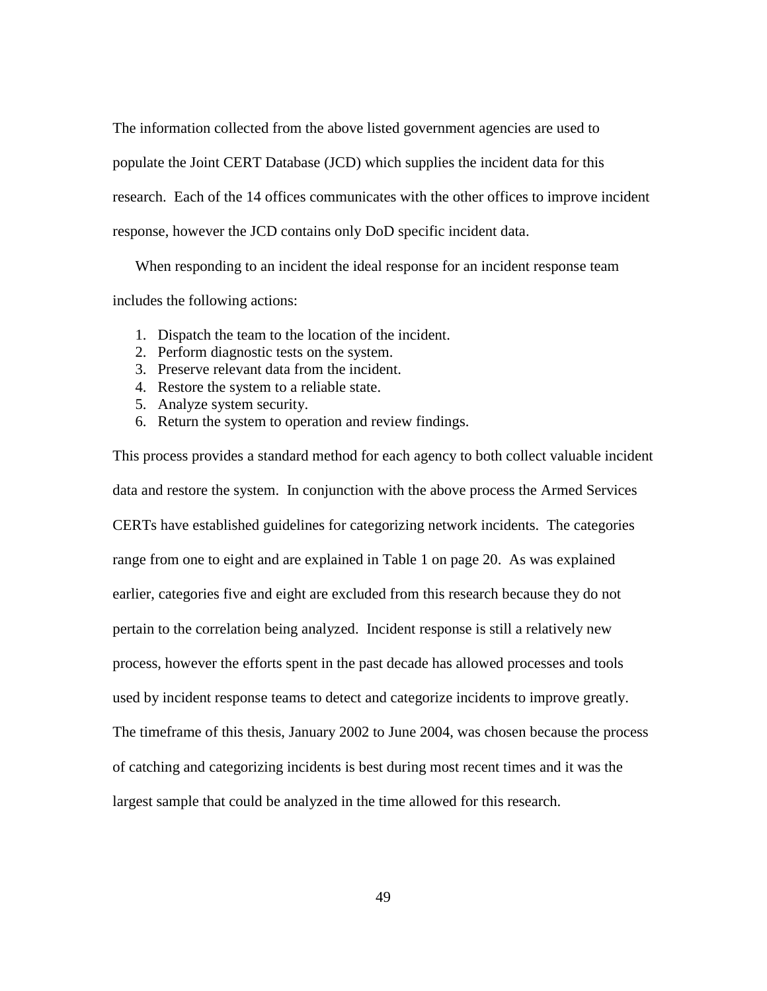The information collected from the above listed government agencies are used to populate the Joint CERT Database (JCD) which supplies the incident data for this research. Each of the 14 offices communicates with the other offices to improve incident response, however the JCD contains only DoD specific incident data.

When responding to an incident the ideal response for an incident response team includes the following actions:

- 1. Dispatch the team to the location of the incident.
- 2. Perform diagnostic tests on the system.
- 3. Preserve relevant data from the incident.
- 4. Restore the system to a reliable state.
- 5. Analyze system security.
- 6. Return the system to operation and review findings.

This process provides a standard method for each agency to both collect valuable incident data and restore the system. In conjunction with the above process the Armed Services CERTs have established guidelines for categorizing network incidents. The categories range from one to eight and are explained in Table 1 on page 20. As was explained earlier, categories five and eight are excluded from this research because they do not pertain to the correlation being analyzed. Incident response is still a relatively new process, however the efforts spent in the past decade has allowed processes and tools used by incident response teams to detect and categorize incidents to improve greatly. The timeframe of this thesis, January 2002 to June 2004, was chosen because the process of catching and categorizing incidents is best during most recent times and it was the largest sample that could be analyzed in the time allowed for this research.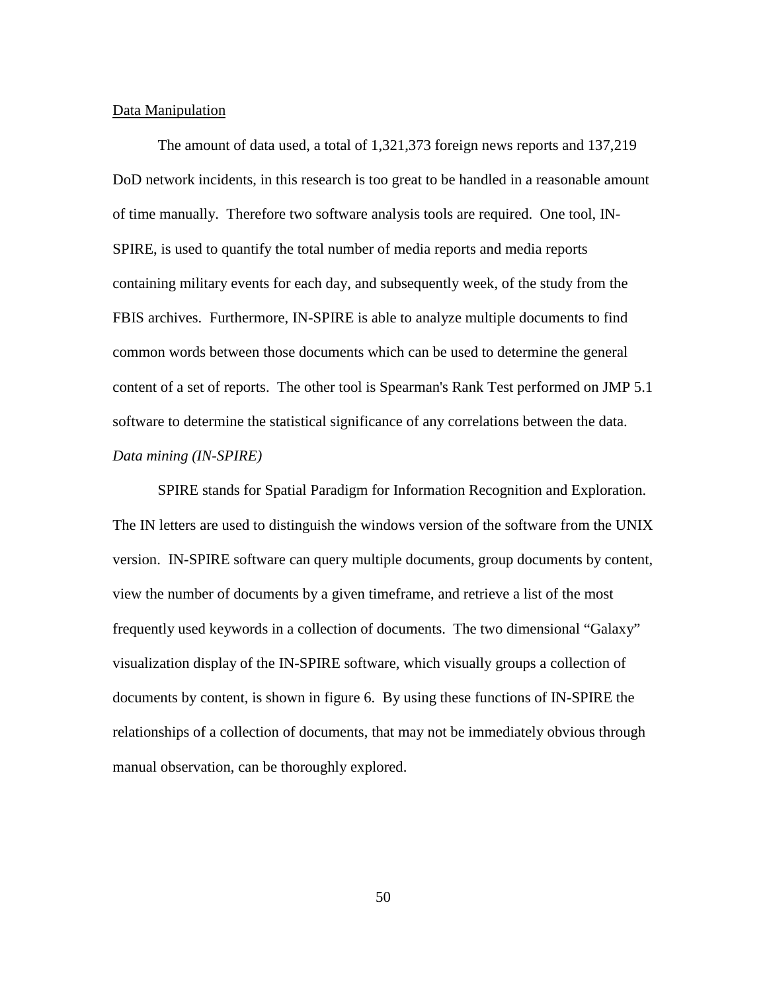#### Data Manipulation

 The amount of data used, a total of 1,321,373 foreign news reports and 137,219 DoD network incidents, in this research is too great to be handled in a reasonable amount of time manually. Therefore two software analysis tools are required. One tool, IN-SPIRE, is used to quantify the total number of media reports and media reports containing military events for each day, and subsequently week, of the study from the FBIS archives. Furthermore, IN-SPIRE is able to analyze multiple documents to find common words between those documents which can be used to determine the general content of a set of reports. The other tool is Spearman's Rank Test performed on JMP 5.1 software to determine the statistical significance of any correlations between the data. *Data mining (IN-SPIRE)* 

 SPIRE stands for Spatial Paradigm for Information Recognition and Exploration. The IN letters are used to distinguish the windows version of the software from the UNIX version. IN-SPIRE software can query multiple documents, group documents by content, view the number of documents by a given timeframe, and retrieve a list of the most frequently used keywords in a collection of documents. The two dimensional "Galaxy" visualization display of the IN-SPIRE software, which visually groups a collection of documents by content, is shown in figure 6. By using these functions of IN-SPIRE the relationships of a collection of documents, that may not be immediately obvious through manual observation, can be thoroughly explored.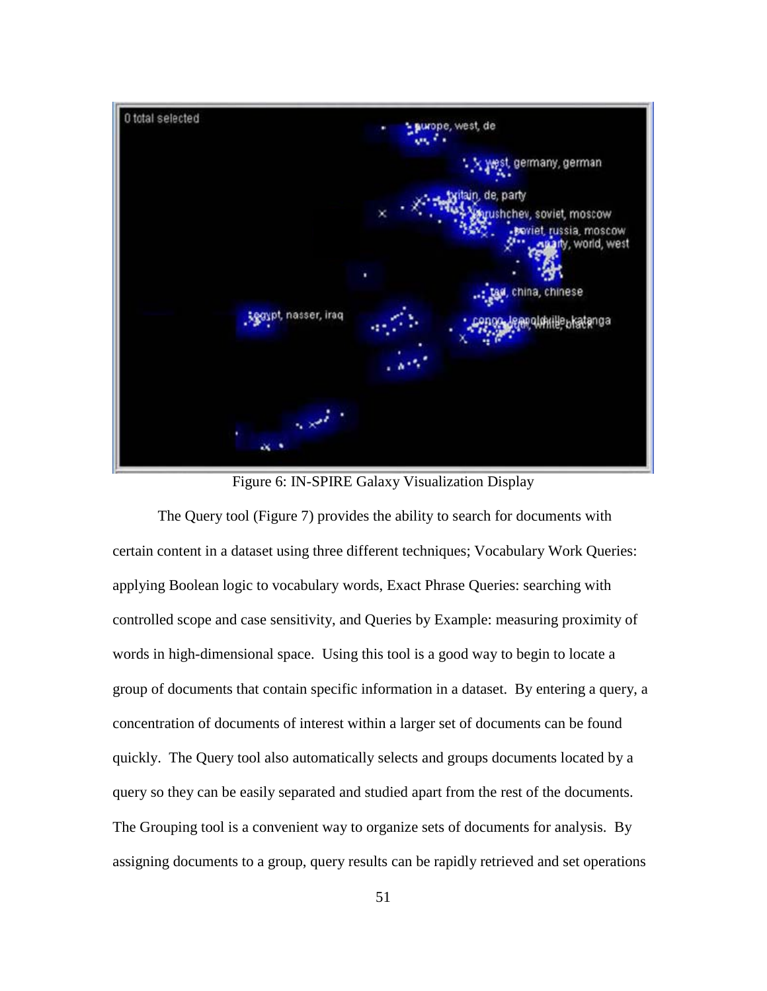

Figure 6: IN-SPIRE Galaxy Visualization Display

 The Query tool (Figure 7) provides the ability to search for documents with certain content in a dataset using three different techniques; Vocabulary Work Queries: applying Boolean logic to vocabulary words, Exact Phrase Queries: searching with controlled scope and case sensitivity, and Queries by Example: measuring proximity of words in high-dimensional space. Using this tool is a good way to begin to locate a group of documents that contain specific information in a dataset. By entering a query, a concentration of documents of interest within a larger set of documents can be found quickly. The Query tool also automatically selects and groups documents located by a query so they can be easily separated and studied apart from the rest of the documents. The Grouping tool is a convenient way to organize sets of documents for analysis. By assigning documents to a group, query results can be rapidly retrieved and set operations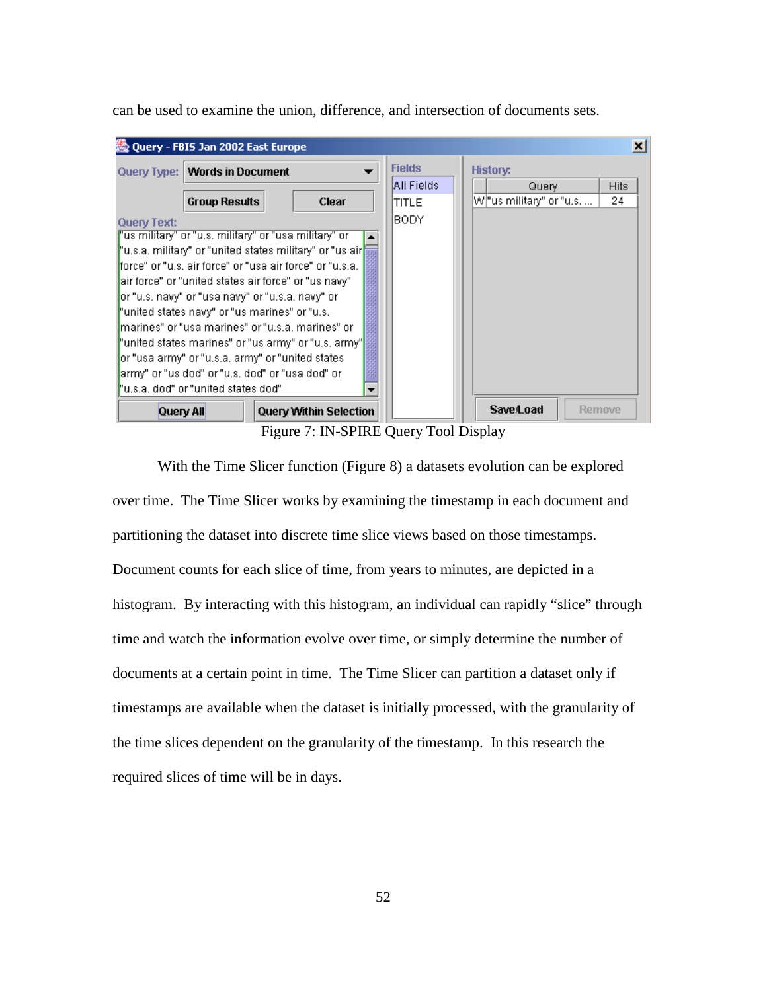can be used to examine the union, difference, and intersection of documents sets.



Figure 7: IN-SPIRE Query Tool Display

With the Time Slicer function (Figure 8) a datasets evolution can be explored over time. The Time Slicer works by examining the timestamp in each document and partitioning the dataset into discrete time slice views based on those timestamps. Document counts for each slice of time, from years to minutes, are depicted in a histogram. By interacting with this histogram, an individual can rapidly "slice" through time and watch the information evolve over time, or simply determine the number of documents at a certain point in time. The Time Slicer can partition a dataset only if timestamps are available when the dataset is initially processed, with the granularity of the time slices dependent on the granularity of the timestamp. In this research the required slices of time will be in days.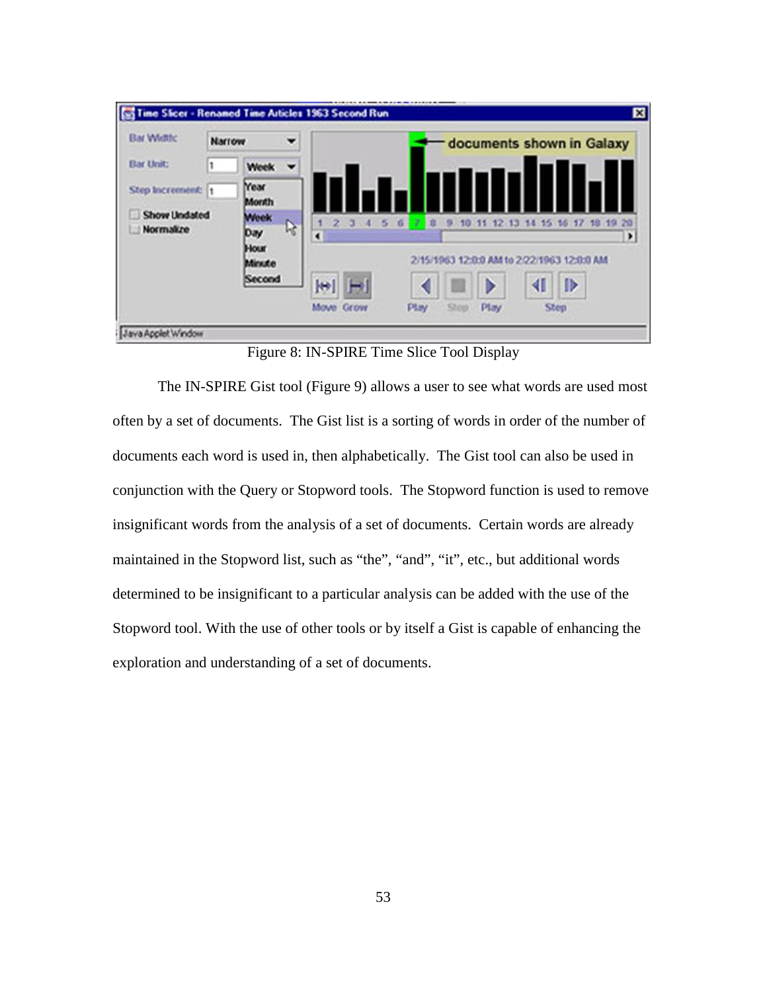

Figure 8: IN-SPIRE Time Slice Tool Display

The IN-SPIRE Gist tool (Figure 9) allows a user to see what words are used most often by a set of documents. The Gist list is a sorting of words in order of the number of documents each word is used in, then alphabetically. The Gist tool can also be used in conjunction with the Query or Stopword tools. The Stopword function is used to remove insignificant words from the analysis of a set of documents. Certain words are already maintained in the Stopword list, such as "the", "and", "it", etc., but additional words determined to be insignificant to a particular analysis can be added with the use of the Stopword tool. With the use of other tools or by itself a Gist is capable of enhancing the exploration and understanding of a set of documents.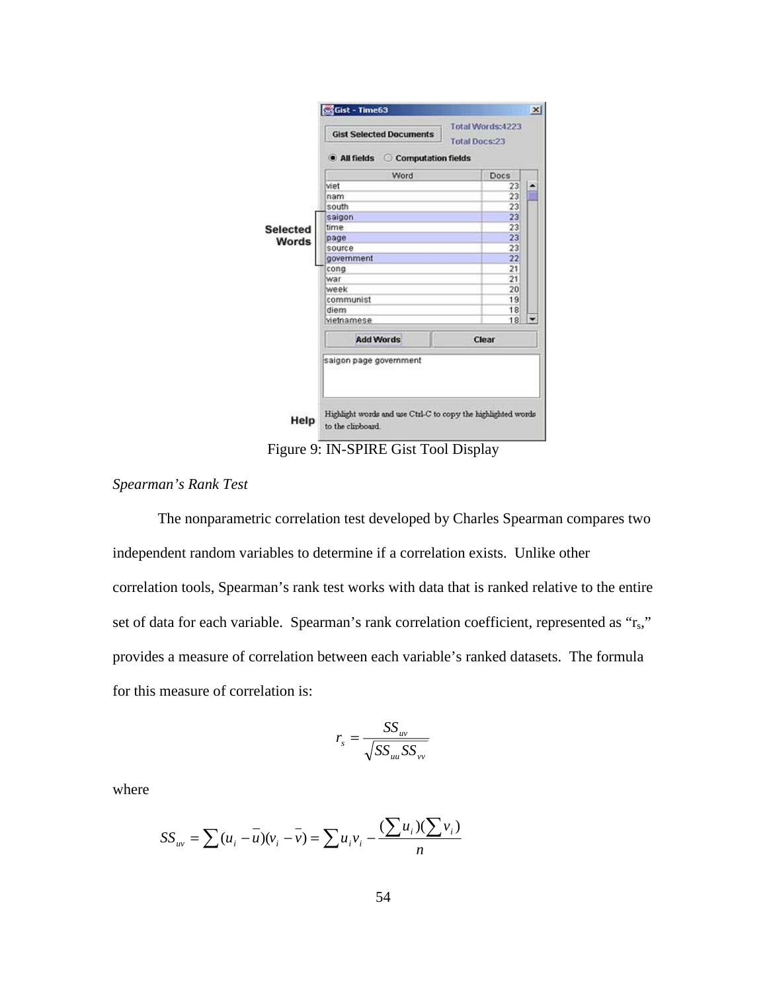

Figure 9: IN-SPIRE Gist Tool Display

# *Spearman's Rank Test*

 The nonparametric correlation test developed by Charles Spearman compares two independent random variables to determine if a correlation exists. Unlike other correlation tools, Spearman's rank test works with data that is ranked relative to the entire set of data for each variable. Spearman's rank correlation coefficient, represented as "r<sub>s</sub>," provides a measure of correlation between each variable's ranked datasets. The formula for this measure of correlation is:

$$
r_s = \frac{SS_{uv}}{\sqrt{SS_{uu}SS_{vv}}}
$$

where

$$
SS_{uv} = \sum (u_i - \overline{u})(v_i - \overline{v}) = \sum u_i v_i - \frac{(\sum u_i)(\sum v_i)}{n}
$$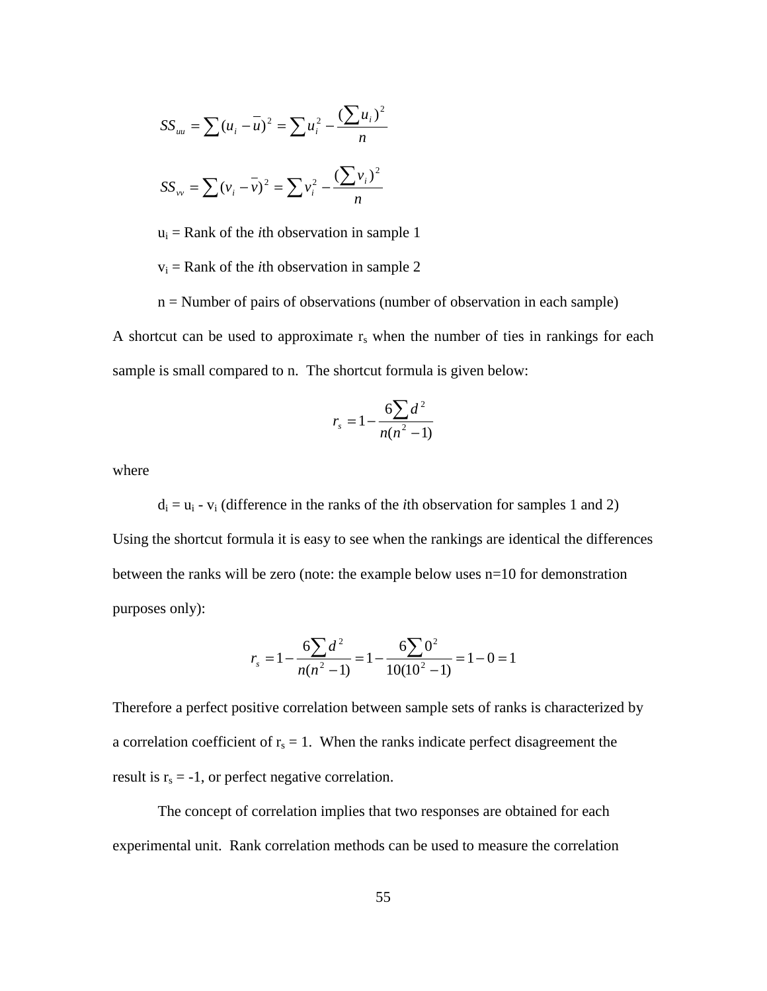$$
SS_{uu} = \sum (u_i - \overline{u})^2 = \sum u_i^2 - \frac{(\sum u_i)^2}{n}
$$

$$
SS_{vv} = \sum (v_i - \overline{v})^2 = \sum v_i^2 - \frac{(\sum v_i)^2}{n}
$$

 $u_i$  = Rank of the *i*th observation in sample 1

 $v_i$  = Rank of the *i*th observation in sample 2

n = Number of pairs of observations (number of observation in each sample) A shortcut can be used to approximate  $r_s$  when the number of ties in rankings for each sample is small compared to n. The shortcut formula is given below:

$$
r_s = 1 - \frac{6\sum d^2}{n(n^2 - 1)}
$$

where

 $d_i = u_i - v_i$  (difference in the ranks of the *i*th observation for samples 1 and 2) Using the shortcut formula it is easy to see when the rankings are identical the differences between the ranks will be zero (note: the example below uses n=10 for demonstration purposes only):

$$
r_s = 1 - \frac{6\sum d^2}{n(n^2 - 1)} = 1 - \frac{6\sum 0^2}{10(10^2 - 1)} = 1 - 0 = 1
$$

Therefore a perfect positive correlation between sample sets of ranks is characterized by a correlation coefficient of  $r_s = 1$ . When the ranks indicate perfect disagreement the result is  $r_s = -1$ , or perfect negative correlation.

 The concept of correlation implies that two responses are obtained for each experimental unit. Rank correlation methods can be used to measure the correlation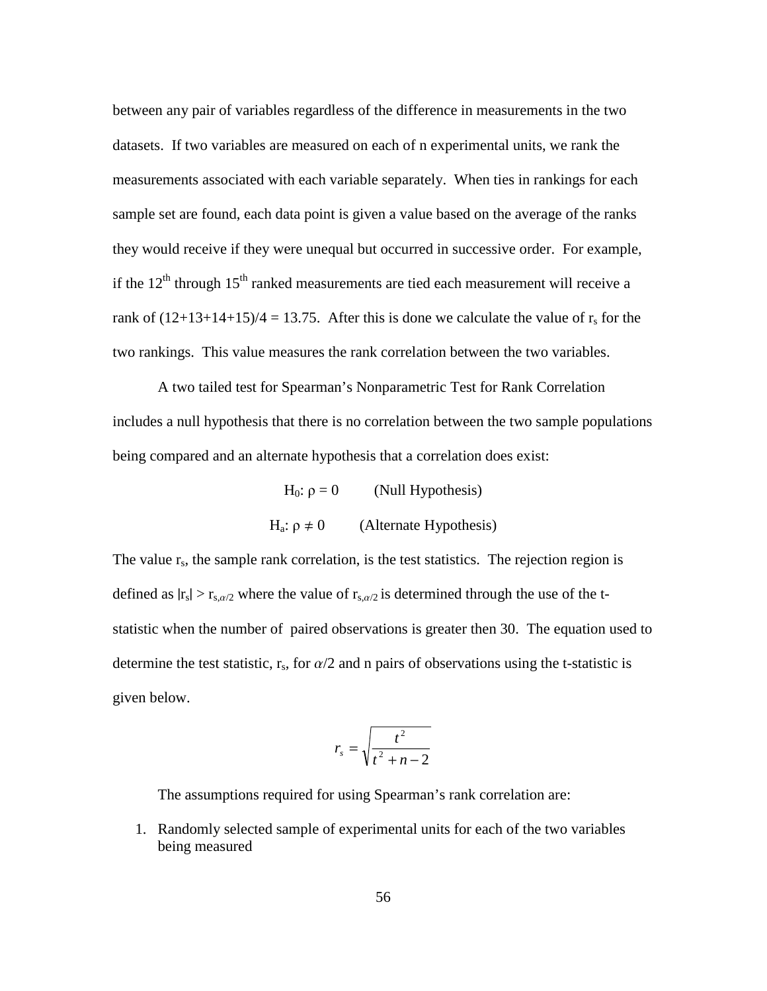between any pair of variables regardless of the difference in measurements in the two datasets. If two variables are measured on each of n experimental units, we rank the measurements associated with each variable separately. When ties in rankings for each sample set are found, each data point is given a value based on the average of the ranks they would receive if they were unequal but occurred in successive order. For example, if the  $12<sup>th</sup>$  through  $15<sup>th</sup>$  ranked measurements are tied each measurement will receive a rank of  $(12+13+14+15)/4 = 13.75$ . After this is done we calculate the value of r<sub>s</sub> for the two rankings. This value measures the rank correlation between the two variables.

 A two tailed test for Spearman's Nonparametric Test for Rank Correlation includes a null hypothesis that there is no correlation between the two sample populations being compared and an alternate hypothesis that a correlation does exist:

> H<sub>0</sub>:  $\rho = 0$  (Null Hypothesis) H<sub>a</sub>:  $ρ ≠ 0$  (Alternate Hypothesis)

The value  $r_s$ , the sample rank correlation, is the test statistics. The rejection region is defined as  $|r_s| > r_{s,\alpha/2}$  where the value of  $r_{s,\alpha/2}$  is determined through the use of the tstatistic when the number of paired observations is greater then 30. The equation used to determine the test statistic,  $r_s$ , for  $\alpha/2$  and n pairs of observations using the t-statistic is given below.

$$
r_s = \sqrt{\frac{t^2}{t^2 + n - 2}}
$$

The assumptions required for using Spearman's rank correlation are:

1. Randomly selected sample of experimental units for each of the two variables being measured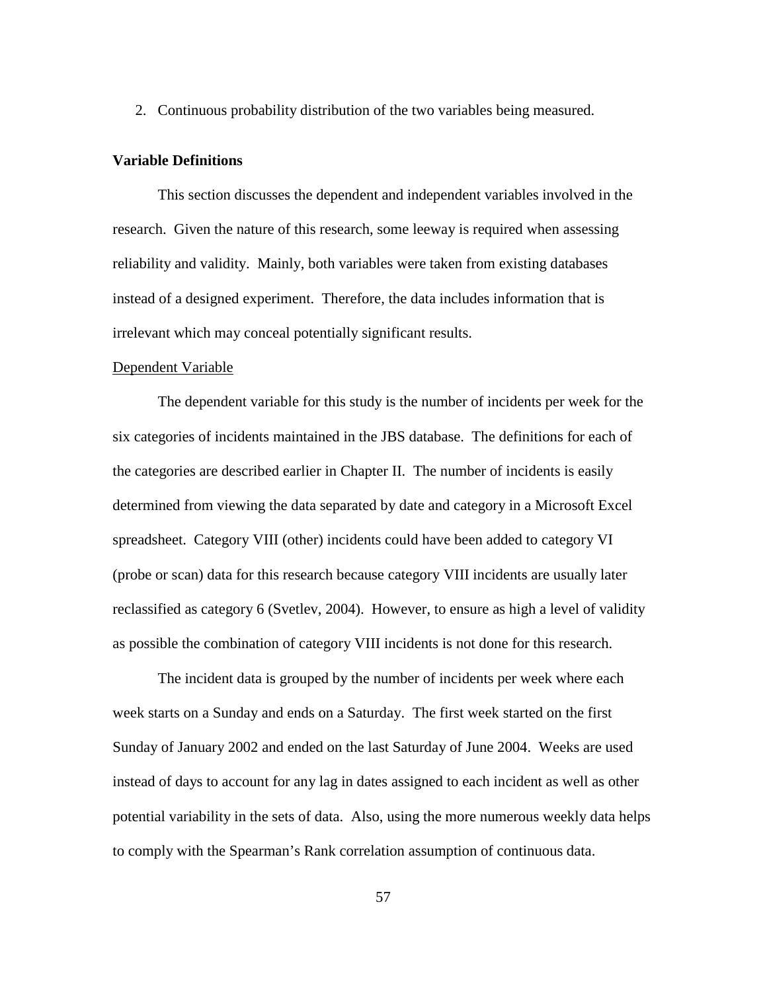2. Continuous probability distribution of the two variables being measured.

# **Variable Definitions**

This section discusses the dependent and independent variables involved in the research. Given the nature of this research, some leeway is required when assessing reliability and validity. Mainly, both variables were taken from existing databases instead of a designed experiment. Therefore, the data includes information that is irrelevant which may conceal potentially significant results.

# Dependent Variable

The dependent variable for this study is the number of incidents per week for the six categories of incidents maintained in the JBS database. The definitions for each of the categories are described earlier in Chapter II. The number of incidents is easily determined from viewing the data separated by date and category in a Microsoft Excel spreadsheet. Category VIII (other) incidents could have been added to category VI (probe or scan) data for this research because category VIII incidents are usually later reclassified as category 6 (Svetlev, 2004). However, to ensure as high a level of validity as possible the combination of category VIII incidents is not done for this research.

The incident data is grouped by the number of incidents per week where each week starts on a Sunday and ends on a Saturday. The first week started on the first Sunday of January 2002 and ended on the last Saturday of June 2004. Weeks are used instead of days to account for any lag in dates assigned to each incident as well as other potential variability in the sets of data. Also, using the more numerous weekly data helps to comply with the Spearman's Rank correlation assumption of continuous data.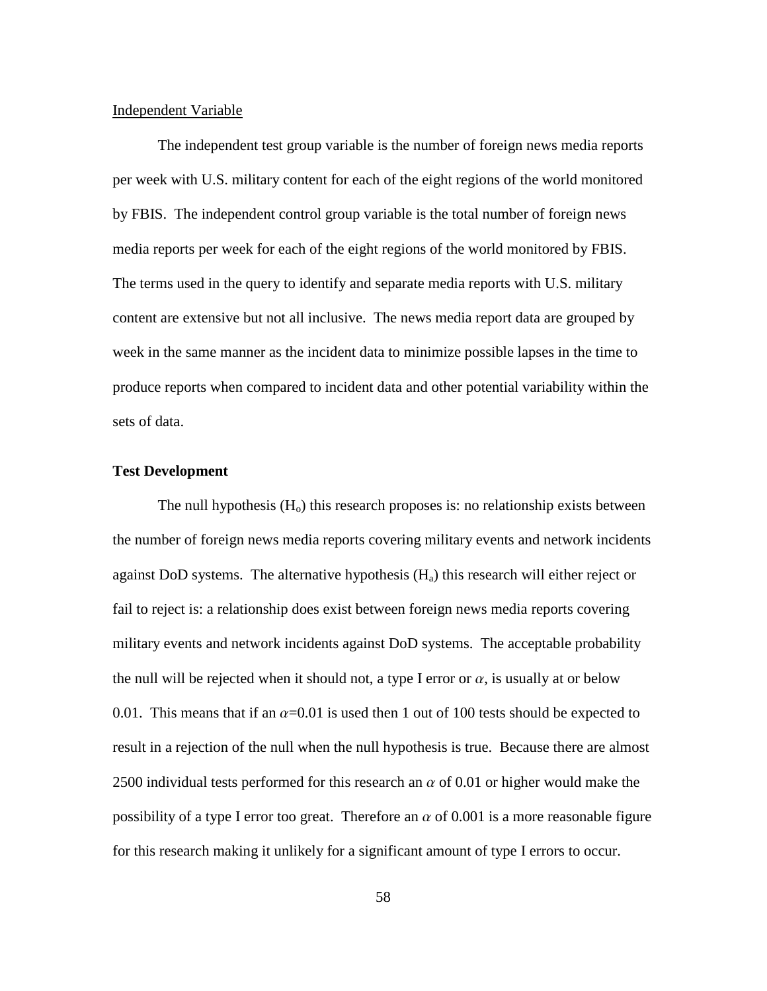### Independent Variable

The independent test group variable is the number of foreign news media reports per week with U.S. military content for each of the eight regions of the world monitored by FBIS. The independent control group variable is the total number of foreign news media reports per week for each of the eight regions of the world monitored by FBIS. The terms used in the query to identify and separate media reports with U.S. military content are extensive but not all inclusive. The news media report data are grouped by week in the same manner as the incident data to minimize possible lapses in the time to produce reports when compared to incident data and other potential variability within the sets of data.

### **Test Development**

The null hypothesis  $(H<sub>o</sub>)$  this research proposes is: no relationship exists between the number of foreign news media reports covering military events and network incidents against DoD systems. The alternative hypothesis  $(H_a)$  this research will either reject or fail to reject is: a relationship does exist between foreign news media reports covering military events and network incidents against DoD systems. The acceptable probability the null will be rejected when it should not, a type I error or  $\alpha$ , is usually at or below 0.01. This means that if an  $\alpha$ =0.01 is used then 1 out of 100 tests should be expected to result in a rejection of the null when the null hypothesis is true. Because there are almost 2500 individual tests performed for this research an  $\alpha$  of 0.01 or higher would make the possibility of a type I error too great. Therefore an  $\alpha$  of 0.001 is a more reasonable figure for this research making it unlikely for a significant amount of type I errors to occur.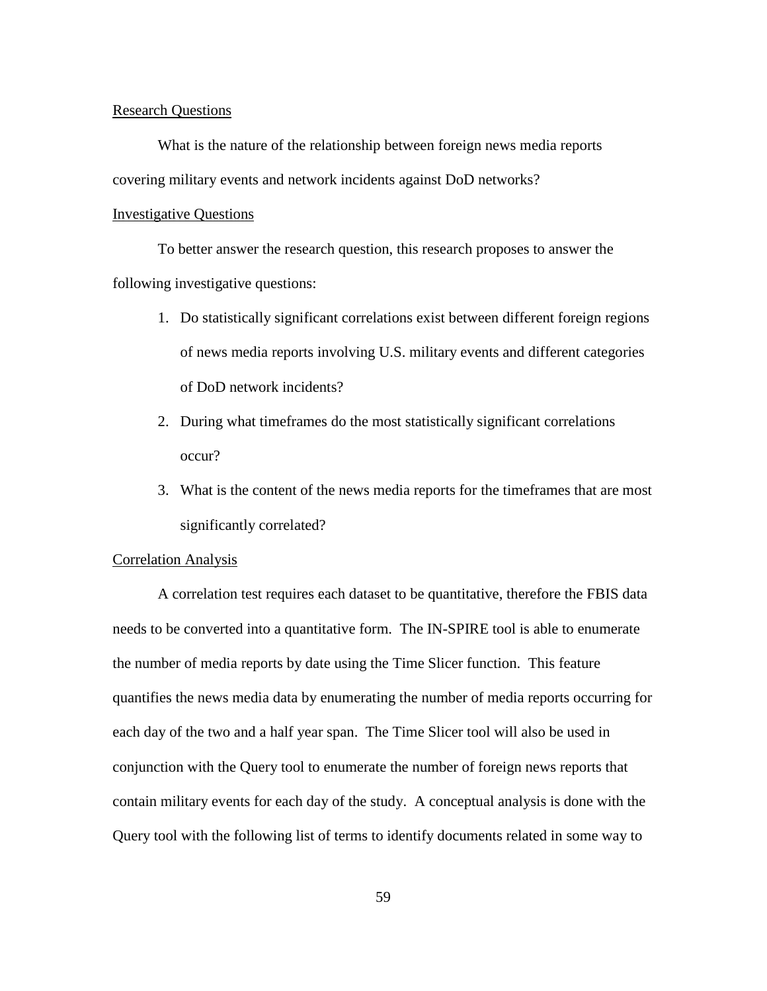#### Research Questions

 What is the nature of the relationship between foreign news media reports covering military events and network incidents against DoD networks?

# Investigative Questions

 To better answer the research question, this research proposes to answer the following investigative questions:

- 1. Do statistically significant correlations exist between different foreign regions of news media reports involving U.S. military events and different categories of DoD network incidents?
- 2. During what timeframes do the most statistically significant correlations occur?
- 3. What is the content of the news media reports for the timeframes that are most significantly correlated?

# Correlation Analysis

 A correlation test requires each dataset to be quantitative, therefore the FBIS data needs to be converted into a quantitative form. The IN-SPIRE tool is able to enumerate the number of media reports by date using the Time Slicer function. This feature quantifies the news media data by enumerating the number of media reports occurring for each day of the two and a half year span. The Time Slicer tool will also be used in conjunction with the Query tool to enumerate the number of foreign news reports that contain military events for each day of the study. A conceptual analysis is done with the Query tool with the following list of terms to identify documents related in some way to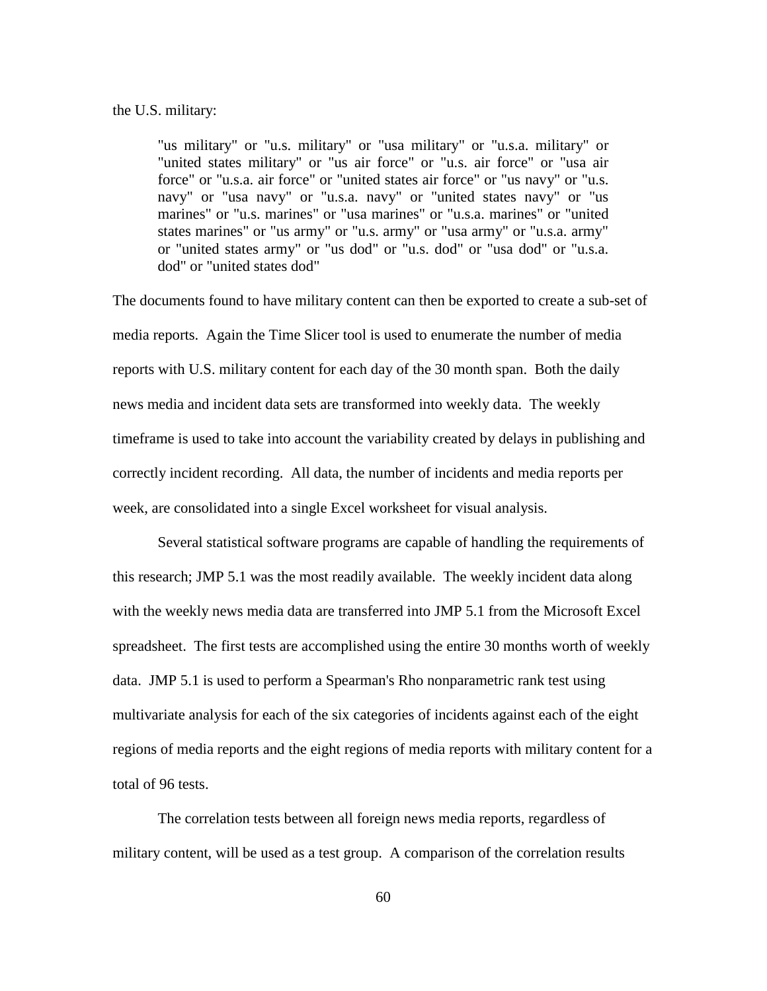#### the U.S. military:

"us military" or "u.s. military" or "usa military" or "u.s.a. military" or "united states military" or "us air force" or "u.s. air force" or "usa air force" or "u.s.a. air force" or "united states air force" or "us navy" or "u.s. navy" or "usa navy" or "u.s.a. navy" or "united states navy" or "us marines" or "u.s. marines" or "usa marines" or "u.s.a. marines" or "united states marines" or "us army" or "u.s. army" or "usa army" or "u.s.a. army" or "united states army" or "us dod" or "u.s. dod" or "usa dod" or "u.s.a. dod" or "united states dod"

The documents found to have military content can then be exported to create a sub-set of media reports. Again the Time Slicer tool is used to enumerate the number of media reports with U.S. military content for each day of the 30 month span. Both the daily news media and incident data sets are transformed into weekly data. The weekly timeframe is used to take into account the variability created by delays in publishing and correctly incident recording. All data, the number of incidents and media reports per week, are consolidated into a single Excel worksheet for visual analysis.

 Several statistical software programs are capable of handling the requirements of this research; JMP 5.1 was the most readily available. The weekly incident data along with the weekly news media data are transferred into JMP 5.1 from the Microsoft Excel spreadsheet. The first tests are accomplished using the entire 30 months worth of weekly data. JMP 5.1 is used to perform a Spearman's Rho nonparametric rank test using multivariate analysis for each of the six categories of incidents against each of the eight regions of media reports and the eight regions of media reports with military content for a total of 96 tests.

 The correlation tests between all foreign news media reports, regardless of military content, will be used as a test group. A comparison of the correlation results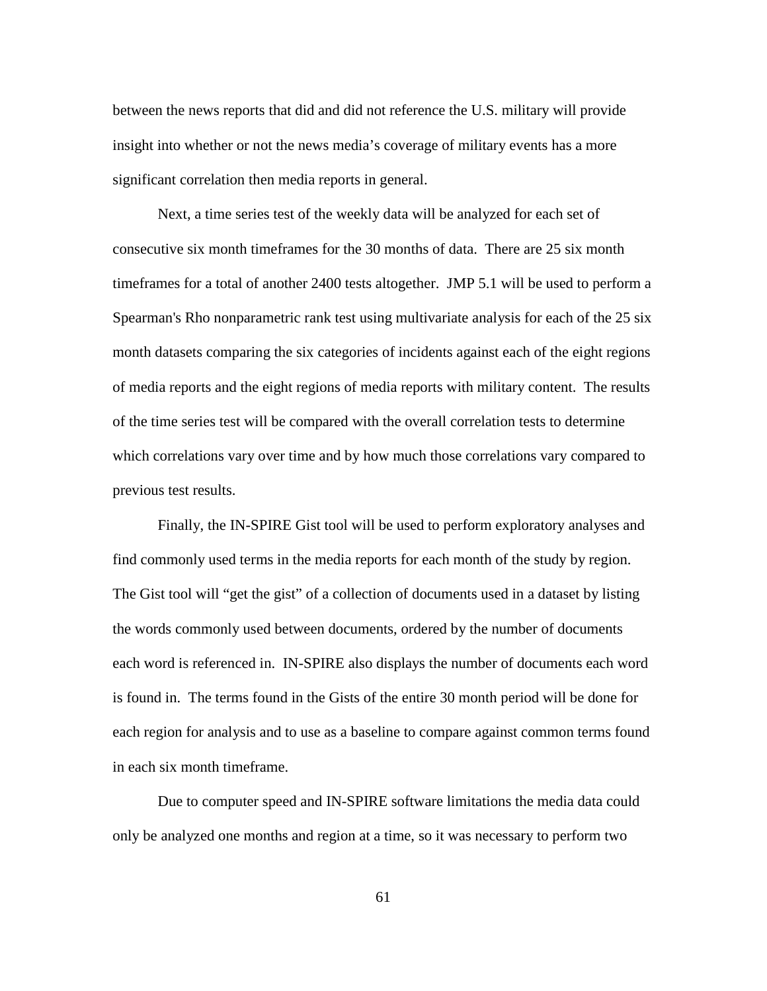between the news reports that did and did not reference the U.S. military will provide insight into whether or not the news media's coverage of military events has a more significant correlation then media reports in general.

 Next, a time series test of the weekly data will be analyzed for each set of consecutive six month timeframes for the 30 months of data. There are 25 six month timeframes for a total of another 2400 tests altogether. JMP 5.1 will be used to perform a Spearman's Rho nonparametric rank test using multivariate analysis for each of the 25 six month datasets comparing the six categories of incidents against each of the eight regions of media reports and the eight regions of media reports with military content. The results of the time series test will be compared with the overall correlation tests to determine which correlations vary over time and by how much those correlations vary compared to previous test results.

 Finally, the IN-SPIRE Gist tool will be used to perform exploratory analyses and find commonly used terms in the media reports for each month of the study by region. The Gist tool will "get the gist" of a collection of documents used in a dataset by listing the words commonly used between documents, ordered by the number of documents each word is referenced in. IN-SPIRE also displays the number of documents each word is found in. The terms found in the Gists of the entire 30 month period will be done for each region for analysis and to use as a baseline to compare against common terms found in each six month timeframe.

 Due to computer speed and IN-SPIRE software limitations the media data could only be analyzed one months and region at a time, so it was necessary to perform two

61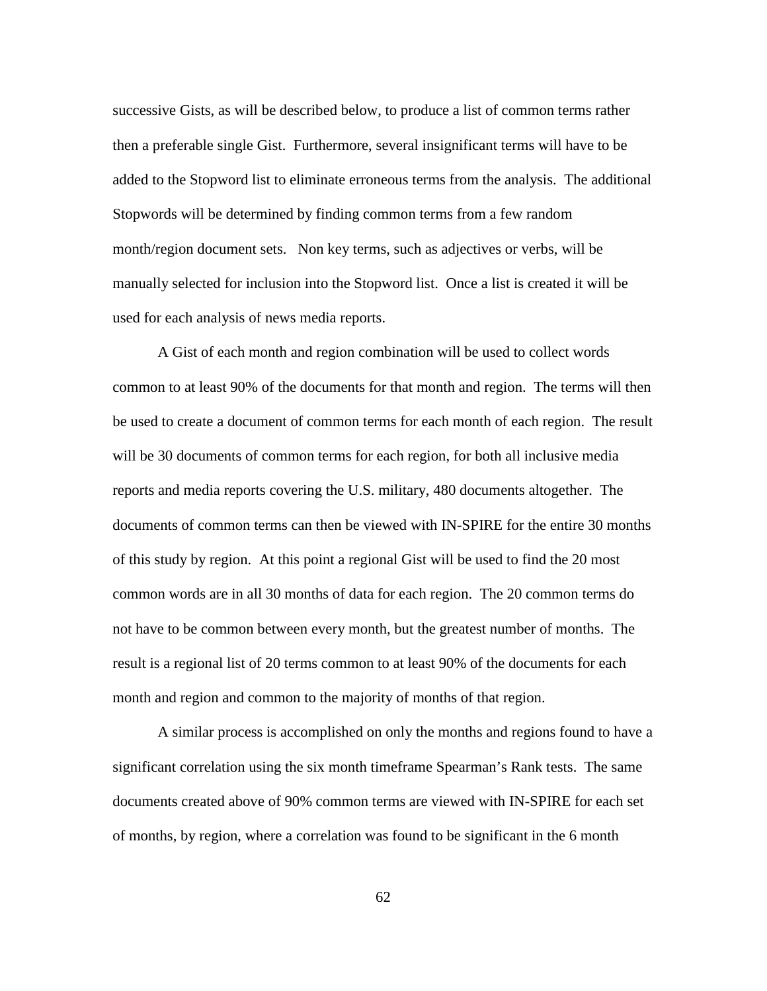successive Gists, as will be described below, to produce a list of common terms rather then a preferable single Gist. Furthermore, several insignificant terms will have to be added to the Stopword list to eliminate erroneous terms from the analysis. The additional Stopwords will be determined by finding common terms from a few random month/region document sets. Non key terms, such as adjectives or verbs, will be manually selected for inclusion into the Stopword list. Once a list is created it will be used for each analysis of news media reports.

 A Gist of each month and region combination will be used to collect words common to at least 90% of the documents for that month and region. The terms will then be used to create a document of common terms for each month of each region. The result will be 30 documents of common terms for each region, for both all inclusive media reports and media reports covering the U.S. military, 480 documents altogether. The documents of common terms can then be viewed with IN-SPIRE for the entire 30 months of this study by region. At this point a regional Gist will be used to find the 20 most common words are in all 30 months of data for each region. The 20 common terms do not have to be common between every month, but the greatest number of months. The result is a regional list of 20 terms common to at least 90% of the documents for each month and region and common to the majority of months of that region.

A similar process is accomplished on only the months and regions found to have a significant correlation using the six month timeframe Spearman's Rank tests. The same documents created above of 90% common terms are viewed with IN-SPIRE for each set of months, by region, where a correlation was found to be significant in the 6 month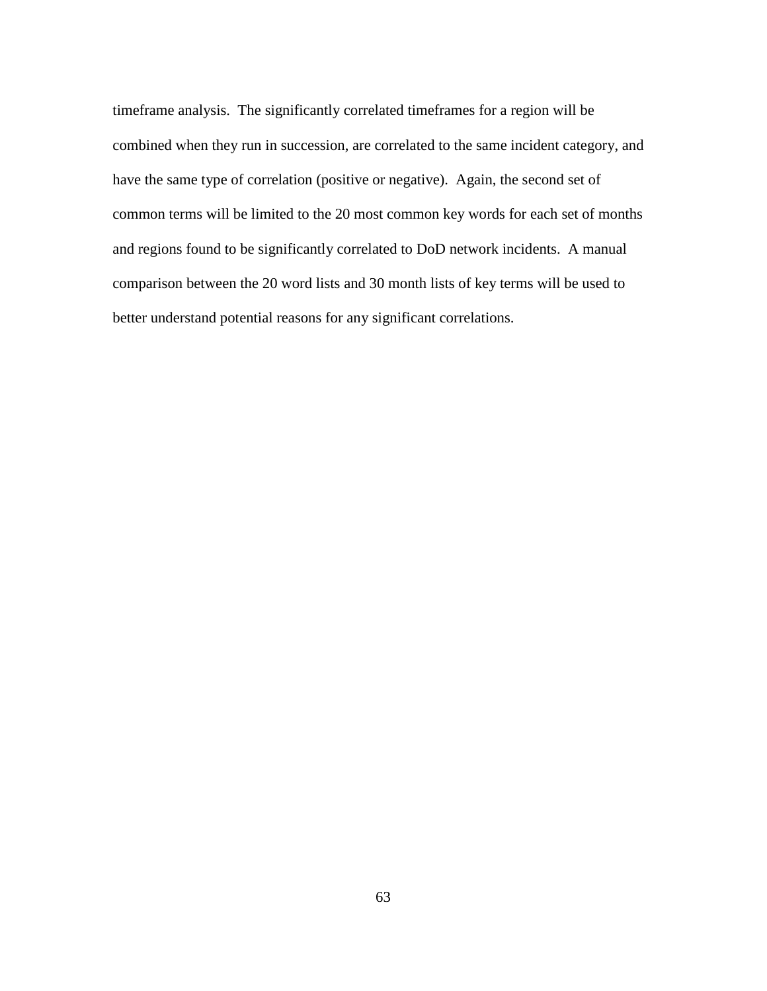timeframe analysis. The significantly correlated timeframes for a region will be combined when they run in succession, are correlated to the same incident category, and have the same type of correlation (positive or negative). Again, the second set of common terms will be limited to the 20 most common key words for each set of months and regions found to be significantly correlated to DoD network incidents. A manual comparison between the 20 word lists and 30 month lists of key terms will be used to better understand potential reasons for any significant correlations.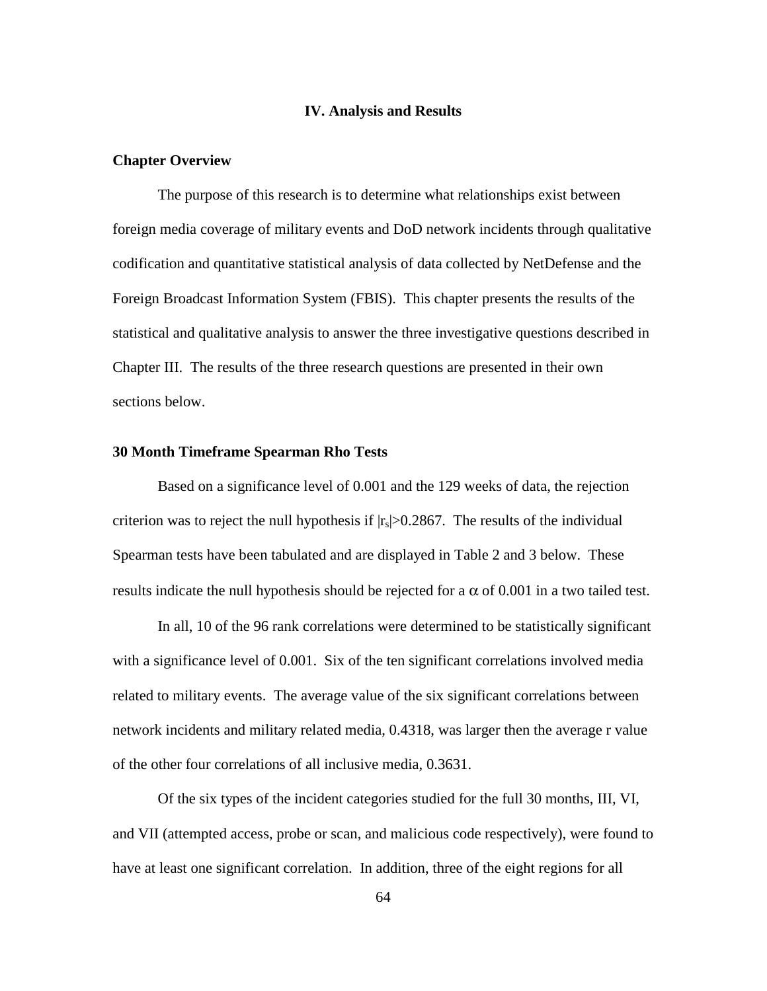## **IV. Analysis and Results**

#### **Chapter Overview**

 The purpose of this research is to determine what relationships exist between foreign media coverage of military events and DoD network incidents through qualitative codification and quantitative statistical analysis of data collected by NetDefense and the Foreign Broadcast Information System (FBIS). This chapter presents the results of the statistical and qualitative analysis to answer the three investigative questions described in Chapter III. The results of the three research questions are presented in their own sections below.

## **30 Month Timeframe Spearman Rho Tests**

Based on a significance level of 0.001 and the 129 weeks of data, the rejection criterion was to reject the null hypothesis if  $|r_s| > 0.2867$ . The results of the individual Spearman tests have been tabulated and are displayed in Table 2 and 3 below. These results indicate the null hypothesis should be rejected for a  $\alpha$  of 0.001 in a two tailed test.

In all, 10 of the 96 rank correlations were determined to be statistically significant with a significance level of 0.001. Six of the ten significant correlations involved media related to military events. The average value of the six significant correlations between network incidents and military related media, 0.4318, was larger then the average r value of the other four correlations of all inclusive media, 0.3631.

Of the six types of the incident categories studied for the full 30 months, III, VI, and VII (attempted access, probe or scan, and malicious code respectively), were found to have at least one significant correlation. In addition, three of the eight regions for all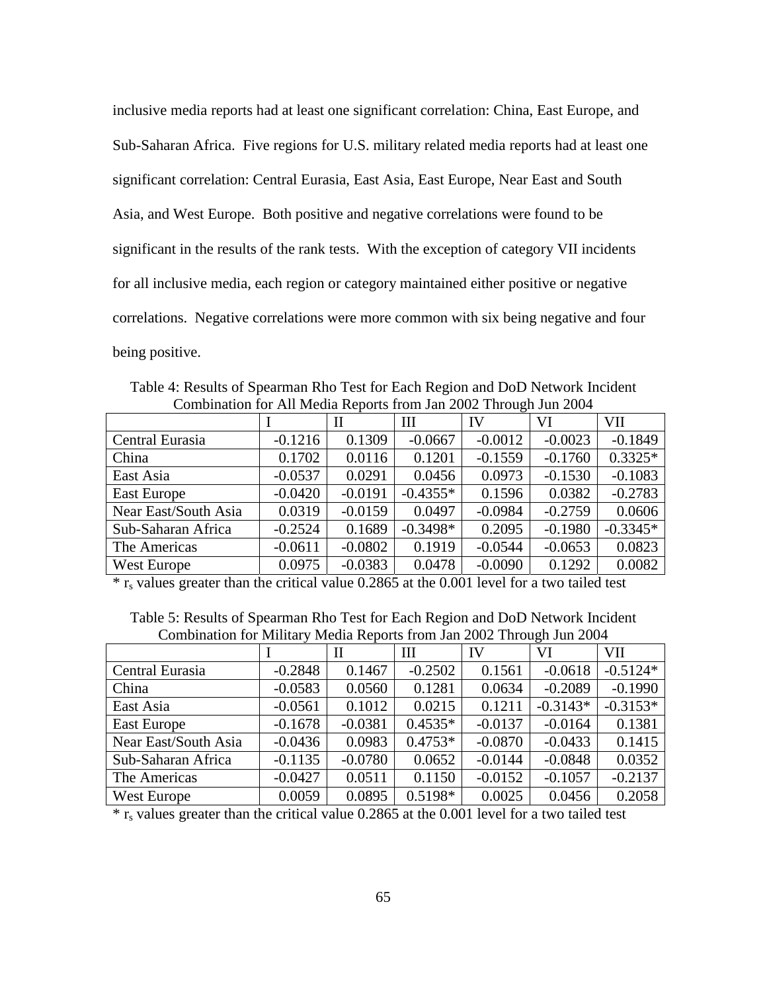inclusive media reports had at least one significant correlation: China, East Europe, and Sub-Saharan Africa. Five regions for U.S. military related media reports had at least one significant correlation: Central Eurasia, East Asia, East Europe, Near East and South Asia, and West Europe. Both positive and negative correlations were found to be significant in the results of the rank tests. With the exception of category VII incidents for all inclusive media, each region or category maintained either positive or negative correlations. Negative correlations were more common with six being negative and four being positive.

Table 4: Results of Spearman Rho Test for Each Region and DoD Network Incident Combination for All Media Reports from Jan 2002 Through Jun 2004

|                      |           | П         | Ш          | IV        | VI        | VII        |
|----------------------|-----------|-----------|------------|-----------|-----------|------------|
| Central Eurasia      | $-0.1216$ | 0.1309    | $-0.0667$  | $-0.0012$ | $-0.0023$ | $-0.1849$  |
| China                | 0.1702    | 0.0116    | 0.1201     | $-0.1559$ | $-0.1760$ | $0.3325*$  |
| East Asia            | $-0.0537$ | 0.0291    | 0.0456     | 0.0973    | $-0.1530$ | $-0.1083$  |
| East Europe          | $-0.0420$ | $-0.0191$ | $-0.4355*$ | 0.1596    | 0.0382    | $-0.2783$  |
| Near East/South Asia | 0.0319    | $-0.0159$ | 0.0497     | $-0.0984$ | $-0.2759$ | 0.0606     |
| Sub-Saharan Africa   | $-0.2524$ | 0.1689    | $-0.3498*$ | 0.2095    | $-0.1980$ | $-0.3345*$ |
| The Americas         | $-0.0611$ | $-0.0802$ | 0.1919     | $-0.0544$ | $-0.0653$ | 0.0823     |
| West Europe          | 0.0975    | $-0.0383$ | 0.0478     | $-0.0090$ | 0.1292    | 0.0082     |

 $*$  r<sub>s</sub> values greater than the critical value 0.2865 at the 0.001 level for a two tailed test

| Table 5: Results of Spearman Rho Test for Each Region and DoD Network Incident |                                                                       |  |
|--------------------------------------------------------------------------------|-----------------------------------------------------------------------|--|
|                                                                                | Combination for Military Media Reports from Jan 2002 Through Jun 2004 |  |

|                      |           | П         | Ш         | IV        | VI         | <b>VII</b> |
|----------------------|-----------|-----------|-----------|-----------|------------|------------|
| Central Eurasia      | $-0.2848$ | 0.1467    | $-0.2502$ | 0.1561    | $-0.0618$  | $-0.5124*$ |
| China                | $-0.0583$ | 0.0560    | 0.1281    | 0.0634    | $-0.2089$  | $-0.1990$  |
| East Asia            | $-0.0561$ | 0.1012    | 0.0215    | 0.1211    | $-0.3143*$ | $-0.3153*$ |
| East Europe          | $-0.1678$ | $-0.0381$ | $0.4535*$ | $-0.0137$ | $-0.0164$  | 0.1381     |
| Near East/South Asia | $-0.0436$ | 0.0983    | $0.4753*$ | $-0.0870$ | $-0.0433$  | 0.1415     |
| Sub-Saharan Africa   | $-0.1135$ | $-0.0780$ | 0.0652    | $-0.0144$ | $-0.0848$  | 0.0352     |
| The Americas         | $-0.0427$ | 0.0511    | 0.1150    | $-0.0152$ | $-0.1057$  | $-0.2137$  |
| West Europe          | 0.0059    | 0.0895    | $0.5198*$ | 0.0025    | 0.0456     | 0.2058     |

 $*$  r<sub>s</sub> values greater than the critical value 0.2865 at the 0.001 level for a two tailed test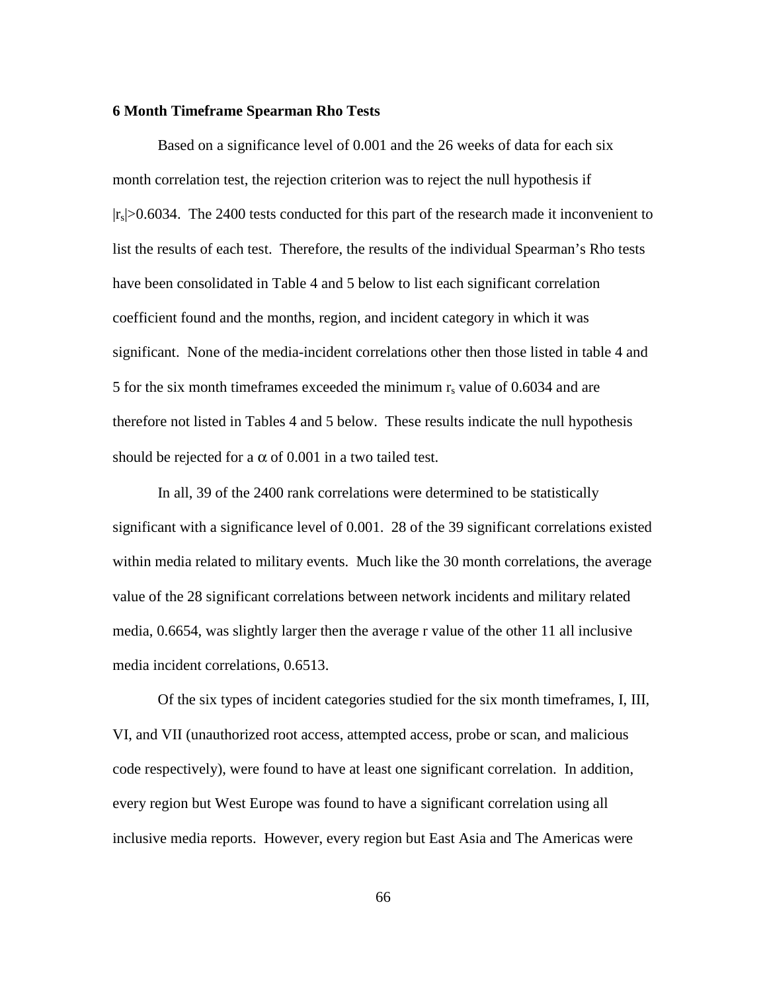#### **6 Month Timeframe Spearman Rho Tests**

Based on a significance level of 0.001 and the 26 weeks of data for each six month correlation test, the rejection criterion was to reject the null hypothesis if  $|r_s|>0.6034$ . The 2400 tests conducted for this part of the research made it inconvenient to list the results of each test. Therefore, the results of the individual Spearman's Rho tests have been consolidated in Table 4 and 5 below to list each significant correlation coefficient found and the months, region, and incident category in which it was significant. None of the media-incident correlations other then those listed in table 4 and 5 for the six month timeframes exceeded the minimum  $r_s$  value of 0.6034 and are therefore not listed in Tables 4 and 5 below. These results indicate the null hypothesis should be rejected for a  $\alpha$  of 0.001 in a two tailed test.

In all, 39 of the 2400 rank correlations were determined to be statistically significant with a significance level of 0.001. 28 of the 39 significant correlations existed within media related to military events. Much like the 30 month correlations, the average value of the 28 significant correlations between network incidents and military related media, 0.6654, was slightly larger then the average r value of the other 11 all inclusive media incident correlations, 0.6513.

Of the six types of incident categories studied for the six month timeframes, I, III, VI, and VII (unauthorized root access, attempted access, probe or scan, and malicious code respectively), were found to have at least one significant correlation. In addition, every region but West Europe was found to have a significant correlation using all inclusive media reports. However, every region but East Asia and The Americas were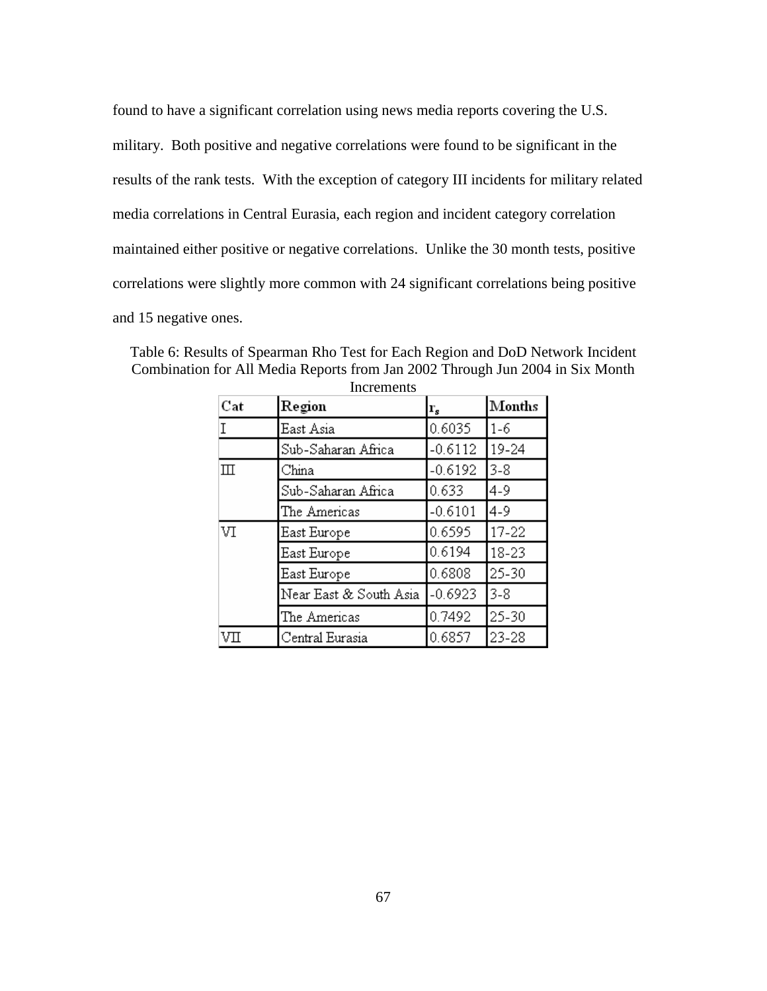found to have a significant correlation using news media reports covering the U.S. military. Both positive and negative correlations were found to be significant in the results of the rank tests. With the exception of category III incidents for military related media correlations in Central Eurasia, each region and incident category correlation maintained either positive or negative correlations. Unlike the 30 month tests, positive correlations were slightly more common with 24 significant correlations being positive and 15 negative ones.

| Cat          | Region                 | $\mathbf{r}_s$ | Months    |
|--------------|------------------------|----------------|-----------|
| T            | East Asia              | 0.6035         | $1 - 6$   |
|              | Sub-Saharan Africa     | $-0.6112$      | 19-24     |
| $\mathbb{H}$ | China                  | $-0.6192$      | $3 - 8$   |
|              | Sub-Saharan Africa     | 0.633          | 4-9       |
|              | The Americas           | $-0.6101$      | $4 - 9$   |
| VI           | East Europe            | 0.6595         | $17 - 22$ |
|              | East Europe            | 0.6194         | 18-23     |
|              | East Europe            | 0.6808         | 25-30     |
|              | Near East & South Asia | $-0.6923$      | $3 - 8$   |
|              | The Americas           | 0.7492         | 25-30     |
| VП           | Central Eurasia        | 0.6857         | 23-28     |

Table 6: Results of Spearman Rho Test for Each Region and DoD Network Incident Combination for All Media Reports from Jan 2002 Through Jun 2004 in Six Month Increments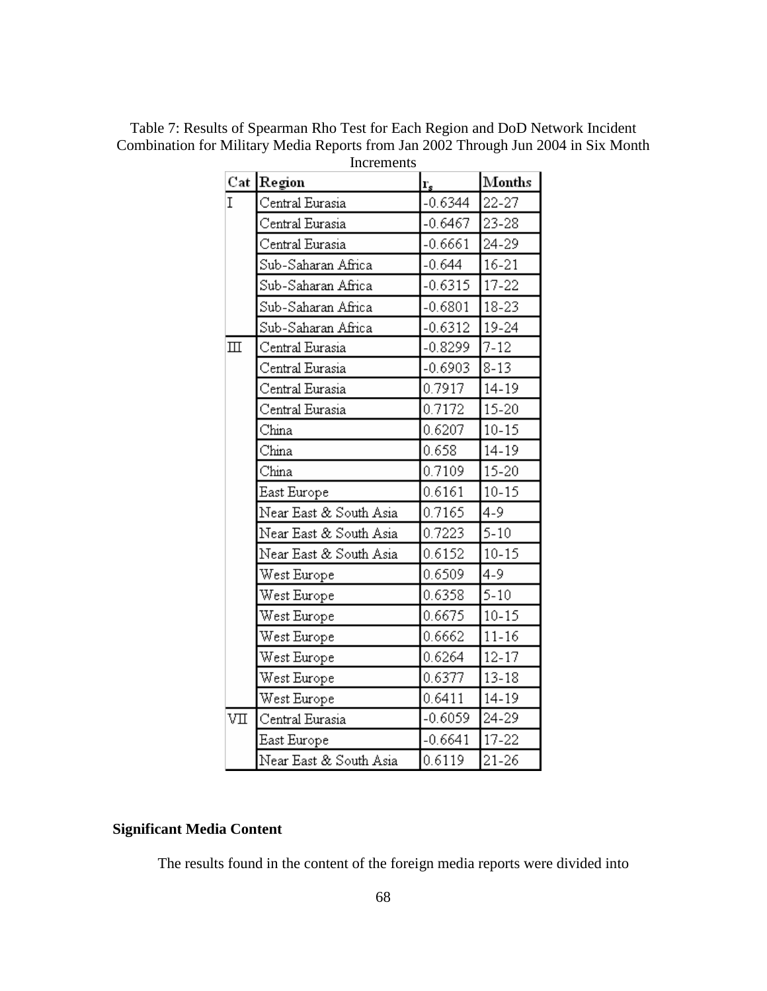| Table 7: Results of Spearman Rho Test for Each Region and DoD Network Incident     |
|------------------------------------------------------------------------------------|
| Combination for Military Media Reports from Jan 2002 Through Jun 2004 in Six Month |
| Increments                                                                         |

|              | Cat Region             | $\mathbf{r}_s$ | Months    |  |
|--------------|------------------------|----------------|-----------|--|
| I            | Central Eurasia        | $-0.6344$      | 22-27     |  |
|              | Central Eurasia        | $-0.6467$      | 23-28     |  |
|              | Central Eurasia        | $-0.6661$      | 24-29     |  |
|              | Sub-Saharan Africa     | $-0.644$       | $16 - 21$ |  |
|              | Sub-Saharan Africa     | $-0.6315$      | $17 - 22$ |  |
|              | Sub-Saharan Africa     | $-0.6801$      | 18-23     |  |
|              | Sub-Saharan Africa     | $-0.6312$      | 19-24     |  |
| $\mathbb{I}$ | Central Eurasia        | $-0.8299$      | $7 - 12$  |  |
|              | Central Eurasia        | $-0.6903$      | $8 - 13$  |  |
|              | Central Eurasia        | 0.7917         | $14 - 19$ |  |
|              | Central Eurasia        | 0.7172         | $15 - 20$ |  |
|              | China                  | 0.6207         | $10 - 15$ |  |
|              | China                  | 0.658          | 14-19     |  |
|              | China                  | 0.7109         | $15 - 20$ |  |
|              | East Europe            | 0.6161         | $10 - 15$ |  |
|              | Near East & South Asia | 0.7165         | $4 - 9$   |  |
|              | Near East & South Asia | 0.7223         | $5 - 10$  |  |
|              | Near East & South Asia | 0.6152         | $10 - 15$ |  |
|              | West Europe            | 0.6509         | 4-9       |  |
|              | West Europe            | 0.6358         | $5 - 10$  |  |
|              | West Europe            | 0.6675         | $10 - 15$ |  |
|              | West Europe            | 0.6662         | $11 - 16$ |  |
|              | West Europe            | 0.6264         | $12 - 17$ |  |
|              | West Europe            | 0.6377         | $13 - 18$ |  |
|              | West Europe            | 0.6411         | 14-19     |  |
| VП           | Central Eurasia        | $-0.6059$      | 24-29     |  |
|              | East Europe            | $-0.6641$      | $17 - 22$ |  |
|              | Near East & South Asia | 0.6119         | 21-26     |  |

# **Significant Media Content**

The results found in the content of the foreign media reports were divided into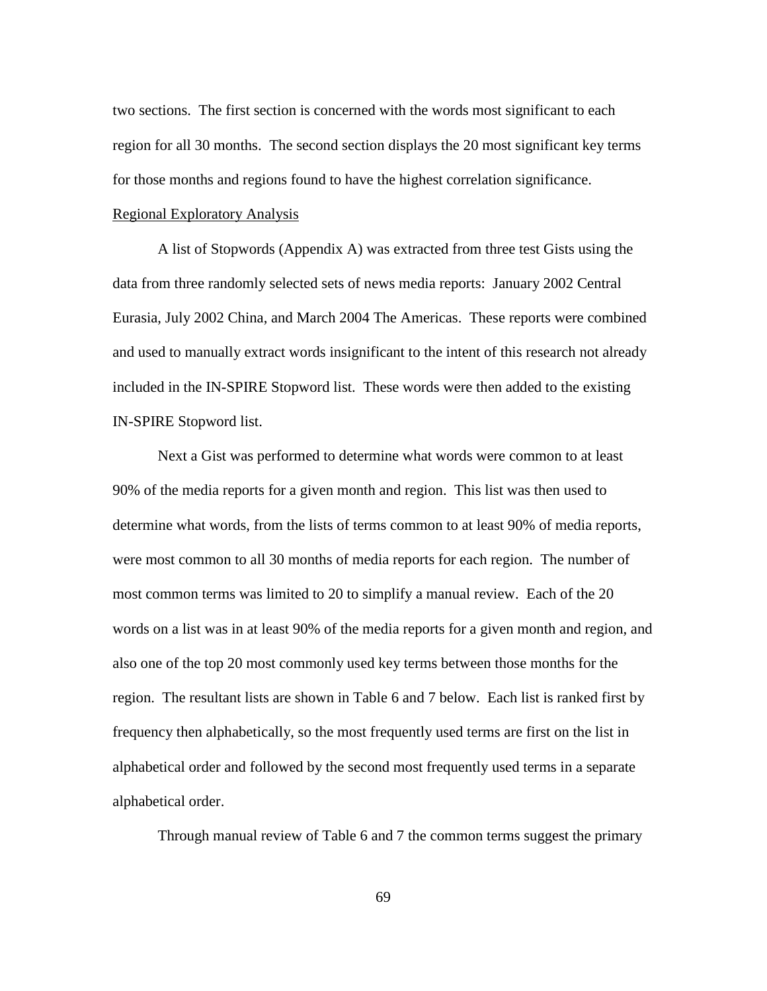two sections. The first section is concerned with the words most significant to each region for all 30 months. The second section displays the 20 most significant key terms for those months and regions found to have the highest correlation significance.

## Regional Exploratory Analysis

A list of Stopwords (Appendix A) was extracted from three test Gists using the data from three randomly selected sets of news media reports: January 2002 Central Eurasia, July 2002 China, and March 2004 The Americas. These reports were combined and used to manually extract words insignificant to the intent of this research not already included in the IN-SPIRE Stopword list. These words were then added to the existing IN-SPIRE Stopword list.

Next a Gist was performed to determine what words were common to at least 90% of the media reports for a given month and region. This list was then used to determine what words, from the lists of terms common to at least 90% of media reports, were most common to all 30 months of media reports for each region. The number of most common terms was limited to 20 to simplify a manual review. Each of the 20 words on a list was in at least 90% of the media reports for a given month and region, and also one of the top 20 most commonly used key terms between those months for the region. The resultant lists are shown in Table 6 and 7 below. Each list is ranked first by frequency then alphabetically, so the most frequently used terms are first on the list in alphabetical order and followed by the second most frequently used terms in a separate alphabetical order.

Through manual review of Table 6 and 7 the common terms suggest the primary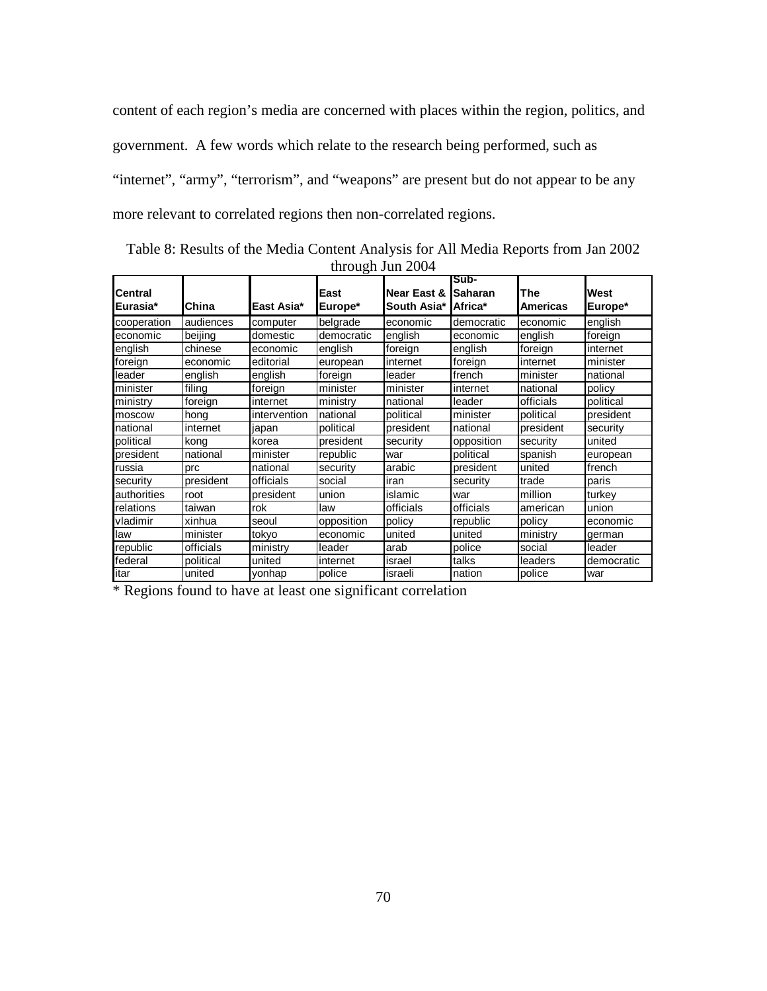content of each region's media are concerned with places within the region, politics, and government. A few words which relate to the research being performed, such as "internet", "army", "terrorism", and "weapons" are present but do not appear to be any more relevant to correlated regions then non-correlated regions.

Table 8: Results of the Media Content Analysis for All Media Reports from Jan 2002 through Jun 2004

| <b>Central</b><br>lEurasia* | China     | East Asia*   | East<br>Europe* | <b>Near East &amp;</b><br>South Asia* | Sub-<br><b>ISaharan</b><br>Africa* | The<br><b>Americas</b> | West<br>Europe* |
|-----------------------------|-----------|--------------|-----------------|---------------------------------------|------------------------------------|------------------------|-----------------|
| cooperation                 | audiences | computer     | belgrade        | economic                              | democratic                         | economic               | english         |
| economic                    | beijing   | domestic     | democratic      | english                               | economic                           | english                | foreign         |
| english                     | chinese   | economic     | english         | foreign                               | english                            | foreign                | internet        |
| foreign                     | economic  | editorial    | european        | internet                              | foreign                            | internet               | minister        |
| leader                      | english   | english      | foreign         | leader                                | french                             | minister               | national        |
| minister                    | filing    | foreign      | minister        | minister                              | internet                           | national               | policy          |
| ministry                    | foreign   | internet     | ministry        | national                              | leader                             | officials              | political       |
| moscow                      | hong      | intervention | national        | political                             | minister                           | political              | president       |
| national                    | internet  | japan        | political       | president                             | national                           | president              | security        |
| political                   | kong      | korea        | president       | security                              | opposition                         | security               | united          |
| president                   | national  | minister     | republic        | war                                   | political                          | spanish                | european        |
| russia                      | prc       | national     | security        | arabic                                | president                          | united                 | french          |
| security                    | president | officials    | social          | iran                                  | security                           | trade                  | paris           |
| authorities                 | root      | president    | union           | islamic                               | war                                | million                | turkey          |
| relations                   | taiwan    | rok          | law             | officials                             | officials                          | american               | union           |
| vladimir                    | xinhua    | seoul        | opposition      | policy                                | republic                           | policy                 | economic        |
| law                         | minister  | tokyo        | economic        | united                                | united                             | ministry               | german          |
| republic                    | officials | ministry     | leader          | arab                                  | police                             | social                 | leader          |
| federal                     | political | united       | internet        | israel                                | talks                              | leaders                | democratic      |
| itar                        | united    | yonhap       | police          | israeli                               | nation                             | police                 | war             |

\* Regions found to have at least one significant correlation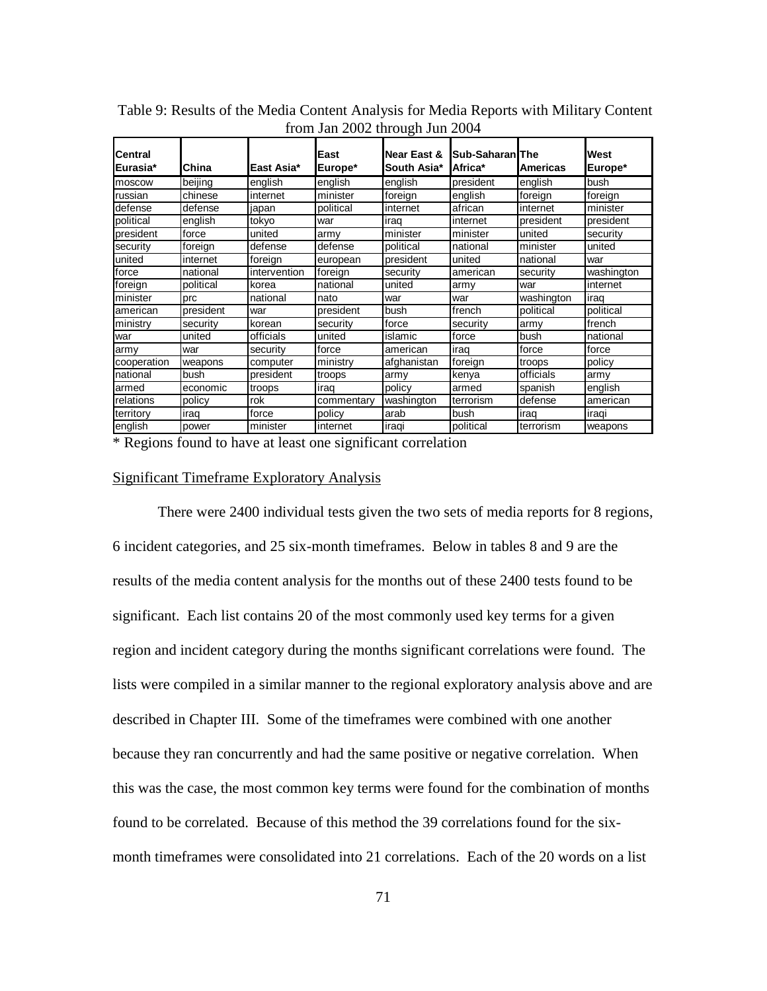| <b>Central</b><br><b>Eurasia*</b> | China     | East Asia*   | East<br>Europe* | Near East &<br><b>South Asia*</b> | <b>Sub-Saharan</b> The<br>Africa* | <b>Americas</b> | West<br>Europe* |
|-----------------------------------|-----------|--------------|-----------------|-----------------------------------|-----------------------------------|-----------------|-----------------|
| moscow                            | beijing   | english      | english         | english                           | president                         | english         | bush            |
| russian                           | chinese   | internet     | minister        | foreign                           | english                           | foreign         | foreign         |
| defense                           | defense   | japan        | political       | internet                          | african                           | internet        | minister        |
| political                         | english   | tokyo        | war             | irag                              | linternet                         | president       | president       |
| president                         | force     | united       | army            | minister                          | minister                          | united          | security        |
| security                          | foreign   | defense      | defense         | political                         | national                          | minister        | united          |
| united                            | internet  | foreign      | european        | president                         | united                            | national        | war             |
| force                             | national  | intervention | foreign         | security                          | american                          | security        | washington      |
| foreign                           | political | korea        | national        | united                            | army                              | war             | internet        |
| minister                          | prc       | national     | nato            | war                               | war                               | washington      | irag            |
| american                          | president | war          | president       | bush                              | french                            | political       | political       |
| ministry                          | security  | korean       | security        | force                             | security                          | army            | french          |
| war                               | united    | officials    | united          | islamic                           | force                             | bush            | national        |
| army                              | war       | security     | force           | american                          | iraq                              | force           | force           |
| cooperation                       | weapons   | computer     | ministry        | afghanistan                       | foreign                           | troops          | policy          |
| national                          | bush      | president    | troops          | armv                              | kenya                             | officials       | armv            |
| armed                             | economic  | troops       | iraq            | policy                            | armed                             | spanish         | english         |
| relations                         | policy    | rok          | commentary      | washington                        | terrorism                         | defense         | american        |
| territory                         | irag      | force        | policy          | arab                              | bush                              | iraq            | iragi           |
| english                           | power     | minister     | internet        | iraqi                             | political                         | terrorism       | weapons         |

 Table 9: Results of the Media Content Analysis for Media Reports with Military Content from Jan 2002 through Jun 2004

\* Regions found to have at least one significant correlation

## Significant Timeframe Exploratory Analysis

 There were 2400 individual tests given the two sets of media reports for 8 regions, 6 incident categories, and 25 six-month timeframes. Below in tables 8 and 9 are the results of the media content analysis for the months out of these 2400 tests found to be significant. Each list contains 20 of the most commonly used key terms for a given region and incident category during the months significant correlations were found. The lists were compiled in a similar manner to the regional exploratory analysis above and are described in Chapter III. Some of the timeframes were combined with one another because they ran concurrently and had the same positive or negative correlation. When this was the case, the most common key terms were found for the combination of months found to be correlated. Because of this method the 39 correlations found for the sixmonth timeframes were consolidated into 21 correlations. Each of the 20 words on a list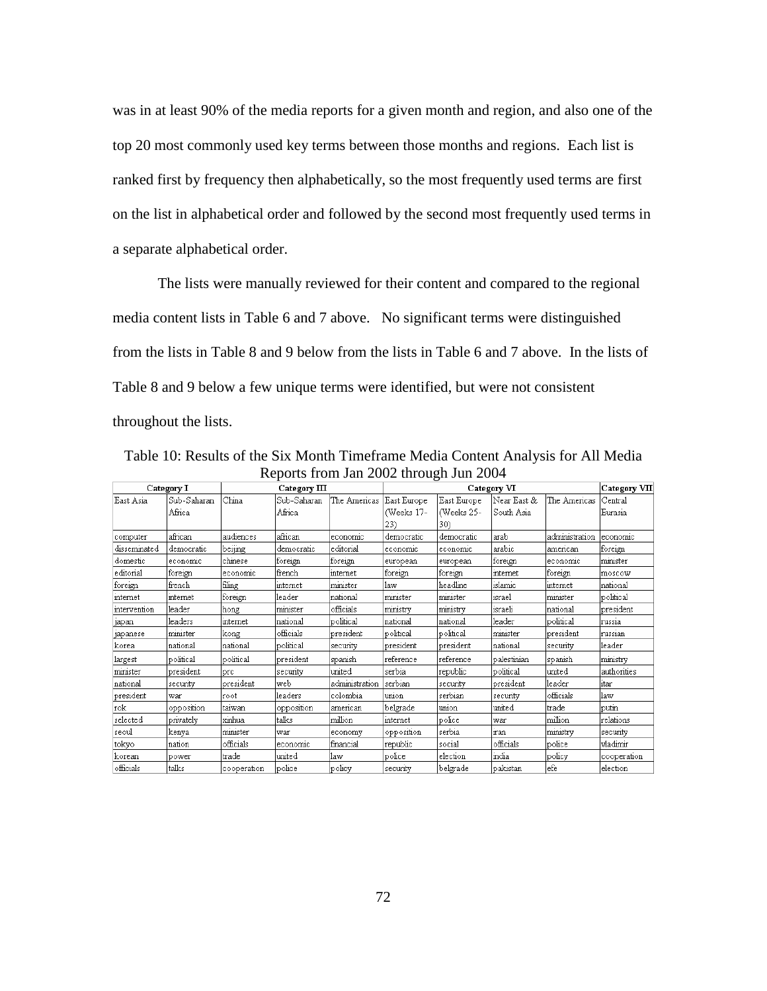was in at least 90% of the media reports for a given month and region, and also one of the top 20 most commonly used key terms between those months and regions. Each list is ranked first by frequency then alphabetically, so the most frequently used terms are first on the list in alphabetical order and followed by the second most frequently used terms in a separate alphabetical order.

The lists were manually reviewed for their content and compared to the regional media content lists in Table 6 and 7 above. No significant terms were distinguished from the lists in Table 8 and 9 below from the lists in Table 6 and 7 above. In the lists of Table 8 and 9 below a few unique terms were identified, but were not consistent throughout the lists.

| Category I   |             | Category III |             |                | Category VI |             |             |                | Category VII |  |
|--------------|-------------|--------------|-------------|----------------|-------------|-------------|-------------|----------------|--------------|--|
| East Asia    | Sub-Saharan | China        | Sub-Saharan | The Americas   | East Europe | East Europe | Near East & | The Americas   | Central      |  |
|              | Africa      |              | Africa      |                | (Weeks 17-  | (Weeks 25-  | South Asia  |                | Eurasia      |  |
|              |             |              |             |                | 23)         | 30)         |             |                |              |  |
| computer     | african     | audiences    | african     | economic       | democratic  | democratic  | arab        | administration | economic     |  |
| disseminated | democratic  | beijing      | democratic  | editorial      | economic    | economic    | arabic      | american       | foreign      |  |
| domestic     | economic    | chinese      | foreign     | foreign        | european    | european    | foreign     | economic       | minister     |  |
| editorial    | foreign     | economic     | french      | internet       | foreign     | foreign     | internet    | foreign        | moscow       |  |
| foreign      | french      | filing       | internet    | minister       | law         | headline    | islamic     | internet       | national     |  |
| internet     | internet    | foreign      | leader      | national       | minister    | minister    | israel      | minister       | political    |  |
| intervention | leader      | hong         | minister    | officials      | ministry    | ministry    | israeli     | national       | president    |  |
| japan        | leaders     | internet     | national    | political      | national    | national    | leader      | political      | russia       |  |
| japanese     | minister    | kong         | officials   | president      | political   | political   | minister    | president      | russian      |  |
| korea        | national    | national     | political   | security       | president   | president   | national    | security       | leader       |  |
| largest      | political   | political    | president   | spanish        | reference   | reference   | palestinian | spanish        | ministry     |  |
| minister     | president   | lprc.        | security    | united         | serbia      | republic    | political   | united         | authorities  |  |
| national     | security    | president    | web         | administration | serbian     | security    | president   | leader         | itar         |  |
| president    | war         | Iroot        | leaders     | colombia       | union       | serbian     | security    | officials      | law          |  |
| rok          | opposition  | taiwan       | opposition  | american       | belgrade    | union       | united      | trade          | putin        |  |
| selected     | privatelv   | xinhua       | talks       | million        | internet    | police      | war         | milion         | relations    |  |
| seoul        | kenya       | minister     | war         | economy        | opposition  | serbia      | iran        | ministry       | security     |  |
| tokyo        | nation      | officials    | economic    | financial      | republic    | social      | officials   | police         | vladimir     |  |
| korean       | power       | trade        | united      | llaw           | police      | election    | lindia      | policy         | cooperation  |  |
| officials    | talks       | cooperation  | police      | lpolicy        | security    | belgrade    | bakistan    | efe            | election     |  |

Table 10: Results of the Six Month Timeframe Media Content Analysis for All Media Reports from Jan 2002 through Jun 2004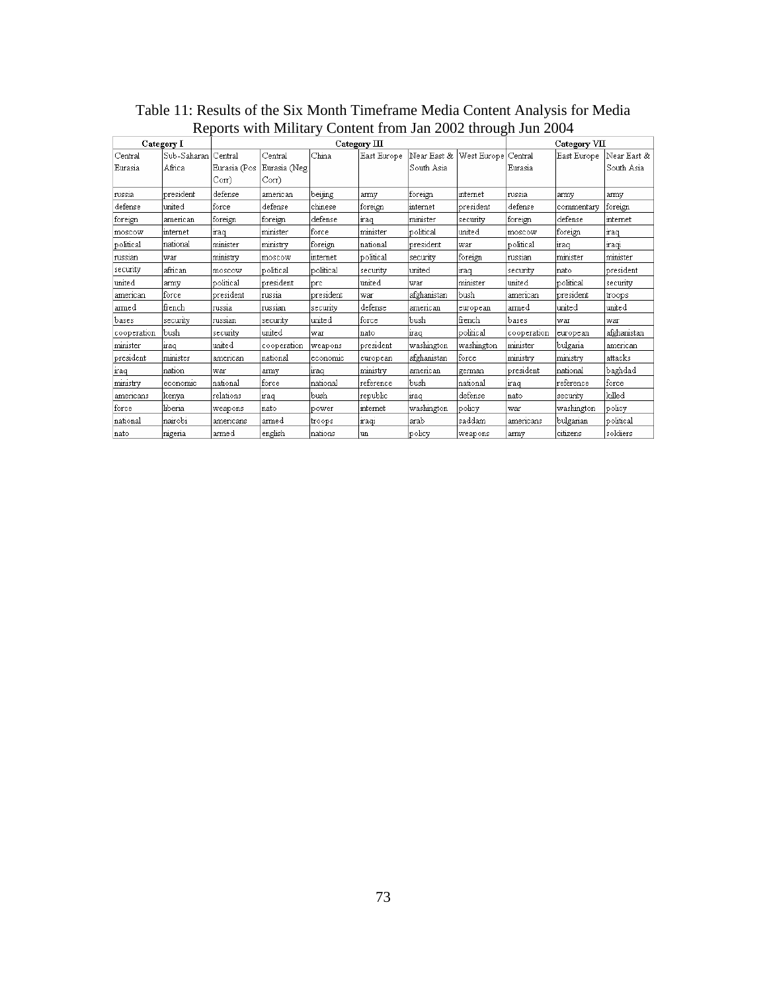|                    | Category I            | Category III                      |                                     |           |             |                           |             |                    | Category VII |                           |  |
|--------------------|-----------------------|-----------------------------------|-------------------------------------|-----------|-------------|---------------------------|-------------|--------------------|--------------|---------------------------|--|
| Central<br>Eurasia | Sub-Saharan<br>Africa | lCentral<br>Eurasia (Pos<br>Corr) | Central<br>Eurasia (Neg<br>$Corr$ ) | China     | East Europe | Near East &<br>South Asia | West Europe | Central<br>Eurasia | East Europe  | Near East &<br>South Asia |  |
| russia             | president             | defense                           | american                            | beijing   | army        | foreign                   | internet    | russia             | army         | army                      |  |
| defense            | united                | iforce                            | defense                             | chinese   | foreign     | internet                  | president   | defense            | commentary   | foreign                   |  |
| foreign            | american              | foreign                           | foreign                             | defense   | iraq        | minister                  | security    | foreign            | defense      | internet                  |  |
| moscow             | internet              | iraq                              | minister                            | force     | minister    | political                 | united      | moscow             | foreign      | iraq                      |  |
| political          | national              | minister                          | ministry                            | lforeign  | national    | president                 | war         | political          | liraq        | iragi                     |  |
| russian            | war                   | ministry                          | moscow                              | internet  | political   | security                  | foreign     | russian            | minister     | minister                  |  |
| security           | african               | moscow                            | political                           | political | security    | united                    | iraq        | security           | Inato        | president                 |  |
| united             | army                  | political                         | president                           | prc       | united      | war                       | minister    | united             | political    | security                  |  |
| american           | force.                | president                         | russia                              | president | war         | afghanistan               | bush        | american           | president    | troops                    |  |
| armed              | french                | russia                            | russian                             | security  | defense     | american                  | european    | armed              | united       | united                    |  |
| bases              | security              | russian                           | security                            | united    | force       | bush                      | lfrench     | bases              | war          | war                       |  |
| cooperation        | bush                  | security                          | united                              | war       | nato        | maq                       | political   | cooperation        | european     | afghanistan               |  |
| minister           | iraq                  | united                            | cooperation                         | weapons   | president   | washington                | washington  | lminister          | bulgaria     | american                  |  |
| president          | minister              | american                          | national                            | economic  | european    | afghanistan               | force       | ministry           | ministry     | attacks                   |  |
| traq               | nation                | war                               | army                                | iraq      | ministry    | american                  | german      | president          | national     | baghdad                   |  |
| ministry           | economic              | national                          | force                               | national  | reference   | bush                      | Inational   | iraq               | reference    | force                     |  |
| americans          | kenya                 | relations                         | iraq                                | bush      | republic    | mag                       | defense     | nato               | security     | killed                    |  |
| force              | liberia               | weapons                           | nato                                | power     | internet    | washington                | policy      | war                | washington   | policy                    |  |
| national           | nairobi               | americans                         | armed                               | troops    | iragi       | arab                      | saddam      | americans          | bulgarian    | political                 |  |
| nato               | nigeria               | armed                             | english                             | Inations  | lun         | policy                    | weapons     | army               | citizens     | soldiers                  |  |

Table 11: Results of the Six Month Timeframe Media Content Analysis for Media Reports with Military Content from Jan 2002 through Jun 2004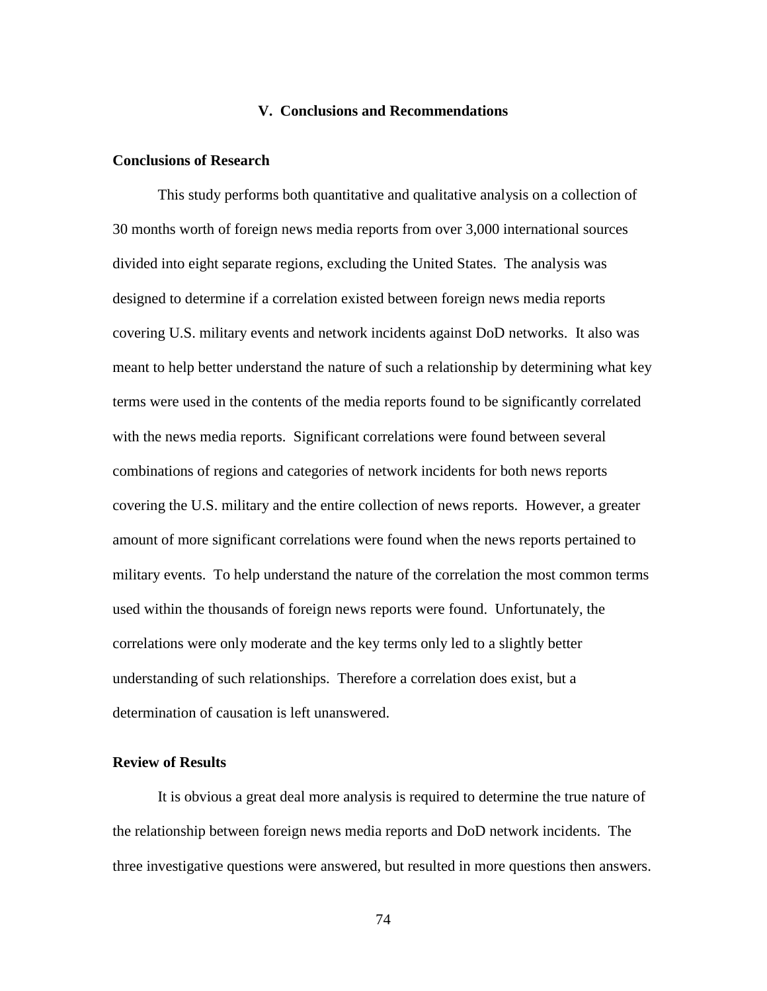# **V. Conclusions and Recommendations**

# **Conclusions of Research**

 This study performs both quantitative and qualitative analysis on a collection of 30 months worth of foreign news media reports from over 3,000 international sources divided into eight separate regions, excluding the United States. The analysis was designed to determine if a correlation existed between foreign news media reports covering U.S. military events and network incidents against DoD networks. It also was meant to help better understand the nature of such a relationship by determining what key terms were used in the contents of the media reports found to be significantly correlated with the news media reports. Significant correlations were found between several combinations of regions and categories of network incidents for both news reports covering the U.S. military and the entire collection of news reports. However, a greater amount of more significant correlations were found when the news reports pertained to military events. To help understand the nature of the correlation the most common terms used within the thousands of foreign news reports were found. Unfortunately, the correlations were only moderate and the key terms only led to a slightly better understanding of such relationships. Therefore a correlation does exist, but a determination of causation is left unanswered.

#### **Review of Results**

 It is obvious a great deal more analysis is required to determine the true nature of the relationship between foreign news media reports and DoD network incidents. The three investigative questions were answered, but resulted in more questions then answers.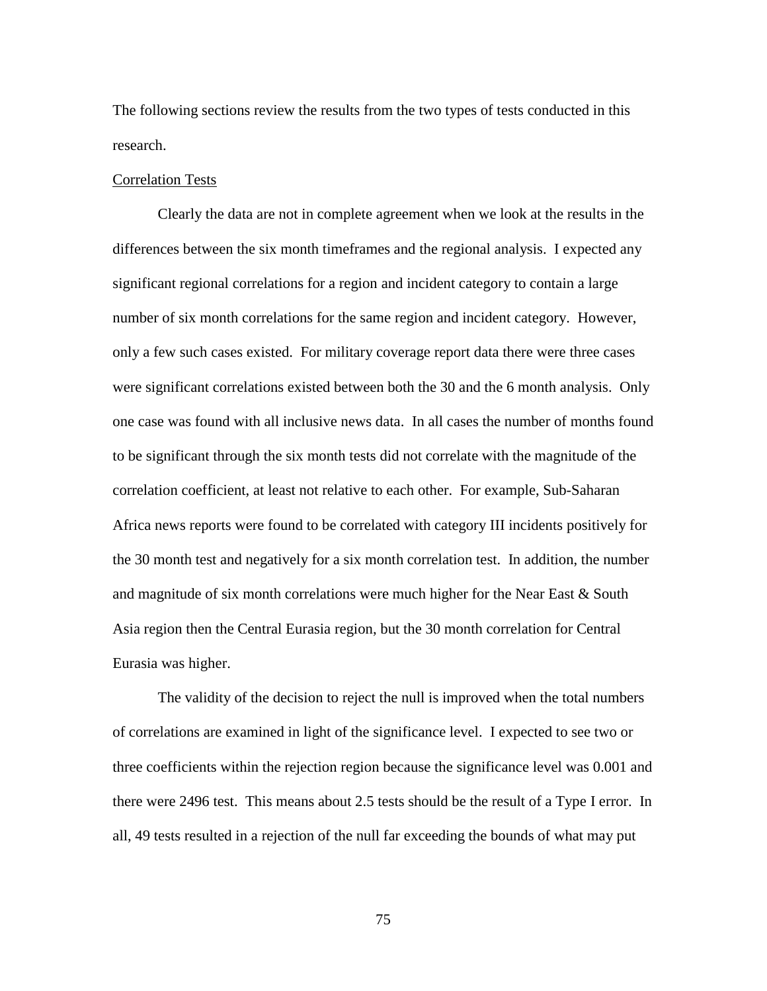The following sections review the results from the two types of tests conducted in this research.

## Correlation Tests

 Clearly the data are not in complete agreement when we look at the results in the differences between the six month timeframes and the regional analysis. I expected any significant regional correlations for a region and incident category to contain a large number of six month correlations for the same region and incident category. However, only a few such cases existed. For military coverage report data there were three cases were significant correlations existed between both the 30 and the 6 month analysis. Only one case was found with all inclusive news data. In all cases the number of months found to be significant through the six month tests did not correlate with the magnitude of the correlation coefficient, at least not relative to each other. For example, Sub-Saharan Africa news reports were found to be correlated with category III incidents positively for the 30 month test and negatively for a six month correlation test. In addition, the number and magnitude of six month correlations were much higher for the Near East & South Asia region then the Central Eurasia region, but the 30 month correlation for Central Eurasia was higher.

The validity of the decision to reject the null is improved when the total numbers of correlations are examined in light of the significance level. I expected to see two or three coefficients within the rejection region because the significance level was 0.001 and there were 2496 test. This means about 2.5 tests should be the result of a Type I error. In all, 49 tests resulted in a rejection of the null far exceeding the bounds of what may put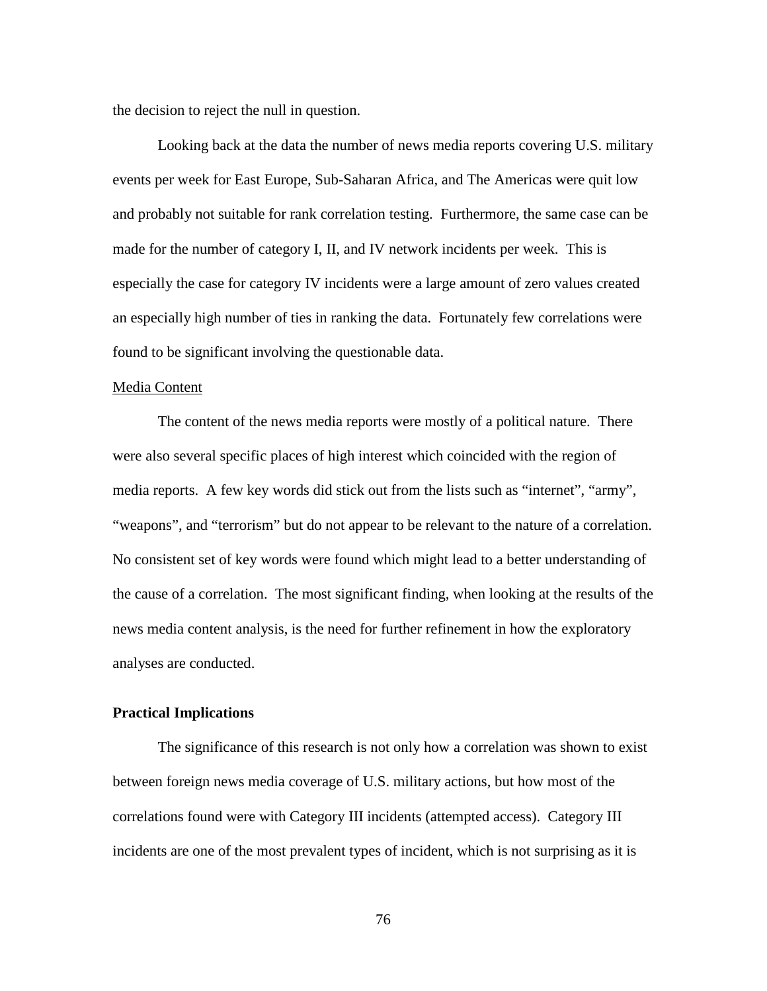the decision to reject the null in question.

Looking back at the data the number of news media reports covering U.S. military events per week for East Europe, Sub-Saharan Africa, and The Americas were quit low and probably not suitable for rank correlation testing. Furthermore, the same case can be made for the number of category I, II, and IV network incidents per week. This is especially the case for category IV incidents were a large amount of zero values created an especially high number of ties in ranking the data. Fortunately few correlations were found to be significant involving the questionable data.

#### Media Content

 The content of the news media reports were mostly of a political nature. There were also several specific places of high interest which coincided with the region of media reports. A few key words did stick out from the lists such as "internet", "army", "weapons", and "terrorism" but do not appear to be relevant to the nature of a correlation. No consistent set of key words were found which might lead to a better understanding of the cause of a correlation. The most significant finding, when looking at the results of the news media content analysis, is the need for further refinement in how the exploratory analyses are conducted.

# **Practical Implications**

 The significance of this research is not only how a correlation was shown to exist between foreign news media coverage of U.S. military actions, but how most of the correlations found were with Category III incidents (attempted access). Category III incidents are one of the most prevalent types of incident, which is not surprising as it is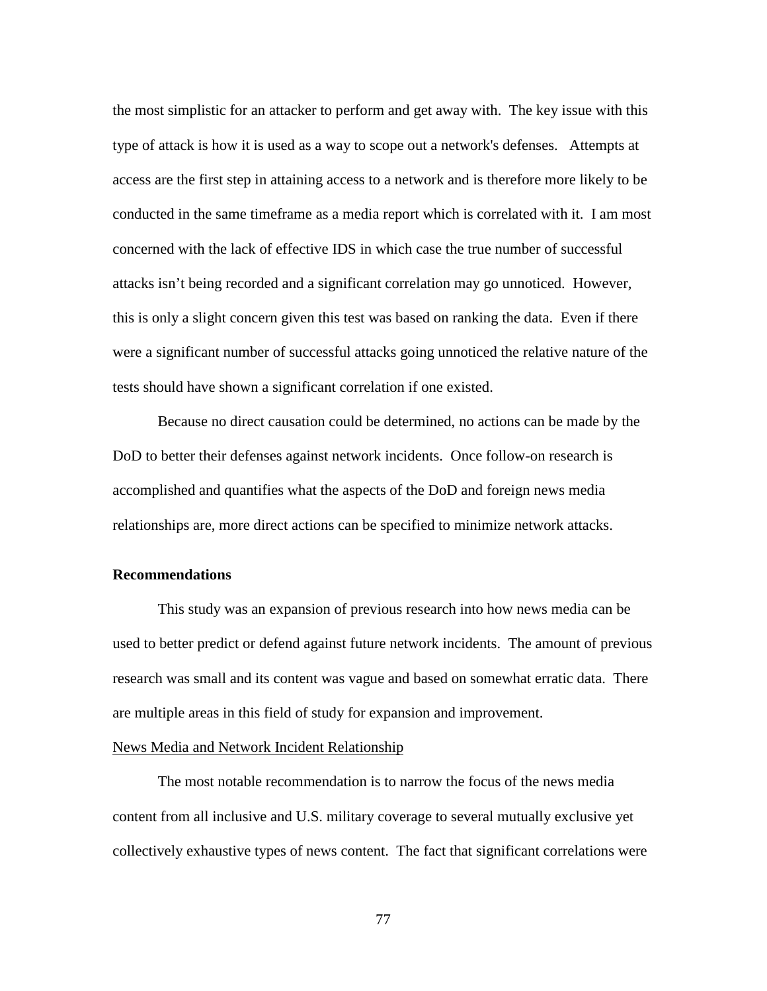the most simplistic for an attacker to perform and get away with. The key issue with this type of attack is how it is used as a way to scope out a network's defenses. Attempts at access are the first step in attaining access to a network and is therefore more likely to be conducted in the same timeframe as a media report which is correlated with it. I am most concerned with the lack of effective IDS in which case the true number of successful attacks isn't being recorded and a significant correlation may go unnoticed. However, this is only a slight concern given this test was based on ranking the data. Even if there were a significant number of successful attacks going unnoticed the relative nature of the tests should have shown a significant correlation if one existed.

 Because no direct causation could be determined, no actions can be made by the DoD to better their defenses against network incidents. Once follow-on research is accomplished and quantifies what the aspects of the DoD and foreign news media relationships are, more direct actions can be specified to minimize network attacks.

## **Recommendations**

 This study was an expansion of previous research into how news media can be used to better predict or defend against future network incidents. The amount of previous research was small and its content was vague and based on somewhat erratic data. There are multiple areas in this field of study for expansion and improvement.

## News Media and Network Incident Relationship

 The most notable recommendation is to narrow the focus of the news media content from all inclusive and U.S. military coverage to several mutually exclusive yet collectively exhaustive types of news content. The fact that significant correlations were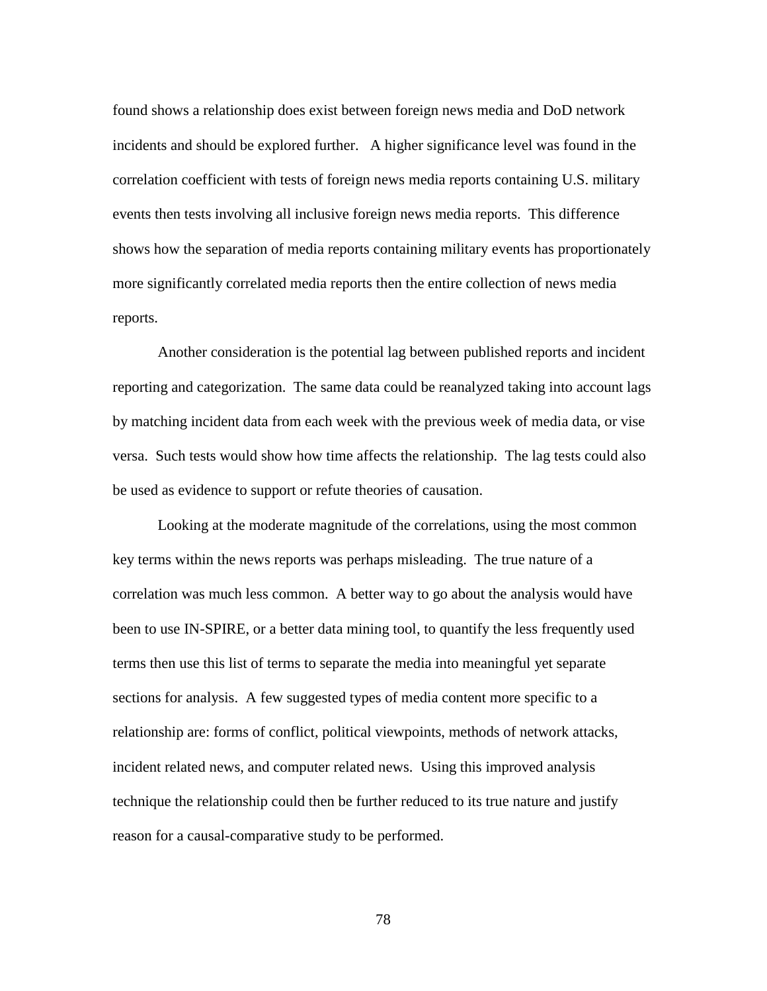found shows a relationship does exist between foreign news media and DoD network incidents and should be explored further. A higher significance level was found in the correlation coefficient with tests of foreign news media reports containing U.S. military events then tests involving all inclusive foreign news media reports. This difference shows how the separation of media reports containing military events has proportionately more significantly correlated media reports then the entire collection of news media reports.

Another consideration is the potential lag between published reports and incident reporting and categorization. The same data could be reanalyzed taking into account lags by matching incident data from each week with the previous week of media data, or vise versa. Such tests would show how time affects the relationship. The lag tests could also be used as evidence to support or refute theories of causation.

Looking at the moderate magnitude of the correlations, using the most common key terms within the news reports was perhaps misleading. The true nature of a correlation was much less common. A better way to go about the analysis would have been to use IN-SPIRE, or a better data mining tool, to quantify the less frequently used terms then use this list of terms to separate the media into meaningful yet separate sections for analysis. A few suggested types of media content more specific to a relationship are: forms of conflict, political viewpoints, methods of network attacks, incident related news, and computer related news. Using this improved analysis technique the relationship could then be further reduced to its true nature and justify reason for a causal-comparative study to be performed.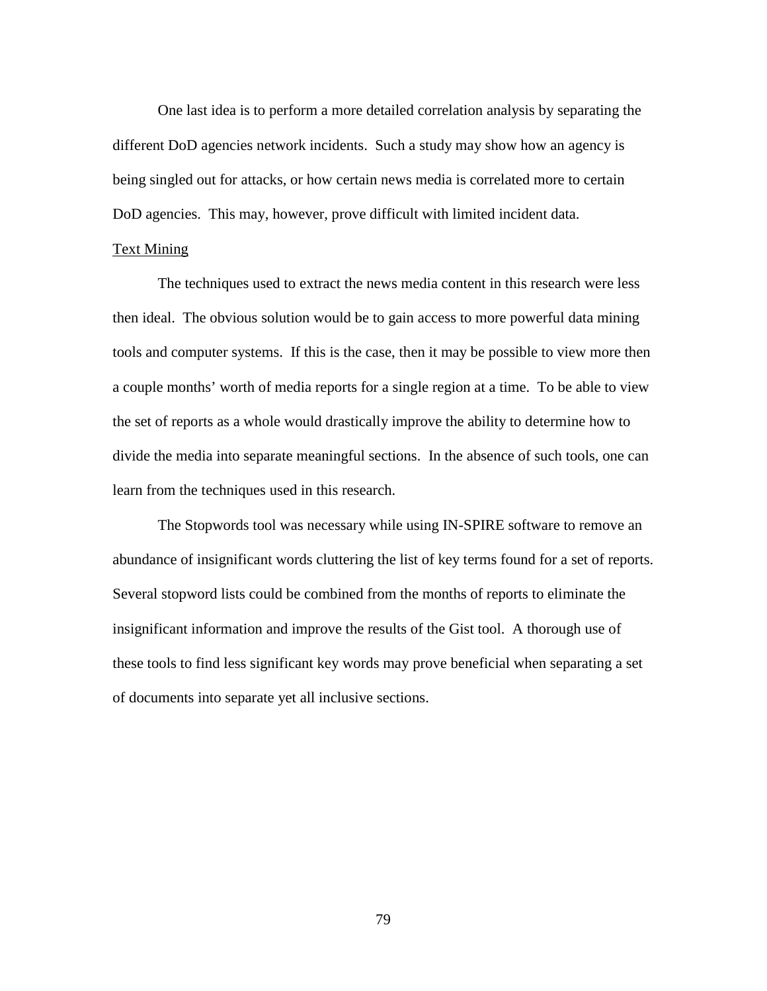One last idea is to perform a more detailed correlation analysis by separating the different DoD agencies network incidents. Such a study may show how an agency is being singled out for attacks, or how certain news media is correlated more to certain DoD agencies. This may, however, prove difficult with limited incident data.

# Text Mining

 The techniques used to extract the news media content in this research were less then ideal. The obvious solution would be to gain access to more powerful data mining tools and computer systems. If this is the case, then it may be possible to view more then a couple months' worth of media reports for a single region at a time. To be able to view the set of reports as a whole would drastically improve the ability to determine how to divide the media into separate meaningful sections. In the absence of such tools, one can learn from the techniques used in this research.

 The Stopwords tool was necessary while using IN-SPIRE software to remove an abundance of insignificant words cluttering the list of key terms found for a set of reports. Several stopword lists could be combined from the months of reports to eliminate the insignificant information and improve the results of the Gist tool. A thorough use of these tools to find less significant key words may prove beneficial when separating a set of documents into separate yet all inclusive sections.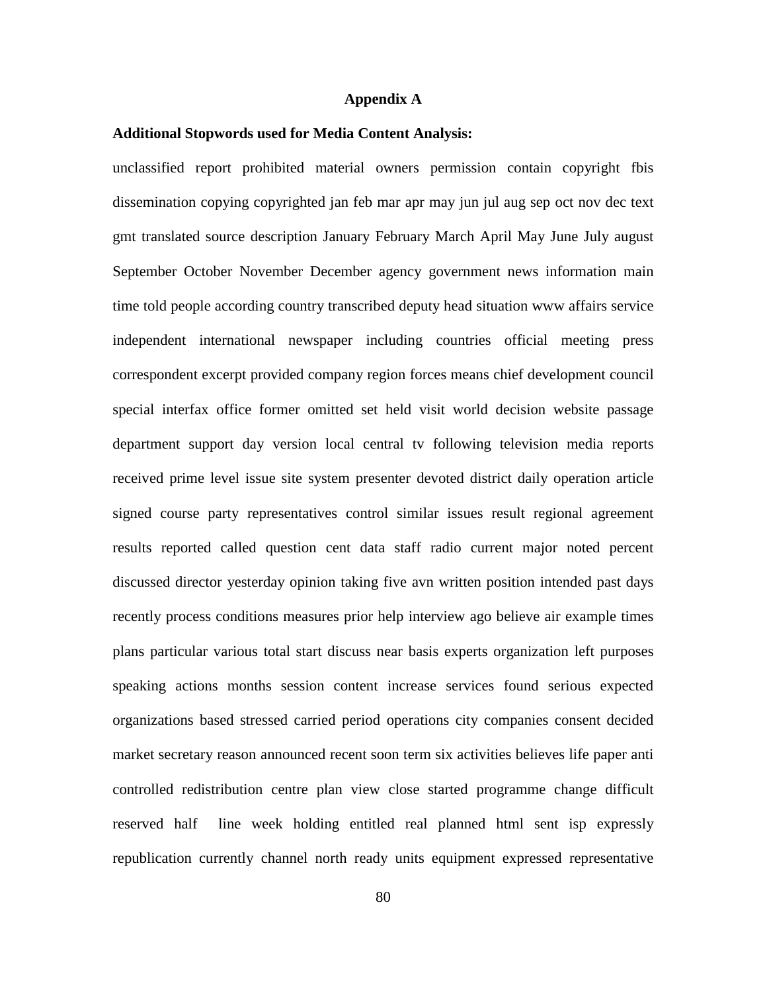#### **Appendix A**

#### **Additional Stopwords used for Media Content Analysis:**

unclassified report prohibited material owners permission contain copyright fbis dissemination copying copyrighted jan feb mar apr may jun jul aug sep oct nov dec text gmt translated source description January February March April May June July august September October November December agency government news information main time told people according country transcribed deputy head situation www affairs service independent international newspaper including countries official meeting press correspondent excerpt provided company region forces means chief development council special interfax office former omitted set held visit world decision website passage department support day version local central tv following television media reports received prime level issue site system presenter devoted district daily operation article signed course party representatives control similar issues result regional agreement results reported called question cent data staff radio current major noted percent discussed director yesterday opinion taking five avn written position intended past days recently process conditions measures prior help interview ago believe air example times plans particular various total start discuss near basis experts organization left purposes speaking actions months session content increase services found serious expected organizations based stressed carried period operations city companies consent decided market secretary reason announced recent soon term six activities believes life paper anti controlled redistribution centre plan view close started programme change difficult reserved half line week holding entitled real planned html sent isp expressly republication currently channel north ready units equipment expressed representative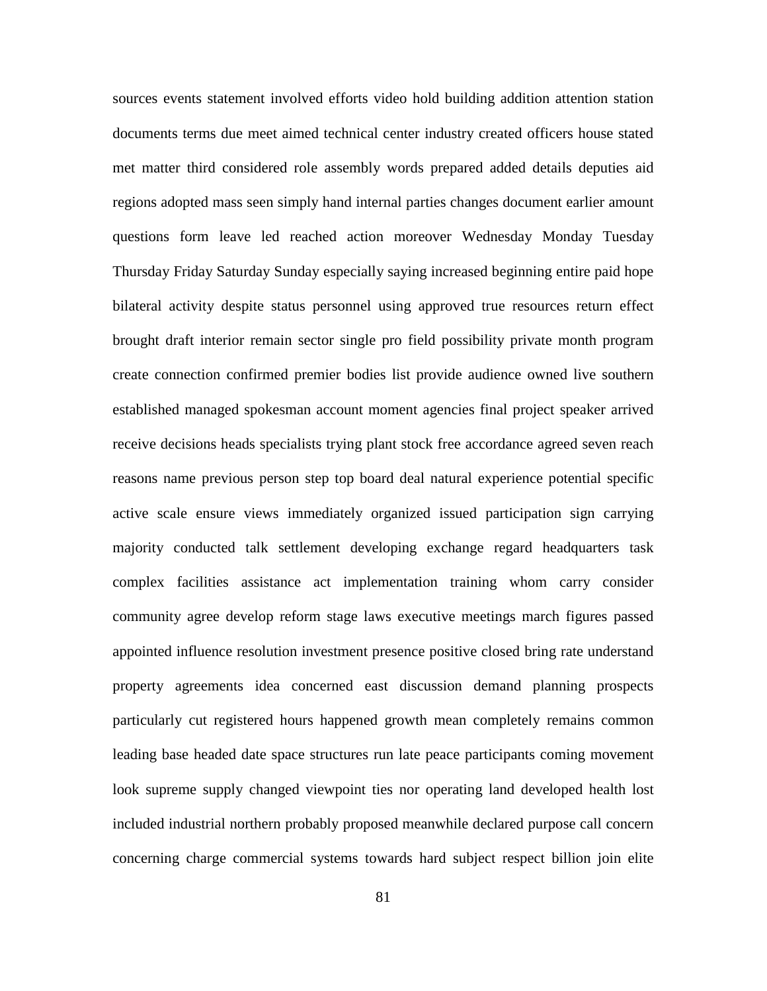sources events statement involved efforts video hold building addition attention station documents terms due meet aimed technical center industry created officers house stated met matter third considered role assembly words prepared added details deputies aid regions adopted mass seen simply hand internal parties changes document earlier amount questions form leave led reached action moreover Wednesday Monday Tuesday Thursday Friday Saturday Sunday especially saying increased beginning entire paid hope bilateral activity despite status personnel using approved true resources return effect brought draft interior remain sector single pro field possibility private month program create connection confirmed premier bodies list provide audience owned live southern established managed spokesman account moment agencies final project speaker arrived receive decisions heads specialists trying plant stock free accordance agreed seven reach reasons name previous person step top board deal natural experience potential specific active scale ensure views immediately organized issued participation sign carrying majority conducted talk settlement developing exchange regard headquarters task complex facilities assistance act implementation training whom carry consider community agree develop reform stage laws executive meetings march figures passed appointed influence resolution investment presence positive closed bring rate understand property agreements idea concerned east discussion demand planning prospects particularly cut registered hours happened growth mean completely remains common leading base headed date space structures run late peace participants coming movement look supreme supply changed viewpoint ties nor operating land developed health lost included industrial northern probably proposed meanwhile declared purpose call concern concerning charge commercial systems towards hard subject respect billion join elite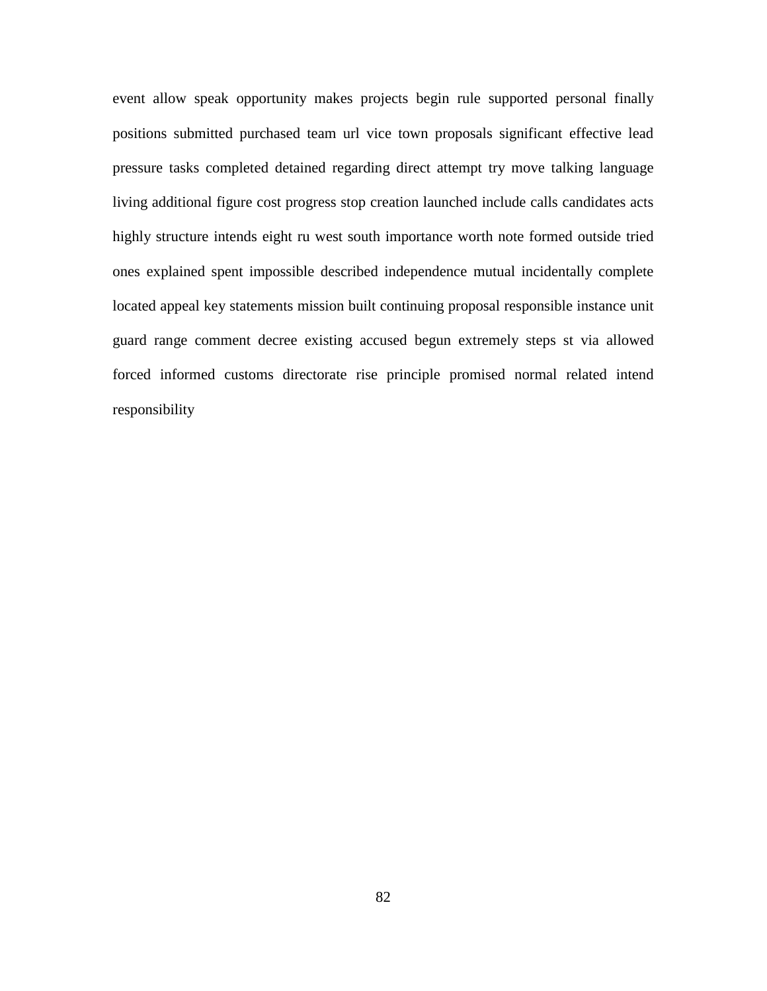event allow speak opportunity makes projects begin rule supported personal finally positions submitted purchased team url vice town proposals significant effective lead pressure tasks completed detained regarding direct attempt try move talking language living additional figure cost progress stop creation launched include calls candidates acts highly structure intends eight ru west south importance worth note formed outside tried ones explained spent impossible described independence mutual incidentally complete located appeal key statements mission built continuing proposal responsible instance unit guard range comment decree existing accused begun extremely steps st via allowed forced informed customs directorate rise principle promised normal related intend responsibility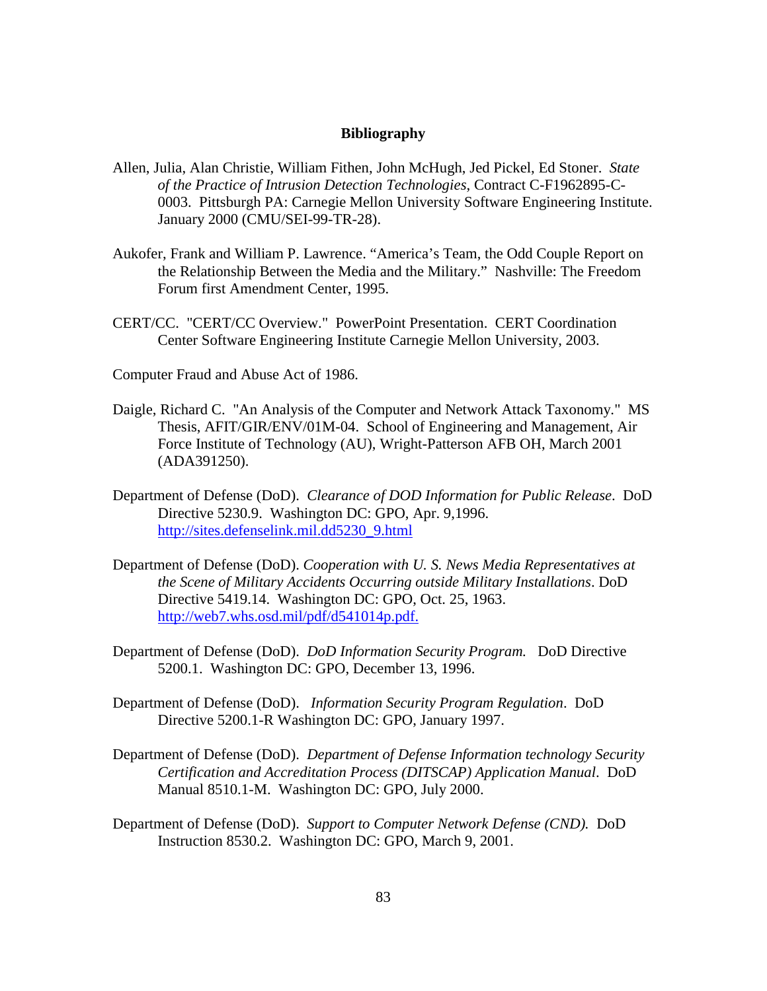## **Bibliography**

- Allen, Julia, Alan Christie, William Fithen, John McHugh, Jed Pickel, Ed Stoner. *State of the Practice of Intrusion Detection Technologies*, Contract C-F1962895-C-0003. Pittsburgh PA: Carnegie Mellon University Software Engineering Institute. January 2000 (CMU/SEI-99-TR-28).
- Aukofer, Frank and William P. Lawrence. "America's Team, the Odd Couple Report on the Relationship Between the Media and the Military." Nashville: The Freedom Forum first Amendment Center, 1995.
- CERT/CC. "CERT/CC Overview." PowerPoint Presentation. CERT Coordination Center Software Engineering Institute Carnegie Mellon University, 2003.
- Computer Fraud and Abuse Act of 1986.
- Daigle, Richard C. "An Analysis of the Computer and Network Attack Taxonomy." MS Thesis, AFIT/GIR/ENV/01M-04. School of Engineering and Management, Air Force Institute of Technology (AU), Wright-Patterson AFB OH, March 2001 (ADA391250).
- Department of Defense (DoD). *Clearance of DOD Information for Public Release*. DoD Directive 5230.9. Washington DC: GPO, Apr. 9,1996. http://sites.defenselink.mil.dd5230\_9.html
- Department of Defense (DoD). *Cooperation with U. S. News Media Representatives at the Scene of Military Accidents Occurring outside Military Installations*. DoD Directive 5419.14. Washington DC: GPO, Oct. 25, 1963. http://web7.whs.osd.mil/pdf/d541014p.pdf.
- Department of Defense (DoD). *DoD Information Security Program.* DoD Directive 5200.1. Washington DC: GPO, December 13, 1996.
- Department of Defense (DoD). *Information Security Program Regulation*. DoD Directive 5200.1-R Washington DC: GPO, January 1997.
- Department of Defense (DoD). *Department of Defense Information technology Security Certification and Accreditation Process (DITSCAP) Application Manual*. DoD Manual 8510.1-M. Washington DC: GPO, July 2000.
- Department of Defense (DoD). *Support to Computer Network Defense (CND).* DoD Instruction 8530.2. Washington DC: GPO, March 9, 2001.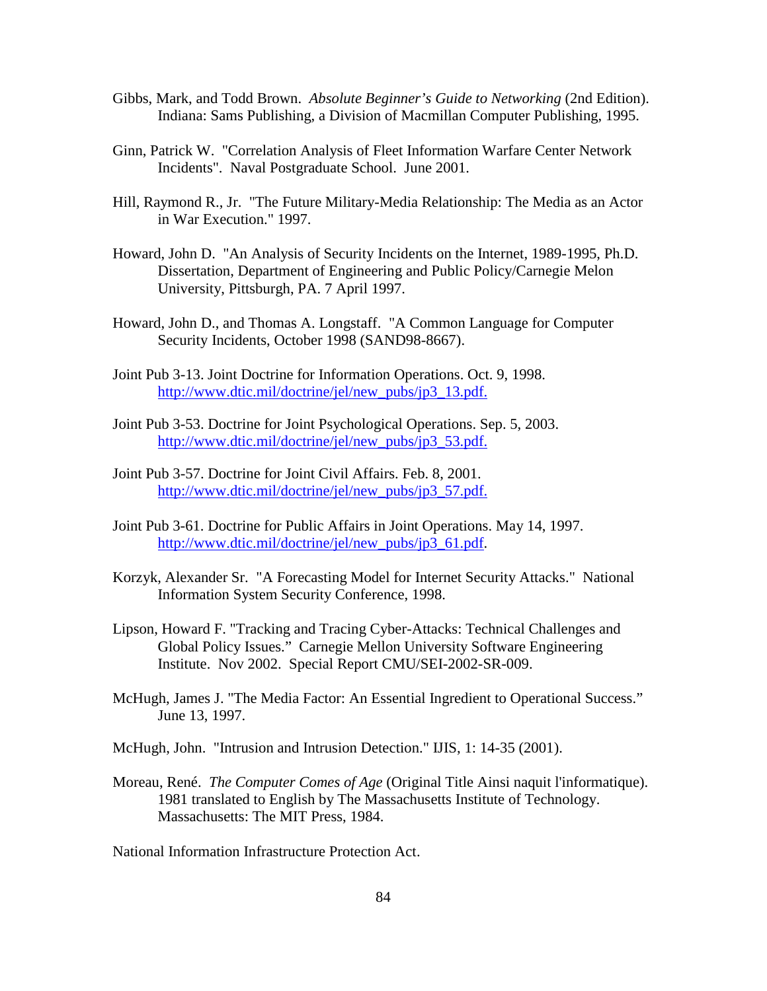- Gibbs, Mark, and Todd Brown. *Absolute Beginner's Guide to Networking* (2nd Edition). Indiana: Sams Publishing, a Division of Macmillan Computer Publishing, 1995.
- Ginn, Patrick W. "Correlation Analysis of Fleet Information Warfare Center Network Incidents". Naval Postgraduate School. June 2001.
- Hill, Raymond R., Jr. "The Future Military-Media Relationship: The Media as an Actor in War Execution." 1997.
- Howard, John D. "An Analysis of Security Incidents on the Internet, 1989-1995, Ph.D. Dissertation, Department of Engineering and Public Policy/Carnegie Melon University, Pittsburgh, PA. 7 April 1997.
- Howard, John D., and Thomas A. Longstaff. "A Common Language for Computer Security Incidents, October 1998 (SAND98-8667).
- Joint Pub 3-13. Joint Doctrine for Information Operations. Oct. 9, 1998. http://www.dtic.mil/doctrine/jel/new\_pubs/jp3\_13.pdf.
- Joint Pub 3-53. Doctrine for Joint Psychological Operations. Sep. 5, 2003. http://www.dtic.mil/doctrine/jel/new\_pubs/jp3\_53.pdf.
- Joint Pub 3-57. Doctrine for Joint Civil Affairs. Feb. 8, 2001. http://www.dtic.mil/doctrine/jel/new\_pubs/jp3\_57.pdf.
- Joint Pub 3-61. Doctrine for Public Affairs in Joint Operations. May 14, 1997. http://www.dtic.mil/doctrine/jel/new\_pubs/jp3\_61.pdf.
- Korzyk, Alexander Sr. "A Forecasting Model for Internet Security Attacks." National Information System Security Conference, 1998.
- Lipson, Howard F. "Tracking and Tracing Cyber-Attacks: Technical Challenges and Global Policy Issues." Carnegie Mellon University Software Engineering Institute. Nov 2002. Special Report CMU/SEI-2002-SR-009.
- McHugh, James J. "The Media Factor: An Essential Ingredient to Operational Success." June 13, 1997.
- McHugh, John. "Intrusion and Intrusion Detection." IJIS, 1: 14-35 (2001).
- Moreau, René. *The Computer Comes of Age* (Original Title Ainsi naquit l'informatique). 1981 translated to English by The Massachusetts Institute of Technology. Massachusetts: The MIT Press, 1984.

National Information Infrastructure Protection Act.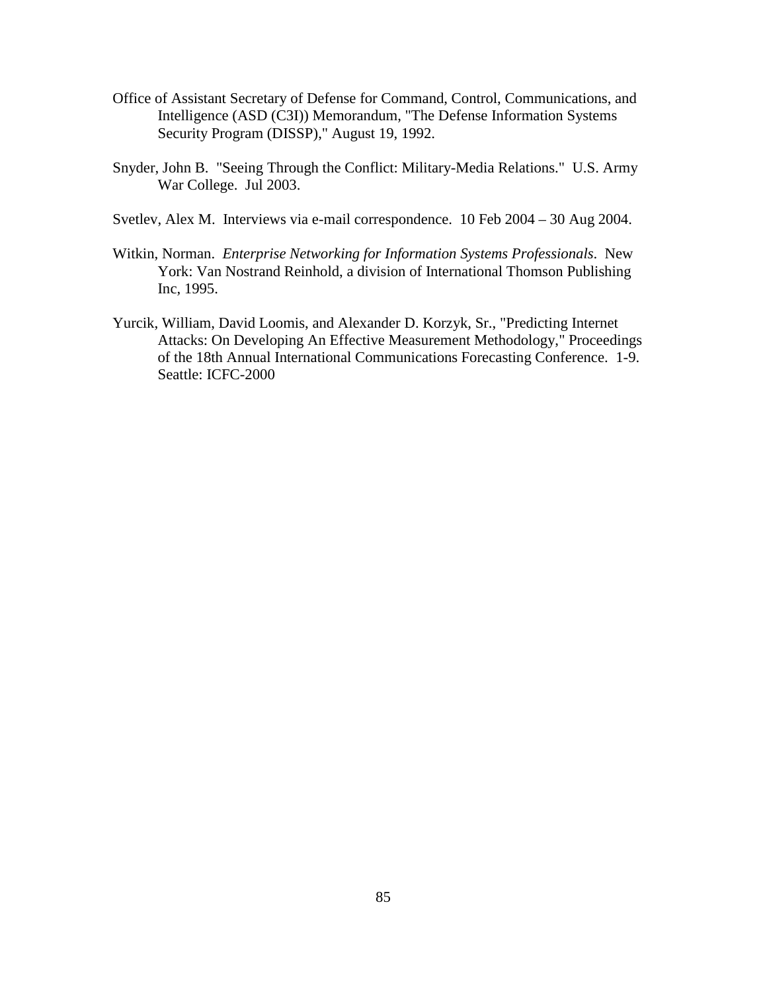- Office of Assistant Secretary of Defense for Command, Control, Communications, and Intelligence (ASD (C3I)) Memorandum, "The Defense Information Systems Security Program (DISSP)," August 19, 1992.
- Snyder, John B. "Seeing Through the Conflict: Military-Media Relations." U.S. Army War College. Jul 2003.
- Svetlev, Alex M. Interviews via e-mail correspondence. 10 Feb 2004 30 Aug 2004.
- Witkin, Norman. *Enterprise Networking for Information Systems Professionals*. New York: Van Nostrand Reinhold, a division of International Thomson Publishing Inc, 1995.
- Yurcik, William, David Loomis, and Alexander D. Korzyk, Sr., "Predicting Internet Attacks: On Developing An Effective Measurement Methodology," Proceedings of the 18th Annual International Communications Forecasting Conference. 1-9. Seattle: ICFC-2000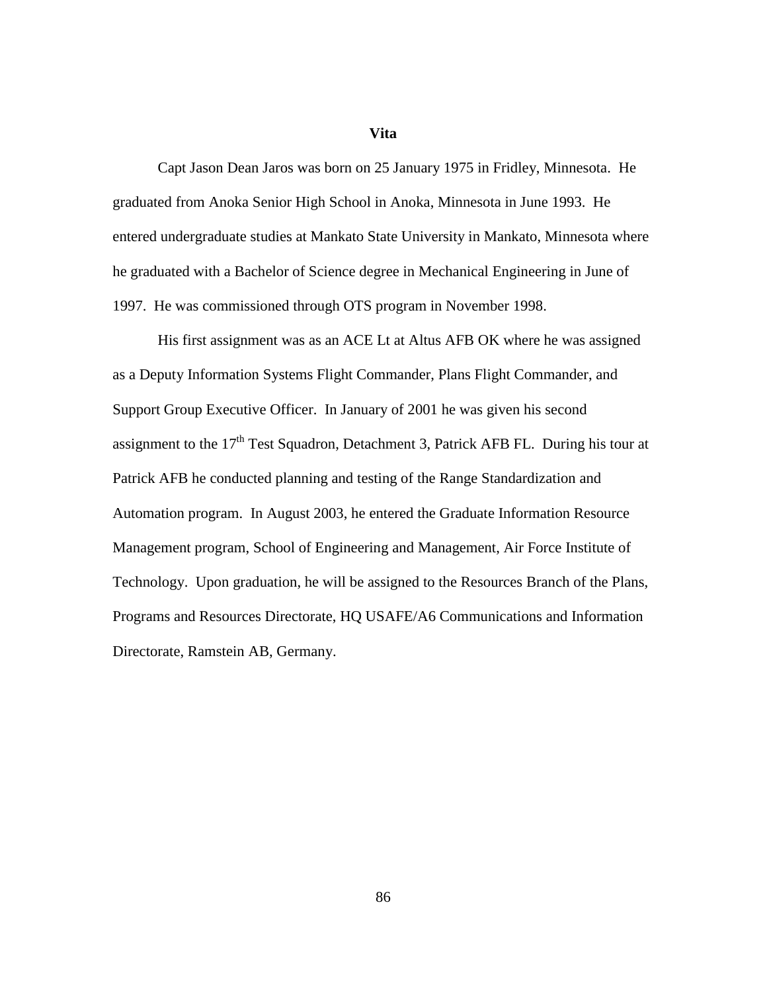#### **Vita**

Capt Jason Dean Jaros was born on 25 January 1975 in Fridley, Minnesota. He graduated from Anoka Senior High School in Anoka, Minnesota in June 1993. He entered undergraduate studies at Mankato State University in Mankato, Minnesota where he graduated with a Bachelor of Science degree in Mechanical Engineering in June of 1997. He was commissioned through OTS program in November 1998.

His first assignment was as an ACE Lt at Altus AFB OK where he was assigned as a Deputy Information Systems Flight Commander, Plans Flight Commander, and Support Group Executive Officer. In January of 2001 he was given his second assignment to the  $17<sup>th</sup>$  Test Squadron, Detachment 3, Patrick AFB FL. During his tour at Patrick AFB he conducted planning and testing of the Range Standardization and Automation program. In August 2003, he entered the Graduate Information Resource Management program, School of Engineering and Management, Air Force Institute of Technology. Upon graduation, he will be assigned to the Resources Branch of the Plans, Programs and Resources Directorate, HQ USAFE/A6 Communications and Information Directorate, Ramstein AB, Germany.